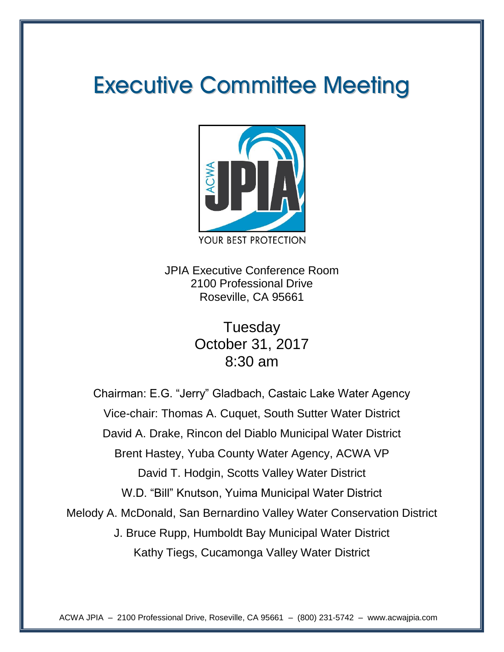# **Executive Committee Meeting**



JPIA Executive Conference Room 2100 Professional Drive Roseville, CA 95661

> **Tuesday** October 31, 2017 8:30 am

Chairman: E.G. "Jerry" Gladbach, Castaic Lake Water Agency Vice-chair: Thomas A. Cuquet, South Sutter Water District David A. Drake, Rincon del Diablo Municipal Water District Brent Hastey, Yuba County Water Agency, ACWA VP David T. Hodgin, Scotts Valley Water District W.D. "Bill" Knutson, Yuima Municipal Water District Melody A. McDonald, San Bernardino Valley Water Conservation District J. Bruce Rupp, Humboldt Bay Municipal Water District Kathy Tiegs, Cucamonga Valley Water District

ACWA JPIA – 2100 Professional Drive, Roseville, CA 95661 – (800) 231-5742 – www.acwajpia.com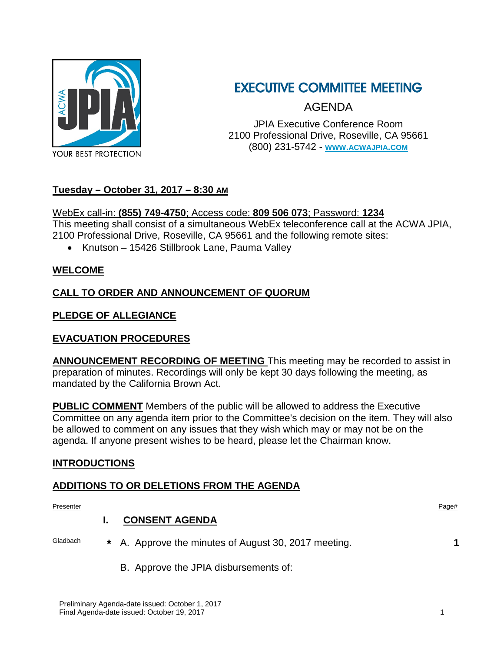

### EXECUTIVE COMMITTEE MEETING

AGENDA

JPIA Executive Conference Room 2100 Professional Drive, Roseville, CA 95661 (800) 231-5742 - **[WWW.ACWAJPIA.COM](http://www.acwajpia.com/)**

#### **Tuesday – October 31, 2017 – 8:30 AM**

#### WebEx call-in: **(855) 749-4750**; Access code: **809 506 073**; Password: **1234**

This meeting shall consist of a simultaneous WebEx teleconference call at the ACWA JPIA, 2100 Professional Drive, Roseville, CA 95661 and the following remote sites:

• Knutson – 15426 Stillbrook Lane, Pauma Valley

#### **WELCOME**

#### **CALL TO ORDER AND ANNOUNCEMENT OF QUORUM**

#### **PLEDGE OF ALLEGIANCE**

#### **EVACUATION PROCEDURES**

**ANNOUNCEMENT RECORDING OF MEETING** This meeting may be recorded to assist in preparation of minutes. Recordings will only be kept 30 days following the meeting, as mandated by the California Brown Act.

**PUBLIC COMMENT** Members of the public will be allowed to address the Executive Committee on any agenda item prior to the Committee's decision on the item. They will also be allowed to comment on any issues that they wish which may or may not be on the agenda. If anyone present wishes to be heard, please let the Chairman know.

#### **INTRODUCTIONS**

#### **ADDITIONS TO OR DELETIONS FROM THE AGENDA**

Preliminary Agenda-date issued: October 1, 2017 Final Agenda-date issued: October 19, 2017 1 Presenter **Presenter** Page# **I. CONSENT AGENDA** Gladbach **\*** A. Approve the minutes of August 30, 2017 meeting. **1** B. Approve the JPIA disbursements of: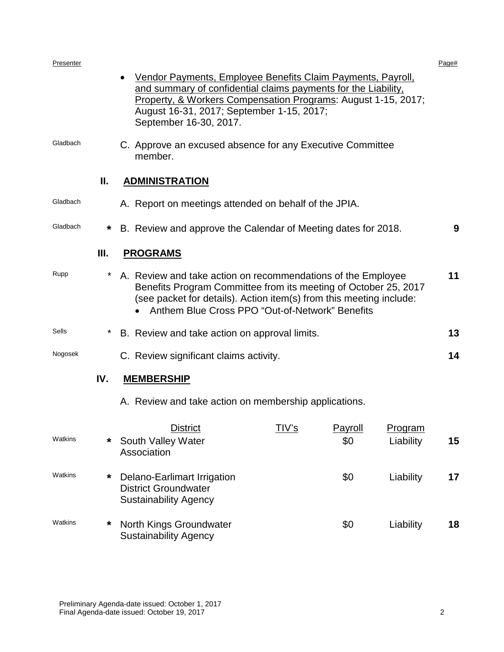| Presenter |      |                                                                                                   |                                                                                                                                                                                                                                                                 |                |                             | Page# |  |  |
|-----------|------|---------------------------------------------------------------------------------------------------|-----------------------------------------------------------------------------------------------------------------------------------------------------------------------------------------------------------------------------------------------------------------|----------------|-----------------------------|-------|--|--|
|           |      | September 16-30, 2017.                                                                            | Vendor Payments, Employee Benefits Claim Payments, Payroll,<br>and summary of confidential claims payments for the Liability,<br>Property, & Workers Compensation Programs: August 1-15, 2017;<br>August 16-31, 2017; September 1-15, 2017;                     |                |                             |       |  |  |
| Gladbach  |      | member.                                                                                           | C. Approve an excused absence for any Executive Committee                                                                                                                                                                                                       |                |                             |       |  |  |
|           | Ш.   | <b>ADMINISTRATION</b>                                                                             |                                                                                                                                                                                                                                                                 |                |                             |       |  |  |
| Gladbach  |      | A. Report on meetings attended on behalf of the JPIA.                                             |                                                                                                                                                                                                                                                                 |                |                             |       |  |  |
| Gladbach  | *    | B. Review and approve the Calendar of Meeting dates for 2018.                                     |                                                                                                                                                                                                                                                                 |                |                             | 9     |  |  |
|           | III. | <b>PROGRAMS</b>                                                                                   |                                                                                                                                                                                                                                                                 |                |                             |       |  |  |
| Rupp      |      |                                                                                                   | 11<br>A. Review and take action on recommendations of the Employee<br>Benefits Program Committee from its meeting of October 25, 2017<br>(see packet for details). Action item(s) from this meeting include:<br>Anthem Blue Cross PPO "Out-of-Network" Benefits |                |                             |       |  |  |
| Sells     | *    |                                                                                                   | B. Review and take action on approval limits.                                                                                                                                                                                                                   |                |                             |       |  |  |
| Nogosek   |      | C. Review significant claims activity.                                                            |                                                                                                                                                                                                                                                                 |                |                             | 14    |  |  |
|           | IV.  | <b>MEMBERSHIP</b>                                                                                 |                                                                                                                                                                                                                                                                 |                |                             |       |  |  |
|           |      | A. Review and take action on membership applications.                                             |                                                                                                                                                                                                                                                                 |                |                             |       |  |  |
| Watkins   | *    | <b>District</b><br>South Valley Water<br>Association                                              | TIV's                                                                                                                                                                                                                                                           | Payroll<br>\$0 | <u>Program</u><br>Liability | 15    |  |  |
| Watkins   | *    | <b>Delano-Earlimart Irrigation</b><br><b>District Groundwater</b><br><b>Sustainability Agency</b> |                                                                                                                                                                                                                                                                 | \$0            | Liability                   | 17    |  |  |
| Watkins   | *    | North Kings Groundwater<br><b>Sustainability Agency</b>                                           |                                                                                                                                                                                                                                                                 | \$0            | Liability                   | 18    |  |  |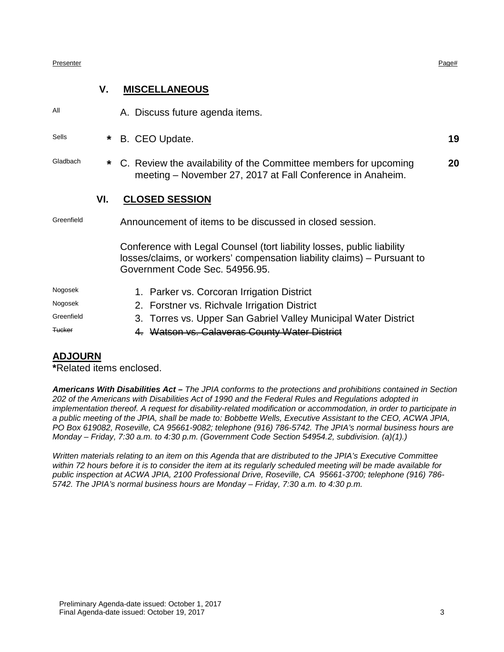#### Presenter **Presenter** Page#

#### **V. MISCELLANEOUS**

All A. Discuss future agenda items.

Sells **\*** B. CEO Update. **19**

Gladbach **\*** C. Review the availability of the Committee members for upcoming meeting – November 27, 2017 at Fall Conference in Anaheim. **20**

#### **VI. CLOSED SESSION**

Greenfield Announcement of items to be discussed in closed session.

Conference with Legal Counsel (tort liability losses, public liability losses/claims, or workers' compensation liability claims) – Pursuant to Government Code Sec. 54956.95.

- Nogosek 1. Parker vs. Corcoran Irrigation District Nogosek 2. Forstner vs. Richvale Irrigation District Greenfield 3. Torres vs. Upper San Gabriel Valley Municipal Water District
- Tucker 4. Watson vs. Calaveras County Water District

#### **ADJOURN**

**\***Related items enclosed.

*Americans With Disabilities Act – The JPIA conforms to the protections and prohibitions contained in Section 202 of the Americans with Disabilities Act of 1990 and the Federal Rules and Regulations adopted in implementation thereof. A request for disability-related modification or accommodation, in order to participate in a public meeting of the JPIA, shall be made to: Bobbette Wells, Executive Assistant to the CEO, ACWA JPIA, PO Box 619082, Roseville, CA 95661-9082; telephone (916) 786-5742. The JPIA's normal business hours are Monday – Friday, 7:30 a.m. to 4:30 p.m. (Government Code Section 54954.2, subdivision. (a)(1).)*

*Written materials relating to an item on this Agenda that are distributed to the JPIA's Executive Committee within 72 hours before it is to consider the item at its regularly scheduled meeting will be made available for public inspection at ACWA JPIA, 2100 Professional Drive, Roseville, CA 95661-3700; telephone (916) 786- 5742. The JPIA's normal business hours are Monday – Friday, 7:30 a.m. to 4:30 p.m.*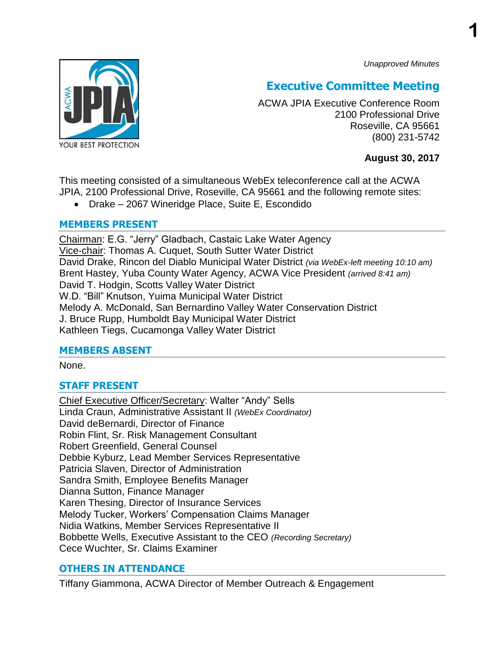*Unapproved Minutes*



### **Executive Committee Meeting**

ACWA JPIA Executive Conference Room 2100 Professional Drive Roseville, CA 95661 (800) 231-5742

**August 30, 2017**

This meeting consisted of a simultaneous WebEx teleconference call at the ACWA JPIA, 2100 Professional Drive, Roseville, CA 95661 and the following remote sites:

Drake – 2067 Wineridge Place, Suite E, Escondido

#### **MEMBERS PRESENT**

Chairman: E.G. "Jerry" Gladbach, Castaic Lake Water Agency Vice-chair: Thomas A. Cuquet, South Sutter Water District David Drake, Rincon del Diablo Municipal Water District *(via WebEx-left meeting 10:10 am)* Brent Hastey, Yuba County Water Agency, ACWA Vice President *(arrived 8:41 am)*  David T. Hodgin, Scotts Valley Water District W.D. "Bill" Knutson, Yuima Municipal Water District Melody A. McDonald, San Bernardino Valley Water Conservation District J. Bruce Rupp, Humboldt Bay Municipal Water District Kathleen Tiegs, Cucamonga Valley Water District

#### **MEMBERS ABSENT**

None.

#### **STAFF PRESENT**

Chief Executive Officer/Secretary: Walter "Andy" Sells Linda Craun, Administrative Assistant II *(WebEx Coordinator)* David deBernardi, Director of Finance Robin Flint, Sr. Risk Management Consultant Robert Greenfield, General Counsel Debbie Kyburz, Lead Member Services Representative Patricia Slaven, Director of Administration Sandra Smith, Employee Benefits Manager Dianna Sutton, Finance Manager Karen Thesing, Director of Insurance Services Melody Tucker, Workers' Compensation Claims Manager Nidia Watkins, Member Services Representative II Bobbette Wells, Executive Assistant to the CEO *(Recording Secretary)* Cece Wuchter, Sr. Claims Examiner

#### **OTHERS IN ATTENDANCE**

Tiffany Giammona, ACWA Director of Member Outreach & Engagement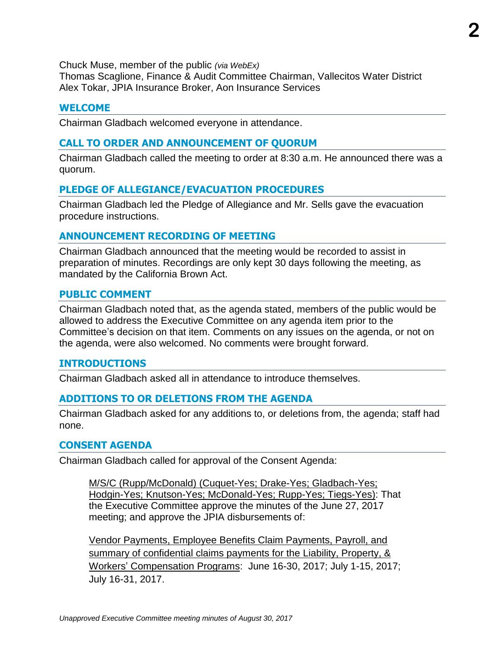Chuck Muse, member of the public *(via WebEx)*

Thomas Scaglione, Finance & Audit Committee Chairman, Vallecitos Water District Alex Tokar, JPIA Insurance Broker, Aon Insurance Services

#### **WELCOME**

Chairman Gladbach welcomed everyone in attendance.

#### **CALL TO ORDER AND ANNOUNCEMENT OF QUORUM**

Chairman Gladbach called the meeting to order at 8:30 a.m. He announced there was a quorum.

#### **PLEDGE OF ALLEGIANCE/EVACUATION PROCEDURES**

Chairman Gladbach led the Pledge of Allegiance and Mr. Sells gave the evacuation procedure instructions.

#### **ANNOUNCEMENT RECORDING OF MEETING**

Chairman Gladbach announced that the meeting would be recorded to assist in preparation of minutes. Recordings are only kept 30 days following the meeting, as mandated by the California Brown Act.

#### **PUBLIC COMMENT**

Chairman Gladbach noted that, as the agenda stated, members of the public would be allowed to address the Executive Committee on any agenda item prior to the Committee's decision on that item. Comments on any issues on the agenda, or not on the agenda, were also welcomed. No comments were brought forward.

#### **INTRODUCTIONS**

Chairman Gladbach asked all in attendance to introduce themselves.

#### **ADDITIONS TO OR DELETIONS FROM THE AGENDA**

Chairman Gladbach asked for any additions to, or deletions from, the agenda; staff had none.

#### **CONSENT AGENDA**

Chairman Gladbach called for approval of the Consent Agenda:

M/S/C (Rupp/McDonald) (Cuquet-Yes; Drake-Yes; Gladbach-Yes; Hodgin-Yes; Knutson-Yes; McDonald-Yes; Rupp-Yes; Tiegs-Yes): That the Executive Committee approve the minutes of the June 27, 2017 meeting; and approve the JPIA disbursements of:

Vendor Payments, Employee Benefits Claim Payments, Payroll, and summary of confidential claims payments for the Liability, Property, & Workers' Compensation Programs: June 16-30, 2017; July 1-15, 2017; July 16-31, 2017.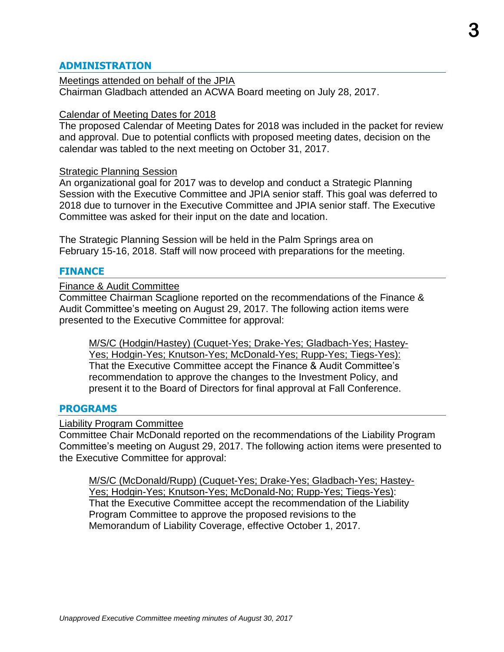#### **ADMINISTRATION**

Meetings attended on behalf of the JPIA Chairman Gladbach attended an ACWA Board meeting on July 28, 2017.

#### Calendar of Meeting Dates for 2018

The proposed Calendar of Meeting Dates for 2018 was included in the packet for review and approval. Due to potential conflicts with proposed meeting dates, decision on the calendar was tabled to the next meeting on October 31, 2017.

#### Strategic Planning Session

An organizational goal for 2017 was to develop and conduct a Strategic Planning Session with the Executive Committee and JPIA senior staff. This goal was deferred to 2018 due to turnover in the Executive Committee and JPIA senior staff. The Executive Committee was asked for their input on the date and location.

The Strategic Planning Session will be held in the Palm Springs area on February 15-16, 2018. Staff will now proceed with preparations for the meeting.

#### **FINANCE**

#### Finance & Audit Committee

Committee Chairman Scaglione reported on the recommendations of the Finance & Audit Committee's meeting on August 29, 2017. The following action items were presented to the Executive Committee for approval:

M/S/C (Hodgin/Hastey) (Cuquet-Yes; Drake-Yes; Gladbach-Yes; Hastey-Yes; Hodgin-Yes; Knutson-Yes; McDonald-Yes; Rupp-Yes; Tiegs-Yes): That the Executive Committee accept the Finance & Audit Committee's recommendation to approve the changes to the Investment Policy, and present it to the Board of Directors for final approval at Fall Conference.

#### **PROGRAMS**

#### Liability Program Committee

Committee Chair McDonald reported on the recommendations of the Liability Program Committee's meeting on August 29, 2017. The following action items were presented to the Executive Committee for approval:

M/S/C (McDonald/Rupp) (Cuquet-Yes; Drake-Yes; Gladbach-Yes; Hastey-Yes; Hodgin-Yes; Knutson-Yes; McDonald-No; Rupp-Yes; Tiegs-Yes): That the Executive Committee accept the recommendation of the Liability Program Committee to approve the proposed revisions to the Memorandum of Liability Coverage, effective October 1, 2017.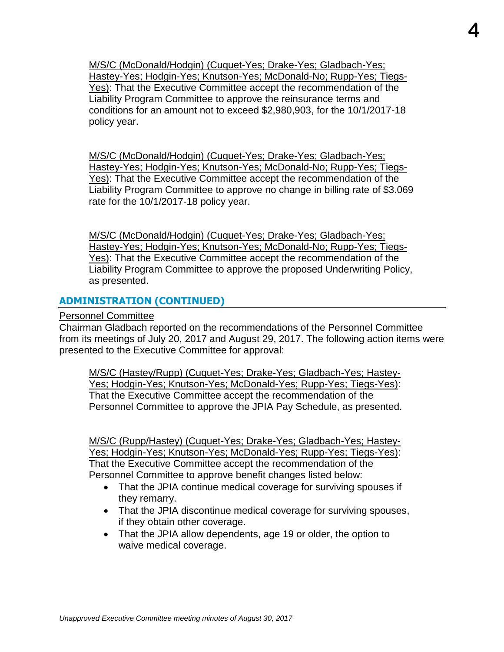M/S/C (McDonald/Hodgin) (Cuquet-Yes; Drake-Yes; Gladbach-Yes; Hastey-Yes; Hodgin-Yes; Knutson-Yes; McDonald-No; Rupp-Yes; Tiegs-Yes): That the Executive Committee accept the recommendation of the Liability Program Committee to approve the reinsurance terms and conditions for an amount not to exceed \$2,980,903, for the 10/1/2017-18 policy year.

M/S/C (McDonald/Hodgin) (Cuquet-Yes; Drake-Yes; Gladbach-Yes; Hastey-Yes; Hodgin-Yes; Knutson-Yes; McDonald-No; Rupp-Yes; Tiegs-Yes): That the Executive Committee accept the recommendation of the Liability Program Committee to approve no change in billing rate of \$3.069 rate for the 10/1/2017-18 policy year.

M/S/C (McDonald/Hodgin) (Cuquet-Yes; Drake-Yes; Gladbach-Yes; Hastey-Yes; Hodgin-Yes; Knutson-Yes; McDonald-No; Rupp-Yes; Tiegs-Yes): That the Executive Committee accept the recommendation of the Liability Program Committee to approve the proposed Underwriting Policy, as presented.

#### **ADMINISTRATION (CONTINUED)**

Personnel Committee

Chairman Gladbach reported on the recommendations of the Personnel Committee from its meetings of July 20, 2017 and August 29, 2017. The following action items were presented to the Executive Committee for approval:

M/S/C (Hastey/Rupp) (Cuquet-Yes; Drake-Yes; Gladbach-Yes; Hastey-Yes; Hodgin-Yes; Knutson-Yes; McDonald-Yes; Rupp-Yes; Tiegs-Yes): That the Executive Committee accept the recommendation of the Personnel Committee to approve the JPIA Pay Schedule, as presented.

M/S/C (Rupp/Hastey) (Cuquet-Yes; Drake-Yes; Gladbach-Yes; Hastey-Yes; Hodgin-Yes; Knutson-Yes; McDonald-Yes; Rupp-Yes; Tiegs-Yes): That the Executive Committee accept the recommendation of the Personnel Committee to approve benefit changes listed below:

- That the JPIA continue medical coverage for surviving spouses if they remarry.
- That the JPIA discontinue medical coverage for surviving spouses, if they obtain other coverage.
- That the JPIA allow dependents, age 19 or older, the option to waive medical coverage.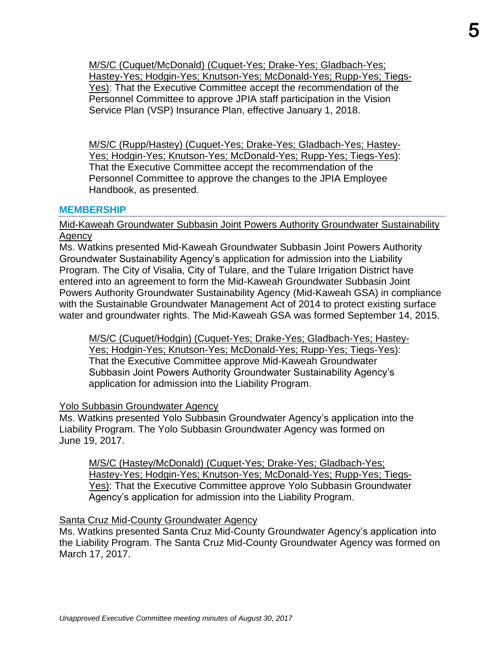M/S/C (Cuquet/McDonald) (Cuquet-Yes; Drake-Yes; Gladbach-Yes; Hastey-Yes; Hodgin-Yes; Knutson-Yes; McDonald-Yes; Rupp-Yes; Tiegs-Yes): That the Executive Committee accept the recommendation of the Personnel Committee to approve JPIA staff participation in the Vision Service Plan (VSP) Insurance Plan, effective January 1, 2018.

M/S/C (Rupp/Hastey) (Cuquet-Yes; Drake-Yes; Gladbach-Yes; Hastey-Yes; Hodgin-Yes; Knutson-Yes; McDonald-Yes; Rupp-Yes; Tiegs-Yes): That the Executive Committee accept the recommendation of the Personnel Committee to approve the changes to the JPIA Employee Handbook, as presented.

#### **MEMBERSHIP**

#### Mid-Kaweah Groundwater Subbasin Joint Powers Authority Groundwater Sustainability Agency

Ms. Watkins presented Mid-Kaweah Groundwater Subbasin Joint Powers Authority Groundwater Sustainability Agency's application for admission into the Liability Program. The City of Visalia, City of Tulare, and the Tulare Irrigation District have entered into an agreement to form the Mid-Kaweah Groundwater Subbasin Joint Powers Authority Groundwater Sustainability Agency (Mid-Kaweah GSA) in compliance with the Sustainable Groundwater Management Act of 2014 to protect existing surface water and groundwater rights. The Mid-Kaweah GSA was formed September 14, 2015.

M/S/C (Cuquet/Hodgin) (Cuquet-Yes; Drake-Yes; Gladbach-Yes; Hastey-Yes; Hodgin-Yes; Knutson-Yes; McDonald-Yes; Rupp-Yes; Tiegs-Yes): That the Executive Committee approve Mid-Kaweah Groundwater Subbasin Joint Powers Authority Groundwater Sustainability Agency's application for admission into the Liability Program.

#### Yolo Subbasin Groundwater Agency

Ms. Watkins presented Yolo Subbasin Groundwater Agency's application into the Liability Program. The Yolo Subbasin Groundwater Agency was formed on June 19, 2017.

M/S/C (Hastey/McDonald) (Cuquet-Yes; Drake-Yes; Gladbach-Yes; Hastey-Yes; Hodgin-Yes; Knutson-Yes; McDonald-Yes; Rupp-Yes; Tiegs-Yes): That the Executive Committee approve Yolo Subbasin Groundwater Agency's application for admission into the Liability Program.

#### Santa Cruz Mid-County Groundwater Agency

Ms. Watkins presented Santa Cruz Mid-County Groundwater Agency's application into the Liability Program. The Santa Cruz Mid-County Groundwater Agency was formed on March 17, 2017.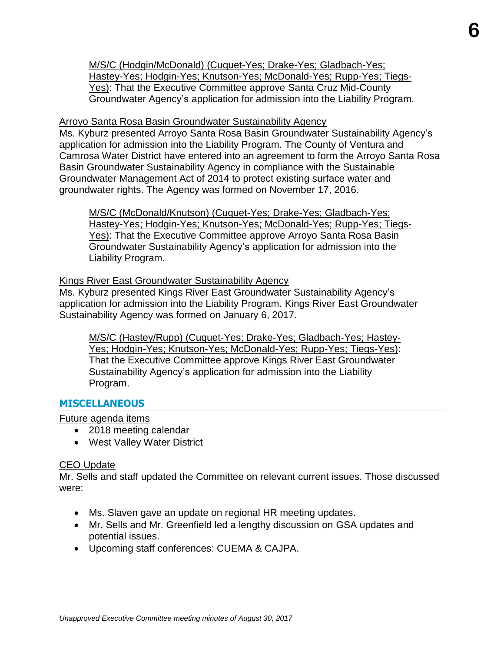M/S/C (Hodgin/McDonald) (Cuquet-Yes; Drake-Yes; Gladbach-Yes; Hastey-Yes; Hodgin-Yes; Knutson-Yes; McDonald-Yes; Rupp-Yes; Tiegs-Yes): That the Executive Committee approve Santa Cruz Mid-County Groundwater Agency's application for admission into the Liability Program.

#### Arroyo Santa Rosa Basin Groundwater Sustainability Agency

Ms. Kyburz presented Arroyo Santa Rosa Basin Groundwater Sustainability Agency's application for admission into the Liability Program. The County of Ventura and Camrosa Water District have entered into an agreement to form the Arroyo Santa Rosa Basin Groundwater Sustainability Agency in compliance with the Sustainable Groundwater Management Act of 2014 to protect existing surface water and groundwater rights. The Agency was formed on November 17, 2016.

M/S/C (McDonald/Knutson) (Cuquet-Yes; Drake-Yes; Gladbach-Yes; Hastey-Yes; Hodgin-Yes; Knutson-Yes; McDonald-Yes; Rupp-Yes; Tiegs-Yes): That the Executive Committee approve Arroyo Santa Rosa Basin Groundwater Sustainability Agency's application for admission into the Liability Program.

#### Kings River East Groundwater Sustainability Agency

Ms. Kyburz presented Kings River East Groundwater Sustainability Agency's application for admission into the Liability Program. Kings River East Groundwater Sustainability Agency was formed on January 6, 2017.

M/S/C (Hastey/Rupp) (Cuquet-Yes; Drake-Yes; Gladbach-Yes; Hastey-Yes; Hodgin-Yes; Knutson-Yes; McDonald-Yes; Rupp-Yes; Tiegs-Yes): That the Executive Committee approve Kings River East Groundwater Sustainability Agency's application for admission into the Liability Program.

#### **MISCELLANEOUS**

Future agenda items

- 2018 meeting calendar
- West Valley Water District

#### CEO Update

Mr. Sells and staff updated the Committee on relevant current issues. Those discussed were:

- Ms. Slaven gave an update on regional HR meeting updates.
- Mr. Sells and Mr. Greenfield led a lengthy discussion on GSA updates and potential issues.
- Upcoming staff conferences: CUEMA & CAJPA.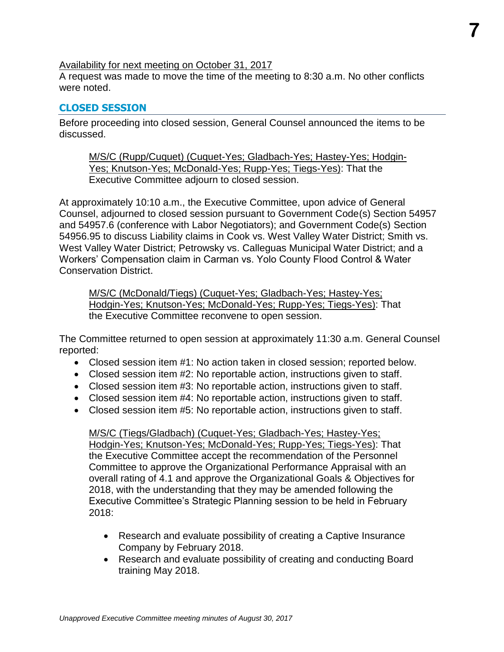#### Availability for next meeting on October 31, 2017

A request was made to move the time of the meeting to 8:30 a.m. No other conflicts were noted.

#### **CLOSED SESSION**

Before proceeding into closed session, General Counsel announced the items to be discussed.

M/S/C (Rupp/Cuquet) (Cuquet-Yes; Gladbach-Yes; Hastey-Yes; Hodgin-Yes; Knutson-Yes; McDonald-Yes; Rupp-Yes; Tiegs-Yes): That the Executive Committee adjourn to closed session.

At approximately 10:10 a.m., the Executive Committee, upon advice of General Counsel, adjourned to closed session pursuant to Government Code(s) Section 54957 and 54957.6 (conference with Labor Negotiators); and Government Code(s) Section 54956.95 to discuss Liability claims in Cook vs. West Valley Water District; Smith vs. West Valley Water District; Petrowsky vs. Calleguas Municipal Water District; and a Workers' Compensation claim in Carman vs. Yolo County Flood Control & Water Conservation District.

M/S/C (McDonald/Tiegs) (Cuquet-Yes; Gladbach-Yes; Hastey-Yes; Hodgin-Yes; Knutson-Yes; McDonald-Yes; Rupp-Yes; Tiegs-Yes): That the Executive Committee reconvene to open session.

The Committee returned to open session at approximately 11:30 a.m. General Counsel reported:

- Closed session item #1: No action taken in closed session; reported below.
- Closed session item #2: No reportable action, instructions given to staff.
- Closed session item #3: No reportable action, instructions given to staff.
- Closed session item #4: No reportable action, instructions given to staff.
- Closed session item #5: No reportable action, instructions given to staff.

M/S/C (Tiegs/Gladbach) (Cuquet-Yes; Gladbach-Yes; Hastey-Yes; Hodgin-Yes; Knutson-Yes; McDonald-Yes; Rupp-Yes; Tiegs-Yes): That the Executive Committee accept the recommendation of the Personnel Committee to approve the Organizational Performance Appraisal with an overall rating of 4.1 and approve the Organizational Goals & Objectives for 2018, with the understanding that they may be amended following the Executive Committee's Strategic Planning session to be held in February 2018:

- Research and evaluate possibility of creating a Captive Insurance Company by February 2018.
- Research and evaluate possibility of creating and conducting Board training May 2018.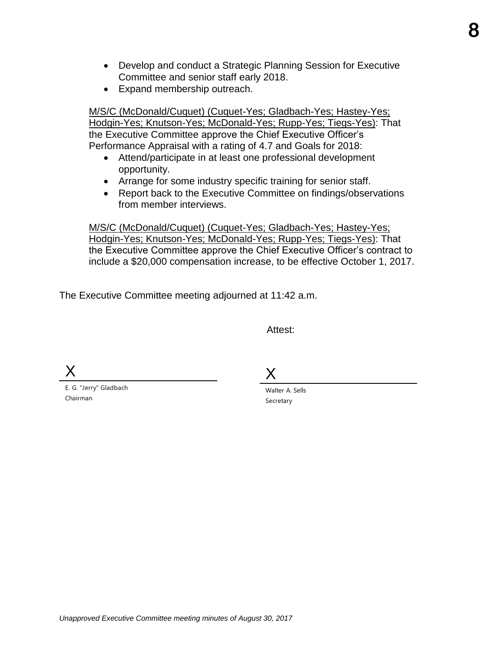- Develop and conduct a Strategic Planning Session for Executive Committee and senior staff early 2018.
- Expand membership outreach.

M/S/C (McDonald/Cuquet) (Cuquet-Yes; Gladbach-Yes; Hastey-Yes; Hodgin-Yes; Knutson-Yes; McDonald-Yes; Rupp-Yes; Tiegs-Yes): That the Executive Committee approve the Chief Executive Officer's Performance Appraisal with a rating of 4.7 and Goals for 2018:

- Attend/participate in at least one professional development opportunity.
- Arrange for some industry specific training for senior staff.
- Report back to the Executive Committee on findings/observations from member interviews.

M/S/C (McDonald/Cuquet) (Cuquet-Yes; Gladbach-Yes; Hastey-Yes; Hodgin-Yes; Knutson-Yes; McDonald-Yes; Rupp-Yes; Tiegs-Yes): That the Executive Committee approve the Chief Executive Officer's contract to include a \$20,000 compensation increase, to be effective October 1, 2017.

The Executive Committee meeting adjourned at 11:42 a.m.

Attest:

X

E. G. "Jerry" Gladbach Chairman

X

Walter A. Sells Secretary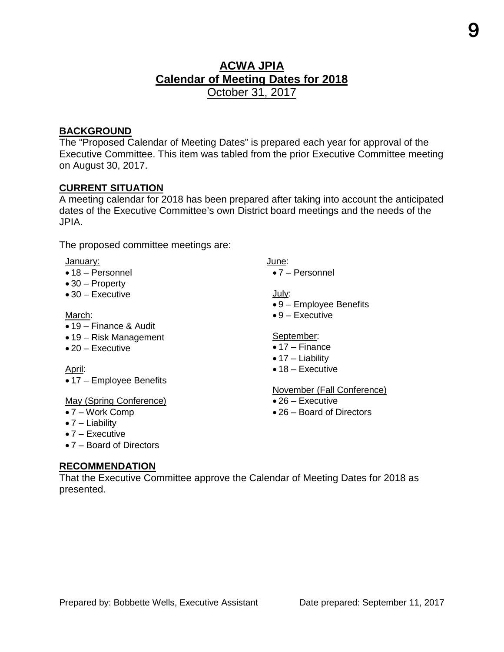#### **ACWA JPIA Calendar of Meeting Dates for 2018**  October 31, 2017

#### **BACKGROUND**

The "Proposed Calendar of Meeting Dates" is prepared each year for approval of the Executive Committee. This item was tabled from the prior Executive Committee meeting on August 30, 2017.

#### **CURRENT SITUATION**

A meeting calendar for 2018 has been prepared after taking into account the anticipated dates of the Executive Committee's own District board meetings and the needs of the JPIA.

The proposed committee meetings are:

#### January:

- 18 Personnel
- 30 Property
- 30 Executive

#### March:

- 19 Finance & Audit
- 19 Risk Management
- 20 Executive

April:

• 17 – Employee Benefits

#### May (Spring Conference)

- 7 Work Comp
- 7 Liability
- 7 Executive
- 7 Board of Directors

#### **RECOMMENDATION**

That the Executive Committee approve the Calendar of Meeting Dates for 2018 as presented.

- June:
	- 7 Personnel

July:

- 9 Employee Benefits
- 9 Executive

#### September:

- 17 Finance
- 17 Liability
- 18 Executive

#### November (Fall Conference)

- 26 Executive
- 26 Board of Directors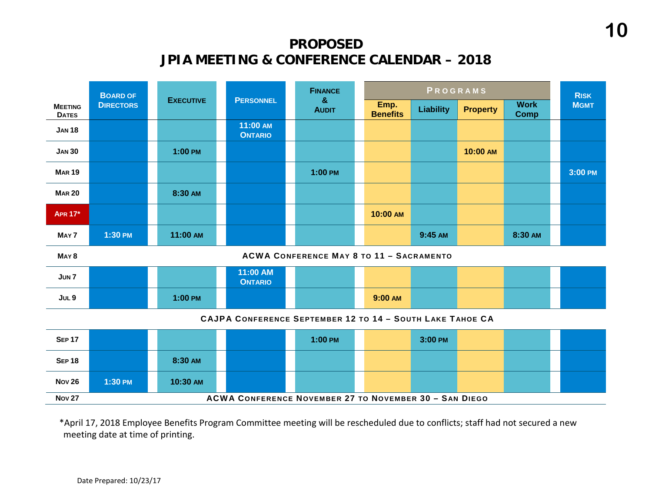## **PROPOSED JPIA MEETING & CONFERENCE CALENDAR – 2018**

|                                                           | <b>BOARD OF</b>  |                  | <b>FINANCE</b>                                                |                                                 | PROGRAMS |                         |                  | <b>RISK</b>     |                            |             |
|-----------------------------------------------------------|------------------|------------------|---------------------------------------------------------------|-------------------------------------------------|----------|-------------------------|------------------|-----------------|----------------------------|-------------|
| <b>MEETING</b><br><b>DATES</b>                            | <b>DIRECTORS</b> | <b>EXECUTIVE</b> | <b>PERSONNEL</b>                                              | $\boldsymbol{\alpha}$<br><b>AUDIT</b>           |          | Emp.<br><b>Benefits</b> | <b>Liability</b> | <b>Property</b> | <b>Work</b><br><b>Comp</b> | <b>MGMT</b> |
| <b>JAN 18</b>                                             |                  |                  | 11:00 AM<br><b>ONTARIO</b>                                    |                                                 |          |                         |                  |                 |                            |             |
| <b>JAN 30</b>                                             |                  | 1:00 PM          |                                                               |                                                 |          |                         |                  | 10:00 AM        |                            |             |
| <b>MAR 19</b>                                             |                  |                  |                                                               | $1:00$ PM                                       |          |                         |                  |                 |                            | 3:00 PM     |
| <b>MAR 20</b>                                             |                  | 8:30 AM          |                                                               |                                                 |          |                         |                  |                 |                            |             |
| <b>APR 17*</b>                                            |                  |                  |                                                               |                                                 |          | 10:00 AM                |                  |                 |                            |             |
| MAY 7                                                     | 1:30 PM          | 11:00 AM         |                                                               |                                                 |          |                         | 9:45 AM          |                 | 8:30 AM                    |             |
| MAY <sub>8</sub>                                          |                  |                  |                                                               | <b>ACWA CONFERENCE MAY 8 TO 11 - SACRAMENTO</b> |          |                         |                  |                 |                            |             |
| JUN <sub>7</sub>                                          |                  |                  | 11:00 AM<br><b>ONTARIO</b>                                    |                                                 |          |                         |                  |                 |                            |             |
| JUL <sub>9</sub>                                          |                  | 1:00 PM          |                                                               |                                                 |          | 9:00 AM                 |                  |                 |                            |             |
| CAJPA CONFERENCE SEPTEMBER 12 TO 14 - SOUTH LAKE TAHOE CA |                  |                  |                                                               |                                                 |          |                         |                  |                 |                            |             |
| <b>SEP 17</b>                                             |                  |                  |                                                               | 1:00 PM                                         |          |                         | 3:00 PM          |                 |                            |             |
| <b>SEP 18</b>                                             |                  | 8:30 AM          |                                                               |                                                 |          |                         |                  |                 |                            |             |
| <b>Nov 26</b>                                             | 1:30 PM          | 10:30 AM         |                                                               |                                                 |          |                         |                  |                 |                            |             |
| <b>Nov 27</b>                                             |                  |                  | <b>ACWA CONFERENCE NOVEMBER 27 TO NOVEMBER 30 - SAN DIEGO</b> |                                                 |          |                         |                  |                 |                            |             |

\*April 17, 2018 Employee Benefits Program Committee meeting will be rescheduled due to conflicts; staff had not secured a new meeting date at time of printing.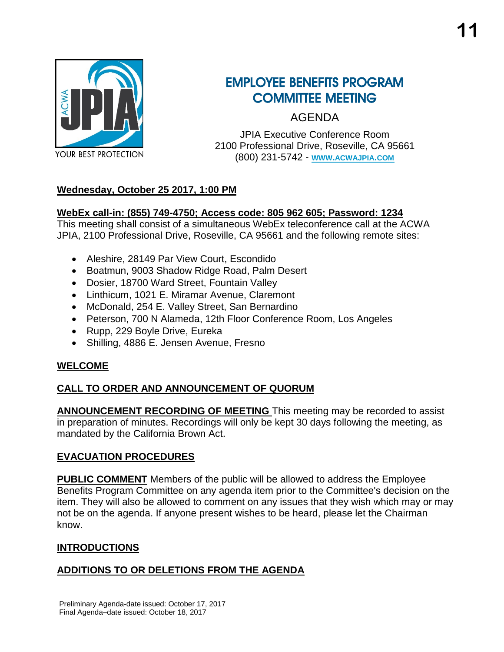

## EMPLOYEE BENEFITS PROGRAM COMMITTEE MEETING

AGENDA

JPIA Executive Conference Room 2100 Professional Drive, Roseville, CA 95661 (800) 231-5742 - **[WWW.ACWAJPIA.COM](http://www.acwajpia.com/)**

#### **Wednesday, October 25 2017, 1:00 PM**

#### **WebEx call-in: (855) 749-4750; Access code: 805 962 605; Password: 1234**

This meeting shall consist of a simultaneous WebEx teleconference call at the ACWA JPIA, 2100 Professional Drive, Roseville, CA 95661 and the following remote sites:

- Aleshire, 28149 Par View Court, Escondido
- Boatmun, 9003 Shadow Ridge Road, Palm Desert
- Dosier, 18700 Ward Street, Fountain Valley
- Linthicum, 1021 E. Miramar Avenue, Claremont
- McDonald, 254 E. Valley Street, San Bernardino
- Peterson, 700 N Alameda, 12th Floor Conference Room, Los Angeles
- Rupp, 229 Boyle Drive, Eureka
- Shilling, 4886 E. Jensen Avenue, Fresno

#### **WELCOME**

#### **CALL TO ORDER AND ANNOUNCEMENT OF QUORUM**

**ANNOUNCEMENT RECORDING OF MEETING** This meeting may be recorded to assist in preparation of minutes. Recordings will only be kept 30 days following the meeting, as mandated by the California Brown Act.

#### **EVACUATION PROCEDURES**

**PUBLIC COMMENT** Members of the public will be allowed to address the Employee Benefits Program Committee on any agenda item prior to the Committee's decision on the item. They will also be allowed to comment on any issues that they wish which may or may not be on the agenda. If anyone present wishes to be heard, please let the Chairman know.

#### **INTRODUCTIONS**

#### **ADDITIONS TO OR DELETIONS FROM THE AGENDA**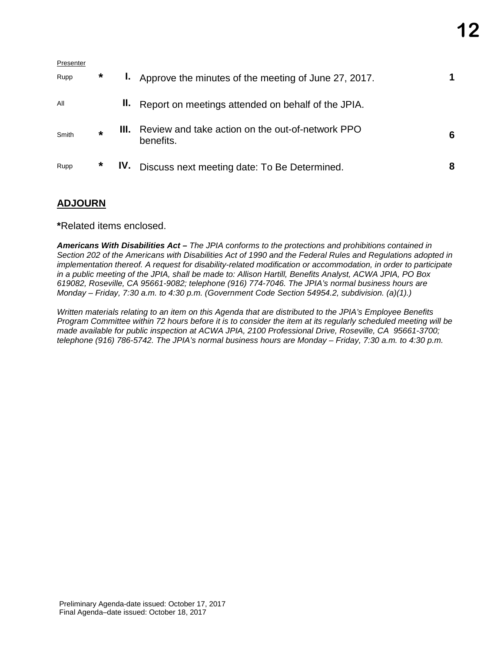| Presenter |         |     |                                                                    |   |
|-----------|---------|-----|--------------------------------------------------------------------|---|
| Rupp      | $\ast$  |     | <b>I.</b> Approve the minutes of the meeting of June 27, 2017.     |   |
| All       |         |     | II. Report on meetings attended on behalf of the JPIA.             |   |
| Smith     | $\star$ |     | III. Review and take action on the out-of-network PPO<br>benefits. | 6 |
| Rupp      | *       | IV. | Discuss next meeting date: To Be Determined.                       | 8 |

#### **ADJOURN**

**\***Related items enclosed.

*Americans With Disabilities Act – The JPIA conforms to the protections and prohibitions contained in Section 202 of the Americans with Disabilities Act of 1990 and the Federal Rules and Regulations adopted in implementation thereof. A request for disability-related modification or accommodation, in order to participate in a public meeting of the JPIA, shall be made to: Allison Hartill, Benefits Analyst, ACWA JPIA, PO Box 619082, Roseville, CA 95661-9082; telephone (916) 774-7046. The JPIA's normal business hours are Monday – Friday, 7:30 a.m. to 4:30 p.m. (Government Code Section 54954.2, subdivision. (a)(1).)*

*Written materials relating to an item on this Agenda that are distributed to the JPIA's Employee Benefits Program Committee within 72 hours before it is to consider the item at its regularly scheduled meeting will be made available for public inspection at ACWA JPIA, 2100 Professional Drive, Roseville, CA 95661-3700; telephone (916) 786-5742. The JPIA's normal business hours are Monday – Friday, 7:30 a.m. to 4:30 p.m.*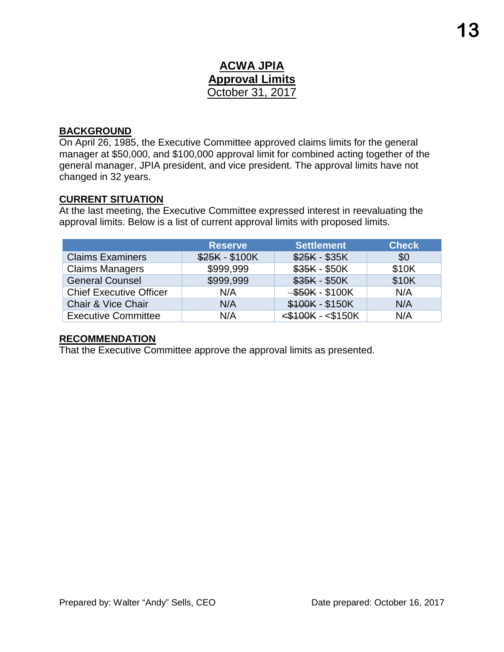#### **ACWA JPIA Approval Limits** October 31, 2017

#### **BACKGROUND**

On April 26, 1985, the Executive Committee approved claims limits for the general manager at \$50,000, and \$100,000 approval limit for combined acting together of the general manager, JPIA president, and vice president. The approval limits have not changed in 32 years.

#### **CURRENT SITUATION**

At the last meeting, the Executive Committee expressed interest in reevaluating the approval limits. Below is a list of current approval limits with proposed limits.

|                                | <b>Reserve</b> | <b>Settlement</b>       | <b>Check</b> |
|--------------------------------|----------------|-------------------------|--------------|
| <b>Claims Examiners</b>        | \$25K - \$100K | $$25K - $35K$           | \$0          |
| <b>Claims Managers</b>         | \$999,999      | \$35K - \$50K           | \$10K        |
| <b>General Counsel</b>         | \$999,999      | $$35K - $50K$           | \$10K        |
| <b>Chief Executive Officer</b> | N/A            | $-$ \$50K - \$100K      | N/A          |
| Chair & Vice Chair             | N/A            | \$100K - \$150K         | N/A          |
| <b>Executive Committee</b>     | N/A            | $<$ \$100K - $<$ \$150K | N/A          |

#### **RECOMMENDATION**

That the Executive Committee approve the approval limits as presented.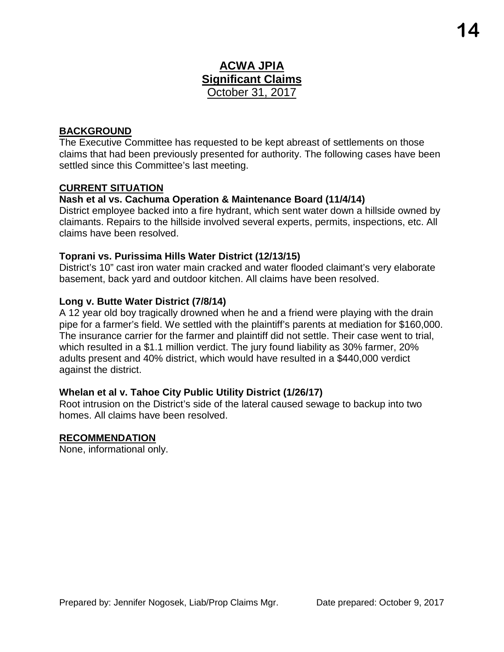#### **ACWA JPIA Significant Claims** October 31, 2017

#### **BACKGROUND**

The Executive Committee has requested to be kept abreast of settlements on those claims that had been previously presented for authority. The following cases have been settled since this Committee's last meeting.

#### **CURRENT SITUATION**

#### **Nash et al vs. Cachuma Operation & Maintenance Board (11/4/14)**

District employee backed into a fire hydrant, which sent water down a hillside owned by claimants. Repairs to the hillside involved several experts, permits, inspections, etc. All claims have been resolved.

#### **Toprani vs. Purissima Hills Water District (12/13/15)**

District's 10" cast iron water main cracked and water flooded claimant's very elaborate basement, back yard and outdoor kitchen. All claims have been resolved.

#### **Long v. Butte Water District (7/8/14)**

A 12 year old boy tragically drowned when he and a friend were playing with the drain pipe for a farmer's field. We settled with the plaintiff's parents at mediation for \$160,000. The insurance carrier for the farmer and plaintiff did not settle. Their case went to trial, which resulted in a \$1.1 million verdict. The jury found liability as 30% farmer, 20% adults present and 40% district, which would have resulted in a \$440,000 verdict against the district.

#### **Whelan et al v. Tahoe City Public Utility District (1/26/17)**

Root intrusion on the District's side of the lateral caused sewage to backup into two homes. All claims have been resolved.

#### **RECOMMENDATION**

None, informational only.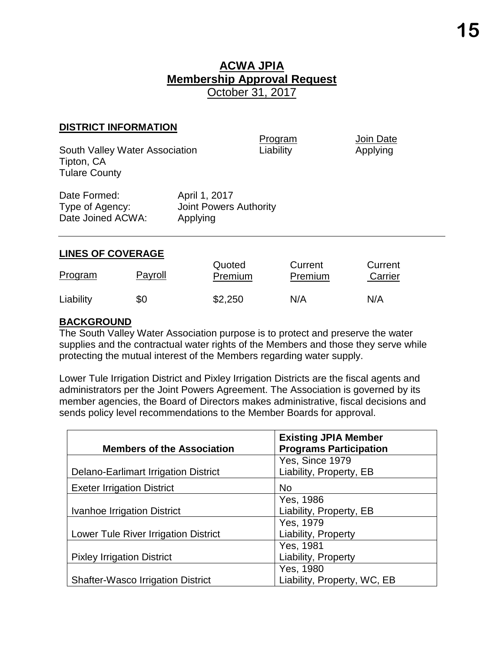#### **ACWA JPIA Membership Approval Request** October 31, 2017

#### **DISTRICT INFORMATION**

Program Join Date South Valley Water Association **Liability Applying** Tipton, CA Tulare County Date Formed: April 1, 2017 Type of Agency: Joint Powers Authority Date Joined ACWA: Applying

#### **LINES OF COVERAGE**

| Program   | Payroll | Quoted<br><b>Premium</b> | Current<br>Premium | Current<br>Carrier |
|-----------|---------|--------------------------|--------------------|--------------------|
| Liability | \$0     | \$2,250                  | N/A                | N/A                |

#### **BACKGROUND**

The South Valley Water Association purpose is to protect and preserve the water supplies and the contractual water rights of the Members and those they serve while protecting the mutual interest of the Members regarding water supply.

Lower Tule Irrigation District and Pixley Irrigation Districts are the fiscal agents and administrators per the Joint Powers Agreement. The Association is governed by its member agencies, the Board of Directors makes administrative, fiscal decisions and sends policy level recommendations to the Member Boards for approval.

| <b>Members of the Association</b>           | <b>Existing JPIA Member</b><br><b>Programs Participation</b> |
|---------------------------------------------|--------------------------------------------------------------|
|                                             |                                                              |
|                                             | Yes, Since 1979                                              |
| <b>Delano-Earlimart Irrigation District</b> | Liability, Property, EB                                      |
| <b>Exeter Irrigation District</b>           | <b>No</b>                                                    |
|                                             | Yes, 1986                                                    |
| <b>Ivanhoe Irrigation District</b>          | Liability, Property, EB                                      |
|                                             | Yes, 1979                                                    |
| <b>Lower Tule River Irrigation District</b> | Liability, Property                                          |
|                                             | Yes, 1981                                                    |
| <b>Pixley Irrigation District</b>           | Liability, Property                                          |
|                                             | Yes, 1980                                                    |
| <b>Shafter-Wasco Irrigation District</b>    | Liability, Property, WC, EB                                  |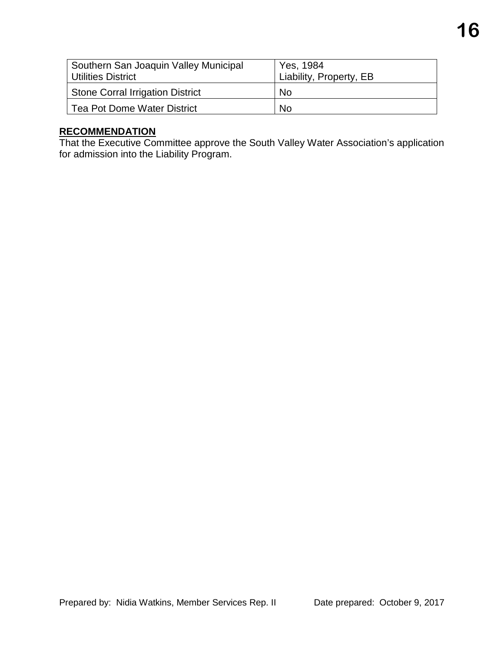| Southern San Joaquin Valley Municipal<br><b>Utilities District</b> | Yes, 1984<br>Liability, Property, EB |
|--------------------------------------------------------------------|--------------------------------------|
| <b>Stone Corral Irrigation District</b>                            | No.                                  |
| Tea Pot Dome Water District                                        | <b>No</b>                            |

#### **RECOMMENDATION**

That the Executive Committee approve the South Valley Water Association's application for admission into the Liability Program.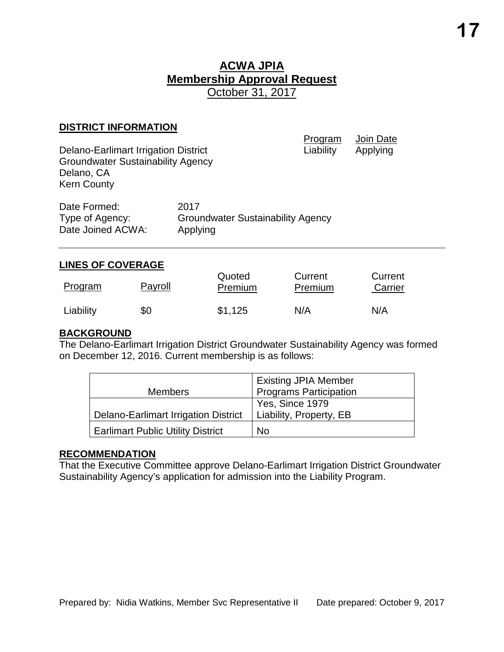#### **ACWA JPIA Membership Approval Request** October 31, 2017

#### **DISTRICT INFORMATION**

| <b>Delano-Earlimart Irrigation District</b><br><b>Groundwater Sustainability Agency</b><br>Delano, CA<br><b>Kern County</b> |                                                              | Program<br>Liability | Join Date<br>Applying |
|-----------------------------------------------------------------------------------------------------------------------------|--------------------------------------------------------------|----------------------|-----------------------|
| Date Formed:<br>Type of Agency:<br>Date Joined ACWA:                                                                        | 2017<br><b>Groundwater Sustainability Agency</b><br>Applying |                      |                       |
| <b>LINES OF COVERAGE</b>                                                                                                    |                                                              |                      |                       |

#### Program Payroll Quoted **Premium Current Premium Current** Carrier Liability \$0 \$1,125 N/A N/A

#### **BACKGROUND**

The Delano-Earlimart Irrigation District Groundwater Sustainability Agency was formed on December 12, 2016. Current membership is as follows:

| <b>Members</b>                              | <b>Existing JPIA Member</b><br><b>Programs Participation</b> |
|---------------------------------------------|--------------------------------------------------------------|
| <b>Delano-Earlimart Irrigation District</b> | Yes, Since 1979<br>Liability, Property, EB                   |
| <b>Earlimart Public Utility District</b>    | No                                                           |

#### **RECOMMENDATION**

That the Executive Committee approve Delano-Earlimart Irrigation District Groundwater Sustainability Agency's application for admission into the Liability Program.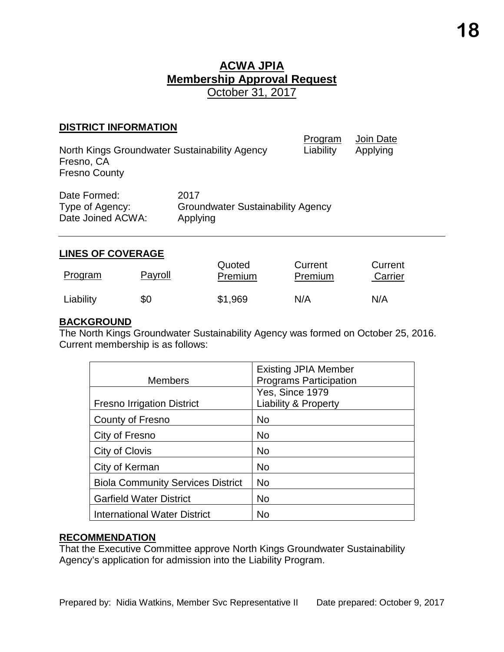#### **ACWA JPIA Membership Approval Request** October 31, 2017

#### **DISTRICT INFORMATION**

| North Kings Groundwater Sustainability Agency<br>Fresno, CA<br><b>Fresno County</b> |                                                              | Program<br>Liability | Join Date<br>Applying |
|-------------------------------------------------------------------------------------|--------------------------------------------------------------|----------------------|-----------------------|
| Date Formed:<br>Type of Agency:<br>Date Joined ACWA:                                | 2017<br><b>Groundwater Sustainability Agency</b><br>Applying |                      |                       |

#### **LINES OF COVERAGE**

| Program   | Payroll | Quoted<br>Premium | Current<br>Premium | Current<br>Carrier |
|-----------|---------|-------------------|--------------------|--------------------|
| Liability | \$0     | \$1,969           | N/A                | N/A                |

#### **BACKGROUND**

The North Kings Groundwater Sustainability Agency was formed on October 25, 2016. Current membership is as follows:

|                                          | <b>Existing JPIA Member</b>     |
|------------------------------------------|---------------------------------|
| <b>Members</b>                           | <b>Programs Participation</b>   |
|                                          | Yes, Since 1979                 |
| <b>Fresno Irrigation District</b>        | <b>Liability &amp; Property</b> |
| County of Fresno                         | No                              |
| City of Fresno                           | <b>No</b>                       |
| City of Clovis                           | <b>No</b>                       |
| City of Kerman                           | <b>No</b>                       |
| <b>Biola Community Services District</b> | No                              |
| <b>Garfield Water District</b>           | <b>No</b>                       |
| <b>International Water District</b>      | No                              |

#### **RECOMMENDATION**

That the Executive Committee approve North Kings Groundwater Sustainability Agency's application for admission into the Liability Program.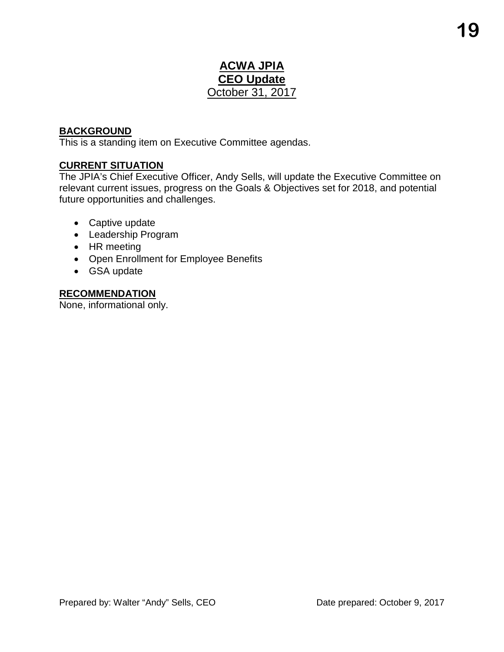#### **ACWA JPIA CEO Update** October 31, 2017

#### **BACKGROUND**

This is a standing item on Executive Committee agendas.

#### **CURRENT SITUATION**

The JPIA's Chief Executive Officer, Andy Sells, will update the Executive Committee on relevant current issues, progress on the Goals & Objectives set for 2018, and potential future opportunities and challenges.

- Captive update
- Leadership Program
- HR meeting
- Open Enrollment for Employee Benefits
- GSA update

#### **RECOMMENDATION**

None, informational only.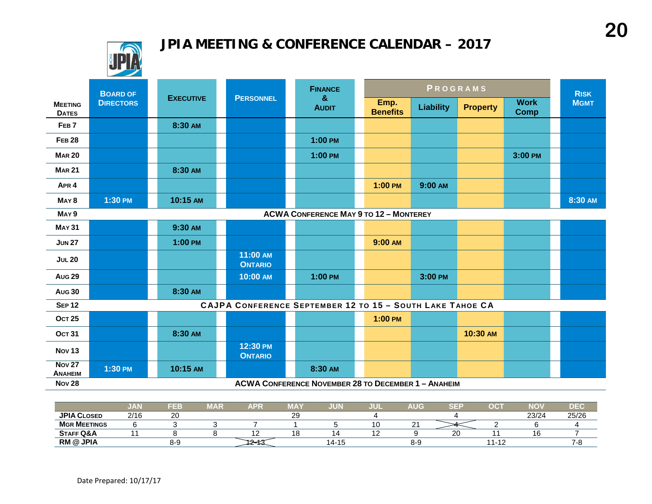## **JPIA MEETING & CONFERENCE CALENDAR – 2017**



|                                                                   | <b>BOARD OF</b>                                            |                  |                                                           | <b>FINANCE</b>    |  |                         | PROGRAMS         |                 |                            | <b>RISK</b> |
|-------------------------------------------------------------------|------------------------------------------------------------|------------------|-----------------------------------------------------------|-------------------|--|-------------------------|------------------|-----------------|----------------------------|-------------|
| <b>MEETING</b><br><b>DATES</b>                                    | <b>DIRECTORS</b>                                           | <b>EXECUTIVE</b> | <b>PERSONNEL</b>                                          | &<br><b>AUDIT</b> |  | Emp.<br><b>Benefits</b> | <b>Liability</b> | <b>Property</b> | <b>Work</b><br><b>Comp</b> | <b>MGMT</b> |
| FEB <sub>7</sub>                                                  |                                                            | 8:30 AM          |                                                           |                   |  |                         |                  |                 |                            |             |
| <b>FEB 28</b>                                                     |                                                            |                  |                                                           | $1:00$ PM         |  |                         |                  |                 |                            |             |
| <b>MAR 20</b>                                                     |                                                            |                  |                                                           | 1:00 PM           |  |                         |                  |                 | 3:00 PM                    |             |
| <b>MAR 21</b>                                                     |                                                            | 8:30 AM          |                                                           |                   |  |                         |                  |                 |                            |             |
| APR <sub>4</sub>                                                  |                                                            |                  |                                                           |                   |  | $1:00$ PM               | 9:00 AM          |                 |                            |             |
| MAY <sub>8</sub>                                                  | 1:30 PM                                                    | 10:15 AM         |                                                           |                   |  |                         |                  |                 |                            | 8:30 AM     |
| <b>ACWA CONFERENCE MAY 9 TO 12 - MONTEREY</b><br>MAY <sub>9</sub> |                                                            |                  |                                                           |                   |  |                         |                  |                 |                            |             |
| <b>MAY 31</b>                                                     |                                                            | 9:30 AM          |                                                           |                   |  |                         |                  |                 |                            |             |
| <b>JUN 27</b>                                                     |                                                            | $1:00$ PM        |                                                           |                   |  | 9:00 AM                 |                  |                 |                            |             |
| <b>JUL 20</b>                                                     |                                                            |                  | 11:00 AM<br><b>ONTARIO</b>                                |                   |  |                         |                  |                 |                            |             |
| <b>Aug 29</b>                                                     |                                                            |                  | 10:00 AM                                                  | 1:00 PM           |  |                         | 3:00 PM          |                 |                            |             |
| <b>Aug 30</b>                                                     |                                                            | 8:30 AM          |                                                           |                   |  |                         |                  |                 |                            |             |
| <b>SEP 12</b>                                                     |                                                            |                  | CAJPA CONFERENCE SEPTEMBER 12 TO 15 - SOUTH LAKE TAHOE CA |                   |  |                         |                  |                 |                            |             |
| <b>OCT 25</b>                                                     |                                                            |                  |                                                           |                   |  | $1:00$ PM               |                  |                 |                            |             |
| <b>OCT 31</b>                                                     |                                                            | 8:30 AM          |                                                           |                   |  |                         |                  | 10:30 AM        |                            |             |
| <b>Nov 13</b>                                                     |                                                            |                  | 12:30 PM<br><b>ONTARIO</b>                                |                   |  |                         |                  |                 |                            |             |
| <b>Nov 27</b><br><b>ANAHEIM</b>                                   | 1:30 PM                                                    | 10:15 AM         |                                                           | 8:30 AM           |  |                         |                  |                 |                            |             |
| <b>Nov 28</b>                                                     | <b>ACWA CONFERENCE NOVEMBER 28 TO DECEMBER 1 - ANAHEIM</b> |                  |                                                           |                   |  |                         |                  |                 |                            |             |

|                      | וובעי | FEB            | MAR | APF | <b>MA</b> | JUN   | JUI | AUG           | $\sim$ $=$ | ОC                          | <b>NO</b> | DEC                            |
|----------------------|-------|----------------|-----|-----|-----------|-------|-----|---------------|------------|-----------------------------|-----------|--------------------------------|
| <b>JPIA CLOSED</b>   | 2/16  | $\Omega$<br>∠∪ |     |     | ົ<br>∠⊃   |       |     |               |            |                             | 23/24     | 25/26                          |
| <b>MGR MEETINGS</b>  |       |                |     |     |           |       | ΙU  | ⌒<br><u>_</u> |            |                             |           |                                |
| <b>STAFF Q&amp;A</b> |       |                |     |     | 0         |       | --  |               | o          |                             | 16        |                                |
| <b>RM @ JPIA</b>     |       | 8-9            |     |     |           | 14-15 |     | 8-9           |            | $-11 - 1$<br>$\overline{a}$ |           | $\overline{\phantom{a}}$<br>л. |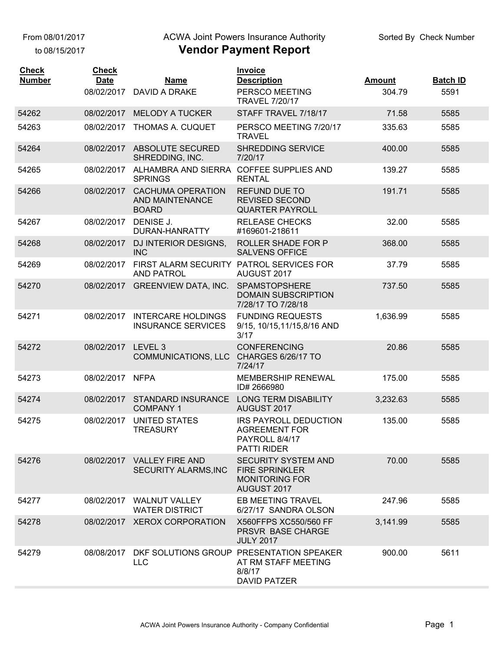to 08/15/2017

#### ACWA Joint Powers Insurance Authority

| <b>MELODY A TUCKER</b><br>STAFF TRAVEL 7/18/17<br>54262<br>08/02/2017<br>71.58<br>5585<br>PERSCO MEETING 7/20/17<br>54263<br>08/02/2017<br><b>THOMAS A. CUQUET</b><br>335.63<br>5585<br><b>TRAVEL</b><br>08/02/2017 ABSOLUTE SECURED<br><b>SHREDDING SERVICE</b><br>400.00<br>54264<br>5585<br>SHREDDING, INC.<br>7/20/17<br>ALHAMBRA AND SIERRA<br><b>COFFEE SUPPLIES AND</b><br>08/02/2017<br>139.27<br>5585<br>54265<br><b>SPRINGS</b><br><b>RENTAL</b><br><b>CACHUMA OPERATION</b><br><b>REFUND DUE TO</b><br>08/02/2017<br>191.71<br>5585<br>54266<br><b>REVISED SECOND</b><br>AND MAINTENANCE<br><b>BOARD</b><br><b>QUARTER PAYROLL</b><br><b>RELEASE CHECKS</b><br>DENISE J.<br>08/02/2017<br>32.00<br>5585<br>54267<br>DURAN-HANRATTY<br>#169601-218611<br><b>ROLLER SHADE FOR P</b><br>54268<br>08/02/2017<br>DJ INTERIOR DESIGNS.<br>368.00<br>5585<br><b>INC</b><br><b>SALVENS OFFICE</b><br>FIRST ALARM SECURITY PATROL SERVICES FOR<br>54269<br>08/02/2017<br>37.79<br>5585<br>AUGUST 2017<br><b>AND PATROL</b><br><b>GREENVIEW DATA, INC.</b><br><b>SPAMSTOPSHERE</b><br>54270<br>08/02/2017<br>737.50<br>5585<br><b>DOMAIN SUBSCRIPTION</b><br>7/28/17 TO 7/28/18<br><b>FUNDING REQUESTS</b><br><b>INTERCARE HOLDINGS</b><br>54271<br>08/02/2017<br>1,636.99<br>5585<br><b>INSURANCE SERVICES</b><br>9/15, 10/15, 11/15, 8/16 AND<br>3/17<br>08/02/2017<br>LEVEL <sub>3</sub><br><b>CONFERENCING</b><br>20.86<br>5585<br>54272<br><b>CHARGES 6/26/17 TO</b><br><b>COMMUNICATIONS, LLC</b><br>7/24/17<br><b>MEMBERSHIP RENEWAL</b><br>175.00<br>54273<br>08/02/2017<br><b>NFPA</b><br>5585<br>ID# 2666980<br><b>STANDARD INSURANCE</b><br><b>LONG TERM DISABILITY</b><br>08/02/2017<br>3,232.63<br>5585<br>54274<br><b>COMPANY 1</b><br>AUGUST 2017<br><b>UNITED STATES</b><br>IRS PAYROLL DEDUCTION<br>54275<br>08/02/2017<br>135.00<br>5585<br><b>TREASURY</b><br><b>AGREEMENT FOR</b><br>PAYROLL 8/4/17<br><b>PATTI RIDER</b><br><b>SECURITY SYSTEM AND</b><br>70.00<br>5585<br>54276<br>08/02/2017 VALLEY FIRE AND<br><b>SECURITY ALARMS, INC</b><br><b>FIRE SPRINKLER</b><br><b>MONITORING FOR</b><br>AUGUST 2017<br><b>EB MEETING TRAVEL</b><br>08/02/2017 WALNUT VALLEY<br>54277<br>247.96<br>5585<br><b>WATER DISTRICT</b><br>6/27/17 SANDRA OLSON<br>X560FFPS XC550/560 FF<br>08/02/2017 XEROX CORPORATION<br>3,141.99<br>54278<br>5585<br>PRSVR BASE CHARGE<br><b>JULY 2017</b><br>DKF SOLUTIONS GROUP PRESENTATION SPEAKER<br>900.00<br>5611<br>08/08/2017<br>54279<br><b>LLC</b><br>AT RM STAFF MEETING<br>8/8/17<br><b>DAVID PATZER</b> | <b>Check</b><br><b>Number</b> | <b>Check</b><br><b>Date</b> | Name<br>08/02/2017 DAVID A DRAKE | <b>Invoice</b><br><b>Description</b><br>PERSCO MEETING<br><b>TRAVEL 7/20/17</b> | <b>Amount</b><br>304.79 | <b>Batch ID</b><br>5591 |
|--------------------------------------------------------------------------------------------------------------------------------------------------------------------------------------------------------------------------------------------------------------------------------------------------------------------------------------------------------------------------------------------------------------------------------------------------------------------------------------------------------------------------------------------------------------------------------------------------------------------------------------------------------------------------------------------------------------------------------------------------------------------------------------------------------------------------------------------------------------------------------------------------------------------------------------------------------------------------------------------------------------------------------------------------------------------------------------------------------------------------------------------------------------------------------------------------------------------------------------------------------------------------------------------------------------------------------------------------------------------------------------------------------------------------------------------------------------------------------------------------------------------------------------------------------------------------------------------------------------------------------------------------------------------------------------------------------------------------------------------------------------------------------------------------------------------------------------------------------------------------------------------------------------------------------------------------------------------------------------------------------------------------------------------------------------------------------------------------------------------------------------------------------------------------------------------------------------------------------------------------------------------------------------------------------------------------------------------------------------------------------------------------------------------------------------------------------------------------------------------------------------------------------------------------------------------|-------------------------------|-----------------------------|----------------------------------|---------------------------------------------------------------------------------|-------------------------|-------------------------|
|                                                                                                                                                                                                                                                                                                                                                                                                                                                                                                                                                                                                                                                                                                                                                                                                                                                                                                                                                                                                                                                                                                                                                                                                                                                                                                                                                                                                                                                                                                                                                                                                                                                                                                                                                                                                                                                                                                                                                                                                                                                                                                                                                                                                                                                                                                                                                                                                                                                                                                                                                                    |                               |                             |                                  |                                                                                 |                         |                         |
|                                                                                                                                                                                                                                                                                                                                                                                                                                                                                                                                                                                                                                                                                                                                                                                                                                                                                                                                                                                                                                                                                                                                                                                                                                                                                                                                                                                                                                                                                                                                                                                                                                                                                                                                                                                                                                                                                                                                                                                                                                                                                                                                                                                                                                                                                                                                                                                                                                                                                                                                                                    |                               |                             |                                  |                                                                                 |                         |                         |
|                                                                                                                                                                                                                                                                                                                                                                                                                                                                                                                                                                                                                                                                                                                                                                                                                                                                                                                                                                                                                                                                                                                                                                                                                                                                                                                                                                                                                                                                                                                                                                                                                                                                                                                                                                                                                                                                                                                                                                                                                                                                                                                                                                                                                                                                                                                                                                                                                                                                                                                                                                    |                               |                             |                                  |                                                                                 |                         |                         |
|                                                                                                                                                                                                                                                                                                                                                                                                                                                                                                                                                                                                                                                                                                                                                                                                                                                                                                                                                                                                                                                                                                                                                                                                                                                                                                                                                                                                                                                                                                                                                                                                                                                                                                                                                                                                                                                                                                                                                                                                                                                                                                                                                                                                                                                                                                                                                                                                                                                                                                                                                                    |                               |                             |                                  |                                                                                 |                         |                         |
|                                                                                                                                                                                                                                                                                                                                                                                                                                                                                                                                                                                                                                                                                                                                                                                                                                                                                                                                                                                                                                                                                                                                                                                                                                                                                                                                                                                                                                                                                                                                                                                                                                                                                                                                                                                                                                                                                                                                                                                                                                                                                                                                                                                                                                                                                                                                                                                                                                                                                                                                                                    |                               |                             |                                  |                                                                                 |                         |                         |
|                                                                                                                                                                                                                                                                                                                                                                                                                                                                                                                                                                                                                                                                                                                                                                                                                                                                                                                                                                                                                                                                                                                                                                                                                                                                                                                                                                                                                                                                                                                                                                                                                                                                                                                                                                                                                                                                                                                                                                                                                                                                                                                                                                                                                                                                                                                                                                                                                                                                                                                                                                    |                               |                             |                                  |                                                                                 |                         |                         |
|                                                                                                                                                                                                                                                                                                                                                                                                                                                                                                                                                                                                                                                                                                                                                                                                                                                                                                                                                                                                                                                                                                                                                                                                                                                                                                                                                                                                                                                                                                                                                                                                                                                                                                                                                                                                                                                                                                                                                                                                                                                                                                                                                                                                                                                                                                                                                                                                                                                                                                                                                                    |                               |                             |                                  |                                                                                 |                         |                         |
|                                                                                                                                                                                                                                                                                                                                                                                                                                                                                                                                                                                                                                                                                                                                                                                                                                                                                                                                                                                                                                                                                                                                                                                                                                                                                                                                                                                                                                                                                                                                                                                                                                                                                                                                                                                                                                                                                                                                                                                                                                                                                                                                                                                                                                                                                                                                                                                                                                                                                                                                                                    |                               |                             |                                  |                                                                                 |                         |                         |
|                                                                                                                                                                                                                                                                                                                                                                                                                                                                                                                                                                                                                                                                                                                                                                                                                                                                                                                                                                                                                                                                                                                                                                                                                                                                                                                                                                                                                                                                                                                                                                                                                                                                                                                                                                                                                                                                                                                                                                                                                                                                                                                                                                                                                                                                                                                                                                                                                                                                                                                                                                    |                               |                             |                                  |                                                                                 |                         |                         |
|                                                                                                                                                                                                                                                                                                                                                                                                                                                                                                                                                                                                                                                                                                                                                                                                                                                                                                                                                                                                                                                                                                                                                                                                                                                                                                                                                                                                                                                                                                                                                                                                                                                                                                                                                                                                                                                                                                                                                                                                                                                                                                                                                                                                                                                                                                                                                                                                                                                                                                                                                                    |                               |                             |                                  |                                                                                 |                         |                         |
|                                                                                                                                                                                                                                                                                                                                                                                                                                                                                                                                                                                                                                                                                                                                                                                                                                                                                                                                                                                                                                                                                                                                                                                                                                                                                                                                                                                                                                                                                                                                                                                                                                                                                                                                                                                                                                                                                                                                                                                                                                                                                                                                                                                                                                                                                                                                                                                                                                                                                                                                                                    |                               |                             |                                  |                                                                                 |                         |                         |
|                                                                                                                                                                                                                                                                                                                                                                                                                                                                                                                                                                                                                                                                                                                                                                                                                                                                                                                                                                                                                                                                                                                                                                                                                                                                                                                                                                                                                                                                                                                                                                                                                                                                                                                                                                                                                                                                                                                                                                                                                                                                                                                                                                                                                                                                                                                                                                                                                                                                                                                                                                    |                               |                             |                                  |                                                                                 |                         |                         |
|                                                                                                                                                                                                                                                                                                                                                                                                                                                                                                                                                                                                                                                                                                                                                                                                                                                                                                                                                                                                                                                                                                                                                                                                                                                                                                                                                                                                                                                                                                                                                                                                                                                                                                                                                                                                                                                                                                                                                                                                                                                                                                                                                                                                                                                                                                                                                                                                                                                                                                                                                                    |                               |                             |                                  |                                                                                 |                         |                         |
|                                                                                                                                                                                                                                                                                                                                                                                                                                                                                                                                                                                                                                                                                                                                                                                                                                                                                                                                                                                                                                                                                                                                                                                                                                                                                                                                                                                                                                                                                                                                                                                                                                                                                                                                                                                                                                                                                                                                                                                                                                                                                                                                                                                                                                                                                                                                                                                                                                                                                                                                                                    |                               |                             |                                  |                                                                                 |                         |                         |
|                                                                                                                                                                                                                                                                                                                                                                                                                                                                                                                                                                                                                                                                                                                                                                                                                                                                                                                                                                                                                                                                                                                                                                                                                                                                                                                                                                                                                                                                                                                                                                                                                                                                                                                                                                                                                                                                                                                                                                                                                                                                                                                                                                                                                                                                                                                                                                                                                                                                                                                                                                    |                               |                             |                                  |                                                                                 |                         |                         |
|                                                                                                                                                                                                                                                                                                                                                                                                                                                                                                                                                                                                                                                                                                                                                                                                                                                                                                                                                                                                                                                                                                                                                                                                                                                                                                                                                                                                                                                                                                                                                                                                                                                                                                                                                                                                                                                                                                                                                                                                                                                                                                                                                                                                                                                                                                                                                                                                                                                                                                                                                                    |                               |                             |                                  |                                                                                 |                         |                         |
|                                                                                                                                                                                                                                                                                                                                                                                                                                                                                                                                                                                                                                                                                                                                                                                                                                                                                                                                                                                                                                                                                                                                                                                                                                                                                                                                                                                                                                                                                                                                                                                                                                                                                                                                                                                                                                                                                                                                                                                                                                                                                                                                                                                                                                                                                                                                                                                                                                                                                                                                                                    |                               |                             |                                  |                                                                                 |                         |                         |
|                                                                                                                                                                                                                                                                                                                                                                                                                                                                                                                                                                                                                                                                                                                                                                                                                                                                                                                                                                                                                                                                                                                                                                                                                                                                                                                                                                                                                                                                                                                                                                                                                                                                                                                                                                                                                                                                                                                                                                                                                                                                                                                                                                                                                                                                                                                                                                                                                                                                                                                                                                    |                               |                             |                                  |                                                                                 |                         |                         |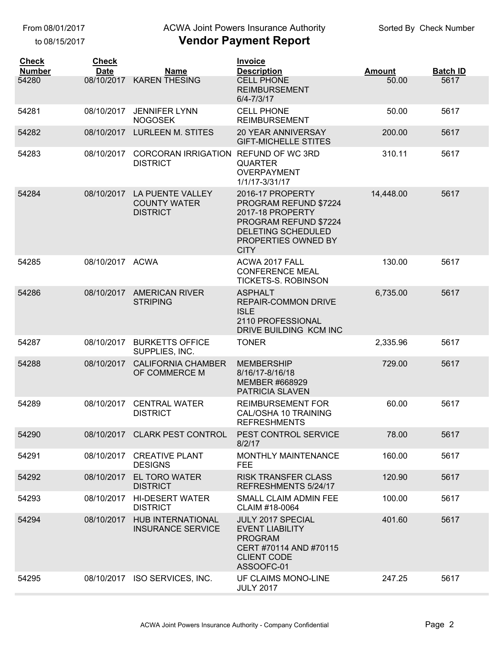to 08/15/2017

## ACWA Joint Powers Insurance Authority

| <b>Check</b>           | <b>Check</b>              |                                                            | Invoice                                                                                                                                            | <b>Amount</b> |                         |
|------------------------|---------------------------|------------------------------------------------------------|----------------------------------------------------------------------------------------------------------------------------------------------------|---------------|-------------------------|
| <b>Number</b><br>54280 | <b>Date</b><br>08/10/2017 | <b>Name</b><br><b>KAREN THESING</b>                        | <b>Description</b><br><b>CELL PHONE</b><br><b>REIMBURSEMENT</b><br>6/4-7/3/17                                                                      | 50.00         | <b>Batch ID</b><br>5617 |
| 54281                  | 08/10/2017                | <b>JENNIFER LYNN</b><br><b>NOGOSEK</b>                     | <b>CELL PHONE</b><br><b>REIMBURSEMENT</b>                                                                                                          | 50.00         | 5617                    |
| 54282                  | 08/10/2017                | <b>LURLEEN M. STITES</b>                                   | <b>20 YEAR ANNIVERSAY</b><br><b>GIFT-MICHELLE STITES</b>                                                                                           | 200.00        | 5617                    |
| 54283                  | 08/10/2017                | <b>CORCORAN IRRIGATION</b><br><b>DISTRICT</b>              | REFUND OF WC 3RD<br><b>QUARTER</b><br><b>OVERPAYMENT</b><br>1/1/17-3/31/17                                                                         | 310.11        | 5617                    |
| 54284                  | 08/10/2017                | LA PUENTE VALLEY<br><b>COUNTY WATER</b><br><b>DISTRICT</b> | 2016-17 PROPERTY<br>PROGRAM REFUND \$7224<br>2017-18 PROPERTY<br>PROGRAM REFUND \$7224<br>DELETING SCHEDULED<br>PROPERTIES OWNED BY<br><b>CITY</b> | 14,448.00     | 5617                    |
| 54285                  | 08/10/2017 ACWA           |                                                            | ACWA 2017 FALL<br><b>CONFERENCE MEAL</b><br><b>TICKETS-S. ROBINSON</b>                                                                             | 130.00        | 5617                    |
| 54286                  |                           | 08/10/2017 AMERICAN RIVER<br><b>STRIPING</b>               | <b>ASPHALT</b><br><b>REPAIR-COMMON DRIVE</b><br><b>ISLE</b><br>2110 PROFESSIONAL<br>DRIVE BUILDING KCM INC                                         | 6,735.00      | 5617                    |
| 54287                  | 08/10/2017                | <b>BURKETTS OFFICE</b><br>SUPPLIES, INC.                   | <b>TONER</b>                                                                                                                                       | 2,335.96      | 5617                    |
| 54288                  | 08/10/2017                | <b>CALIFORNIA CHAMBER</b><br>OF COMMERCE M                 | <b>MEMBERSHIP</b><br>8/16/17-8/16/18<br><b>MEMBER #668929</b><br>PATRICIA SLAVEN                                                                   | 729.00        | 5617                    |
| 54289                  | 08/10/2017                | <b>CENTRAL WATER</b><br><b>DISTRICT</b>                    | <b>REIMBURSEMENT FOR</b><br>CAL/OSHA 10 TRAINING<br><b>REFRESHMENTS</b>                                                                            | 60.00         | 5617                    |
| 54290                  |                           | 08/10/2017 CLARK PEST CONTROL                              | PEST CONTROL SERVICE<br>8/2/17                                                                                                                     | 78.00         | 5617                    |
| 54291                  |                           | 08/10/2017 CREATIVE PLANT<br><b>DESIGNS</b>                | <b>MONTHLY MAINTENANCE</b><br><b>FEE</b>                                                                                                           | 160.00        | 5617                    |
| 54292                  | 08/10/2017                | <b>EL TORO WATER</b><br><b>DISTRICT</b>                    | <b>RISK TRANSFER CLASS</b><br>REFRESHMENTS 5/24/17                                                                                                 | 120.90        | 5617                    |
| 54293                  |                           | 08/10/2017 HI-DESERT WATER<br><b>DISTRICT</b>              | SMALL CLAIM ADMIN FEE<br>CLAIM #18-0064                                                                                                            | 100.00        | 5617                    |
| 54294                  |                           | 08/10/2017 HUB INTERNATIONAL<br><b>INSURANCE SERVICE</b>   | JULY 2017 SPECIAL<br><b>EVENT LIABILITY</b><br><b>PROGRAM</b><br>CERT #70114 AND #70115<br><b>CLIENT CODE</b><br>ASSOOFC-01                        | 401.60        | 5617                    |
| 54295                  |                           | 08/10/2017 ISO SERVICES, INC.                              | UF CLAIMS MONO-LINE<br><b>JULY 2017</b>                                                                                                            | 247.25        | 5617                    |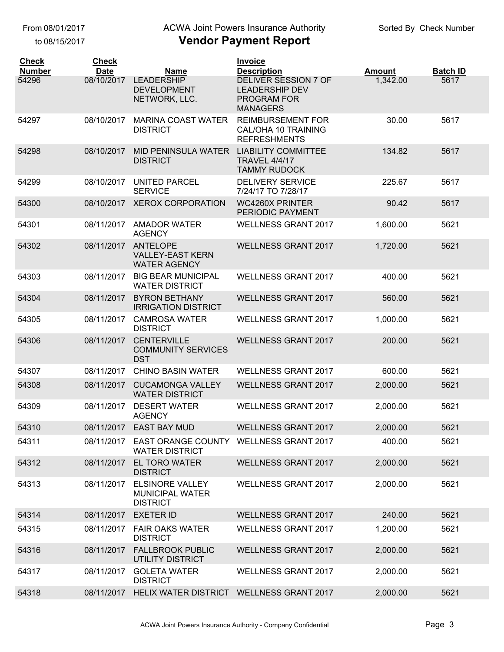to 08/15/2017

### ACWA Joint Powers Insurance Authority

| <b>Check</b><br><b>Number</b> | <b>Check</b><br><b>Date</b> | <b>Name</b>                                                         | <b>Invoice</b><br><b>Description</b>                                                   | <b>Amount</b> | <b>Batch ID</b> |
|-------------------------------|-----------------------------|---------------------------------------------------------------------|----------------------------------------------------------------------------------------|---------------|-----------------|
| 54296                         | 08/10/2017                  | <b>LEADERSHIP</b><br><b>DEVELOPMENT</b><br>NETWORK, LLC.            | <b>DELIVER SESSION 7 OF</b><br><b>LEADERSHIP DEV</b><br>PROGRAM FOR<br><b>MANAGERS</b> | 1,342.00      | 5617            |
| 54297                         | 08/10/2017                  | <b>MARINA COAST WATER</b><br><b>DISTRICT</b>                        | <b>REIMBURSEMENT FOR</b><br>CAL/OHA 10 TRAINING<br><b>REFRESHMENTS</b>                 | 30.00         | 5617            |
| 54298                         | 08/10/2017                  | MID PENINSULA WATER<br><b>DISTRICT</b>                              | <b>LIABILITY COMMITTEE</b><br><b>TRAVEL 4/4/17</b><br><b>TAMMY RUDOCK</b>              | 134.82        | 5617            |
| 54299                         | 08/10/2017                  | <b>UNITED PARCEL</b><br><b>SERVICE</b>                              | <b>DELIVERY SERVICE</b><br>7/24/17 TO 7/28/17                                          | 225.67        | 5617            |
| 54300                         | 08/10/2017                  | <b>XEROX CORPORATION</b>                                            | <b>WC4260X PRINTER</b><br>PERIODIC PAYMENT                                             | 90.42         | 5617            |
| 54301                         |                             | 08/11/2017 AMADOR WATER<br><b>AGENCY</b>                            | <b>WELLNESS GRANT 2017</b>                                                             | 1,600.00      | 5621            |
| 54302                         | 08/11/2017                  | <b>ANTELOPE</b><br><b>VALLEY-EAST KERN</b><br><b>WATER AGENCY</b>   | <b>WELLNESS GRANT 2017</b>                                                             | 1,720.00      | 5621            |
| 54303                         | 08/11/2017                  | <b>BIG BEAR MUNICIPAL</b><br><b>WATER DISTRICT</b>                  | <b>WELLNESS GRANT 2017</b>                                                             | 400.00        | 5621            |
| 54304                         | 08/11/2017                  | <b>BYRON BETHANY</b><br><b>IRRIGATION DISTRICT</b>                  | <b>WELLNESS GRANT 2017</b>                                                             | 560.00        | 5621            |
| 54305                         | 08/11/2017                  | <b>CAMROSA WATER</b><br><b>DISTRICT</b>                             | <b>WELLNESS GRANT 2017</b>                                                             | 1,000.00      | 5621            |
| 54306                         | 08/11/2017                  | <b>CENTERVILLE</b><br><b>COMMUNITY SERVICES</b><br><b>DST</b>       | <b>WELLNESS GRANT 2017</b>                                                             | 200.00        | 5621            |
| 54307                         | 08/11/2017                  | <b>CHINO BASIN WATER</b>                                            | <b>WELLNESS GRANT 2017</b>                                                             | 600.00        | 5621            |
| 54308                         | 08/11/2017                  | <b>CUCAMONGA VALLEY</b><br><b>WATER DISTRICT</b>                    | <b>WELLNESS GRANT 2017</b>                                                             | 2,000.00      | 5621            |
| 54309                         | 08/11/2017                  | <b>DESERT WATER</b><br><b>AGENCY</b>                                | <b>WELLNESS GRANT 2017</b>                                                             | 2,000.00      | 5621            |
| 54310                         |                             | 08/11/2017 EAST BAY MUD                                             | <b>WELLNESS GRANT 2017</b>                                                             | 2,000.00      | 5621            |
| 54311                         | 08/11/2017                  | <b>EAST ORANGE COUNTY</b><br><b>WATER DISTRICT</b>                  | <b>WELLNESS GRANT 2017</b>                                                             | 400.00        | 5621            |
| 54312                         | 08/11/2017                  | <b>EL TORO WATER</b><br><b>DISTRICT</b>                             | <b>WELLNESS GRANT 2017</b>                                                             | 2,000.00      | 5621            |
| 54313                         | 08/11/2017                  | <b>ELSINORE VALLEY</b><br><b>MUNICIPAL WATER</b><br><b>DISTRICT</b> | <b>WELLNESS GRANT 2017</b>                                                             | 2,000.00      | 5621            |
| 54314                         | 08/11/2017                  | <b>EXETER ID</b>                                                    | <b>WELLNESS GRANT 2017</b>                                                             | 240.00        | 5621            |
| 54315                         | 08/11/2017                  | <b>FAIR OAKS WATER</b><br><b>DISTRICT</b>                           | <b>WELLNESS GRANT 2017</b>                                                             | 1,200.00      | 5621            |
| 54316                         | 08/11/2017                  | <b>FALLBROOK PUBLIC</b><br><b>UTILITY DISTRICT</b>                  | <b>WELLNESS GRANT 2017</b>                                                             | 2,000.00      | 5621            |
| 54317                         | 08/11/2017                  | <b>GOLETA WATER</b><br><b>DISTRICT</b>                              | <b>WELLNESS GRANT 2017</b>                                                             | 2,000.00      | 5621            |
| 54318                         | 08/11/2017                  | HELIX WATER DISTRICT WELLNESS GRANT 2017                            |                                                                                        | 2,000.00      | 5621            |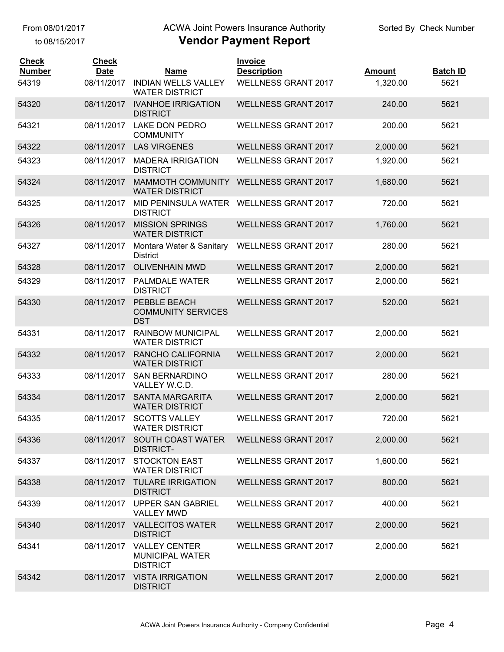to 08/15/2017

## ACWA Joint Powers Insurance Authority

| Vendor Payment Report |  |  |  |
|-----------------------|--|--|--|
|-----------------------|--|--|--|

| <b>Check</b><br><b>Number</b> | <b>Check</b><br><b>Date</b> | <b>Name</b>                                                       | <b>Invoice</b><br><b>Description</b> | <b>Amount</b> | <b>Batch ID</b> |
|-------------------------------|-----------------------------|-------------------------------------------------------------------|--------------------------------------|---------------|-----------------|
| 54319                         | 08/11/2017                  | <b>INDIAN WELLS VALLEY</b><br><b>WATER DISTRICT</b>               | <b>WELLNESS GRANT 2017</b>           | 1,320.00      | 5621            |
| 54320                         | 08/11/2017                  | <b>IVANHOE IRRIGATION</b><br><b>DISTRICT</b>                      | <b>WELLNESS GRANT 2017</b>           | 240.00        | 5621            |
| 54321                         | 08/11/2017                  | <b>LAKE DON PEDRO</b><br><b>COMMUNITY</b>                         | <b>WELLNESS GRANT 2017</b>           | 200.00        | 5621            |
| 54322                         | 08/11/2017                  | <b>LAS VIRGENES</b>                                               | <b>WELLNESS GRANT 2017</b>           | 2,000.00      | 5621            |
| 54323                         | 08/11/2017                  | <b>MADERA IRRIGATION</b><br><b>DISTRICT</b>                       | <b>WELLNESS GRANT 2017</b>           | 1,920.00      | 5621            |
| 54324                         | 08/11/2017                  | MAMMOTH COMMUNITY<br><b>WATER DISTRICT</b>                        | <b>WELLNESS GRANT 2017</b>           | 1,680.00      | 5621            |
| 54325                         | 08/11/2017                  | MID PENINSULA WATER WELLNESS GRANT 2017<br><b>DISTRICT</b>        |                                      | 720.00        | 5621            |
| 54326                         | 08/11/2017                  | <b>MISSION SPRINGS</b><br><b>WATER DISTRICT</b>                   | <b>WELLNESS GRANT 2017</b>           | 1,760.00      | 5621            |
| 54327                         | 08/11/2017                  | Montara Water & Sanitary<br><b>District</b>                       | <b>WELLNESS GRANT 2017</b>           | 280.00        | 5621            |
| 54328                         | 08/11/2017                  | <b>OLIVENHAIN MWD</b>                                             | <b>WELLNESS GRANT 2017</b>           | 2,000.00      | 5621            |
| 54329                         | 08/11/2017                  | PALMDALE WATER<br><b>DISTRICT</b>                                 | <b>WELLNESS GRANT 2017</b>           | 2,000.00      | 5621            |
| 54330                         | 08/11/2017                  | PEBBLE BEACH<br><b>COMMUNITY SERVICES</b><br><b>DST</b>           | <b>WELLNESS GRANT 2017</b>           | 520.00        | 5621            |
| 54331                         | 08/11/2017                  | <b>RAINBOW MUNICIPAL</b><br><b>WATER DISTRICT</b>                 | <b>WELLNESS GRANT 2017</b>           | 2,000.00      | 5621            |
| 54332                         | 08/11/2017                  | RANCHO CALIFORNIA<br><b>WATER DISTRICT</b>                        | <b>WELLNESS GRANT 2017</b>           | 2,000.00      | 5621            |
| 54333                         | 08/11/2017                  | <b>SAN BERNARDINO</b><br>VALLEY W.C.D.                            | <b>WELLNESS GRANT 2017</b>           | 280.00        | 5621            |
| 54334                         | 08/11/2017                  | <b>SANTA MARGARITA</b><br><b>WATER DISTRICT</b>                   | <b>WELLNESS GRANT 2017</b>           | 2,000.00      | 5621            |
| 54335                         | 08/11/2017                  | <b>SCOTTS VALLEY</b><br><b>WATER DISTRICT</b>                     | <b>WELLNESS GRANT 2017</b>           | 720.00        | 5621            |
| 54336                         | 08/11/2017                  | SOUTH COAST WATER<br><b>DISTRICT-</b>                             | <b>WELLNESS GRANT 2017</b>           | 2,000.00      | 5621            |
| 54337                         | 08/11/2017                  | <b>STOCKTON EAST</b><br><b>WATER DISTRICT</b>                     | <b>WELLNESS GRANT 2017</b>           | 1,600.00      | 5621            |
| 54338                         | 08/11/2017                  | <b>TULARE IRRIGATION</b><br><b>DISTRICT</b>                       | <b>WELLNESS GRANT 2017</b>           | 800.00        | 5621            |
| 54339                         | 08/11/2017                  | <b>UPPER SAN GABRIEL</b><br><b>VALLEY MWD</b>                     | <b>WELLNESS GRANT 2017</b>           | 400.00        | 5621            |
| 54340                         |                             | 08/11/2017 VALLECITOS WATER<br><b>DISTRICT</b>                    | <b>WELLNESS GRANT 2017</b>           | 2,000.00      | 5621            |
| 54341                         | 08/11/2017                  | <b>VALLEY CENTER</b><br><b>MUNICIPAL WATER</b><br><b>DISTRICT</b> | <b>WELLNESS GRANT 2017</b>           | 2,000.00      | 5621            |
| 54342                         | 08/11/2017                  | <b>VISTA IRRIGATION</b><br><b>DISTRICT</b>                        | <b>WELLNESS GRANT 2017</b>           | 2,000.00      | 5621            |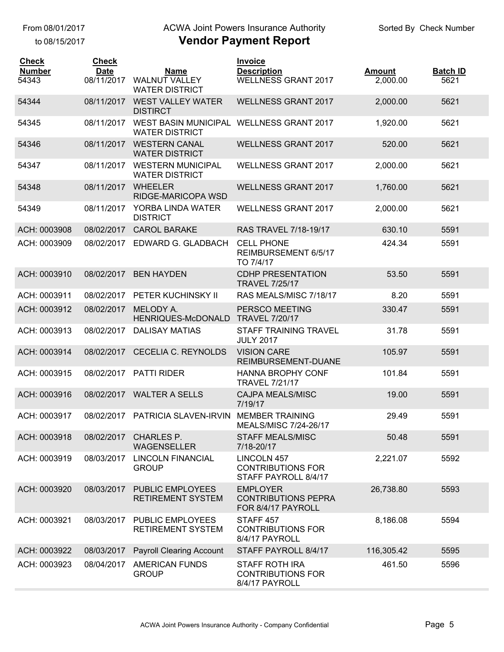to 08/15/2017

## ACWA Joint Powers Insurance Authority

| <b>Check</b><br><b>Number</b><br>54343 | <b>Check</b><br><b>Date</b><br>08/11/2017 | <b>Name</b><br><b>WALNUT VALLEY</b><br><b>WATER DISTRICT</b>      | <b>Invoice</b><br><b>Description</b><br><b>WELLNESS GRANT 2017</b>     | <b>Amount</b><br>2,000.00 | <b>Batch ID</b><br>5621 |
|----------------------------------------|-------------------------------------------|-------------------------------------------------------------------|------------------------------------------------------------------------|---------------------------|-------------------------|
| 54344                                  | 08/11/2017                                | <b>WEST VALLEY WATER</b><br><b>DISTIRCT</b>                       | <b>WELLNESS GRANT 2017</b>                                             | 2,000.00                  | 5621                    |
| 54345                                  | 08/11/2017                                | WEST BASIN MUNICIPAL WELLNESS GRANT 2017<br><b>WATER DISTRICT</b> |                                                                        | 1,920.00                  | 5621                    |
| 54346                                  | 08/11/2017                                | <b>WESTERN CANAL</b><br><b>WATER DISTRICT</b>                     | <b>WELLNESS GRANT 2017</b>                                             | 520.00                    | 5621                    |
| 54347                                  | 08/11/2017                                | <b>WESTERN MUNICIPAL</b><br><b>WATER DISTRICT</b>                 | <b>WELLNESS GRANT 2017</b>                                             | 2,000.00                  | 5621                    |
| 54348                                  | 08/11/2017                                | <b>WHEELER</b><br>RIDGE-MARICOPA WSD                              | <b>WELLNESS GRANT 2017</b>                                             | 1,760.00                  | 5621                    |
| 54349                                  | 08/11/2017                                | YORBA LINDA WATER<br><b>DISTRICT</b>                              | <b>WELLNESS GRANT 2017</b>                                             | 2,000.00                  | 5621                    |
| ACH: 0003908                           | 08/02/2017                                | <b>CAROL BARAKE</b>                                               | RAS TRAVEL 7/18-19/17                                                  | 630.10                    | 5591                    |
| ACH: 0003909                           | 08/02/2017                                | EDWARD G. GLADBACH                                                | <b>CELL PHONE</b><br>REIMBURSEMENT 6/5/17<br>TO 7/4/17                 | 424.34                    | 5591                    |
| ACH: 0003910                           | 08/02/2017                                | <b>BEN HAYDEN</b>                                                 | <b>CDHP PRESENTATION</b><br><b>TRAVEL 7/25/17</b>                      | 53.50                     | 5591                    |
| ACH: 0003911                           | 08/02/2017                                | PETER KUCHINSKY II                                                | RAS MEALS/MISC 7/18/17                                                 | 8.20                      | 5591                    |
| ACH: 0003912                           | 08/02/2017                                | MELODY A.<br>HENRIQUES-McDONALD                                   | PERSCO MEETING<br><b>TRAVEL 7/20/17</b>                                | 330.47                    | 5591                    |
| ACH: 0003913                           | 08/02/2017                                | <b>DALISAY MATIAS</b>                                             | <b>STAFF TRAINING TRAVEL</b><br><b>JULY 2017</b>                       | 31.78                     | 5591                    |
| ACH: 0003914                           | 08/02/2017                                | CECELIA C. REYNOLDS                                               | <b>VISION CARE</b><br>REIMBURSEMENT-DUANE                              | 105.97                    | 5591                    |
| ACH: 0003915                           | 08/02/2017                                | <b>PATTI RIDER</b>                                                | <b>HANNA BROPHY CONF</b><br><b>TRAVEL 7/21/17</b>                      | 101.84                    | 5591                    |
| ACH: 0003916                           |                                           | 08/02/2017 WALTER A SELLS                                         | <b>CAJPA MEALS/MISC</b><br>7/19/17                                     | 19.00                     | 5591                    |
| ACH: 0003917                           |                                           | 08/02/2017 PATRICIA SLAVEN-IRVIN MEMBER TRAINING                  | MEALS/MISC 7/24-26/17                                                  | 29.49                     | 5591                    |
| ACH: 0003918                           | 08/02/2017                                | <b>CHARLES P.</b><br><b>WAGENSELLER</b>                           | <b>STAFF MEALS/MISC</b><br>7/18-20/17                                  | 50.48                     | 5591                    |
| ACH: 0003919                           | 08/03/2017                                | <b>LINCOLN FINANCIAL</b><br><b>GROUP</b>                          | <b>LINCOLN 457</b><br><b>CONTRIBUTIONS FOR</b><br>STAFF PAYROLL 8/4/17 | 2,221.07                  | 5592                    |
| ACH: 0003920                           | 08/03/2017                                | <b>PUBLIC EMPLOYEES</b><br><b>RETIREMENT SYSTEM</b>               | <b>EMPLOYER</b><br><b>CONTRIBUTIONS PEPRA</b><br>FOR 8/4/17 PAYROLL    | 26,738.80                 | 5593                    |
| ACH: 0003921                           | 08/03/2017                                | <b>PUBLIC EMPLOYEES</b><br><b>RETIREMENT SYSTEM</b>               | STAFF <sub>457</sub><br><b>CONTRIBUTIONS FOR</b><br>8/4/17 PAYROLL     | 8,186.08                  | 5594                    |
| ACH: 0003922                           | 08/03/2017                                | <b>Payroll Clearing Account</b>                                   | STAFF PAYROLL 8/4/17                                                   | 116,305.42                | 5595                    |
| ACH: 0003923                           | 08/04/2017                                | <b>AMERICAN FUNDS</b><br><b>GROUP</b>                             | <b>STAFF ROTH IRA</b><br><b>CONTRIBUTIONS FOR</b><br>8/4/17 PAYROLL    | 461.50                    | 5596                    |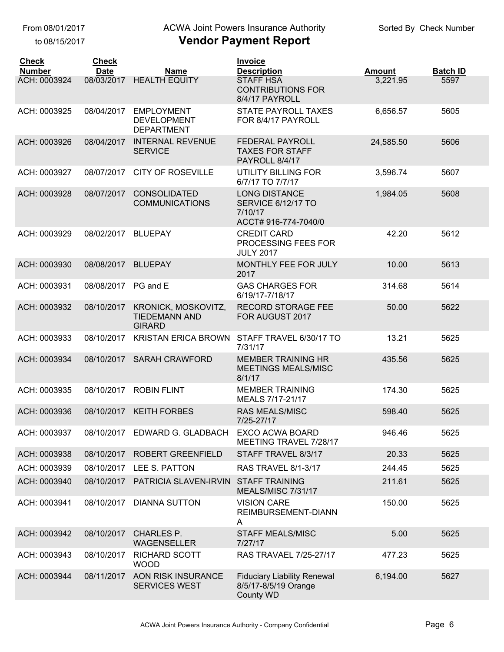to 08/15/2017

## ACWA Joint Powers Insurance Authority

| <b>Check</b><br><b>Number</b> | <b>Check</b><br><b>Date</b> | <b>Name</b>                                                  | <b>Invoice</b><br><b>Description</b>                                                 | <b>Amount</b> | <b>Batch ID</b> |
|-------------------------------|-----------------------------|--------------------------------------------------------------|--------------------------------------------------------------------------------------|---------------|-----------------|
| ACH: 0003924                  | 08/03/2017                  | <b>HEALTH EQUITY</b>                                         | <b>STAFF HSA</b><br><b>CONTRIBUTIONS FOR</b><br>8/4/17 PAYROLL                       | 3,221.95      | 5597            |
| ACH: 0003925                  | 08/04/2017                  | <b>EMPLOYMENT</b><br><b>DEVELOPMENT</b><br><b>DEPARTMENT</b> | <b>STATE PAYROLL TAXES</b><br>FOR 8/4/17 PAYROLL                                     | 6,656.57      | 5605            |
| ACH: 0003926                  | 08/04/2017                  | <b>INTERNAL REVENUE</b><br><b>SERVICE</b>                    | <b>FEDERAL PAYROLL</b><br><b>TAXES FOR STAFF</b><br>PAYROLL 8/4/17                   | 24,585.50     | 5606            |
| ACH: 0003927                  | 08/07/2017                  | <b>CITY OF ROSEVILLE</b>                                     | <b>UTILITY BILLING FOR</b><br>6/7/17 TO 7/7/17                                       | 3,596.74      | 5607            |
| ACH: 0003928                  | 08/07/2017                  | CONSOLIDATED<br><b>COMMUNICATIONS</b>                        | <b>LONG DISTANCE</b><br><b>SERVICE 6/12/17 TO</b><br>7/10/17<br>ACCT# 916-774-7040/0 | 1,984.05      | 5608            |
| ACH: 0003929                  | 08/02/2017                  | <b>BLUEPAY</b>                                               | <b>CREDIT CARD</b><br>PROCESSING FEES FOR<br><b>JULY 2017</b>                        | 42.20         | 5612            |
| ACH: 0003930                  | 08/08/2017                  | <b>BLUEPAY</b>                                               | MONTHLY FEE FOR JULY<br>2017                                                         | 10.00         | 5613            |
| ACH: 0003931                  | 08/08/2017                  | PG and E                                                     | <b>GAS CHARGES FOR</b><br>6/19/17-7/18/17                                            | 314.68        | 5614            |
| ACH: 0003932                  | 08/10/2017                  | KRONICK, MOSKOVITZ,<br><b>TIEDEMANN AND</b><br><b>GIRARD</b> | <b>RECORD STORAGE FEE</b><br>FOR AUGUST 2017                                         | 50.00         | 5622            |
| ACH: 0003933                  | 08/10/2017                  | <b>KRISTAN ERICA BROWN</b>                                   | STAFF TRAVEL 6/30/17 TO<br>7/31/17                                                   | 13.21         | 5625            |
| ACH: 0003934                  | 08/10/2017                  | <b>SARAH CRAWFORD</b>                                        | <b>MEMBER TRAINING HR</b><br>MEETINGS MEALS/MISC<br>8/1/17                           | 435.56        | 5625            |
| ACH: 0003935                  | 08/10/2017                  | <b>ROBIN FLINT</b>                                           | <b>MEMBER TRAINING</b><br>MEALS 7/17-21/17                                           | 174.30        | 5625            |
| ACH: 0003936                  | 08/10/2017                  | <b>KEITH FORBES</b>                                          | <b>RAS MEALS/MISC</b><br>7/25-27/17                                                  | 598.40        | 5625            |
| ACH: 0003937                  |                             | 08/10/2017 EDWARD G. GLADBACH                                | EXCO ACWA BOARD<br>MEETING TRAVEL 7/28/17                                            | 946.46        | 5625            |
| ACH: 0003938                  | 08/10/2017                  | ROBERT GREENFIELD                                            | STAFF TRAVEL 8/3/17                                                                  | 20.33         | 5625            |
| ACH: 0003939                  | 08/10/2017                  | LEE S. PATTON                                                | RAS TRAVEL 8/1-3/17                                                                  | 244.45        | 5625            |
| ACH: 0003940                  | 08/10/2017                  | PATRICIA SLAVEN-IRVIN                                        | <b>STAFF TRAINING</b><br>MEALS/MISC 7/31/17                                          | 211.61        | 5625            |
| ACH: 0003941                  | 08/10/2017                  | <b>DIANNA SUTTON</b>                                         | <b>VISION CARE</b><br>REIMBURSEMENT-DIANN<br>A                                       | 150.00        | 5625            |
| ACH: 0003942                  | 08/10/2017                  | <b>CHARLES P.</b><br><b>WAGENSELLER</b>                      | <b>STAFF MEALS/MISC</b><br>7/27/17                                                   | 5.00          | 5625            |
| ACH: 0003943                  | 08/10/2017                  | <b>RICHARD SCOTT</b><br><b>WOOD</b>                          | <b>RAS TRAVAEL 7/25-27/17</b>                                                        | 477.23        | 5625            |
| ACH: 0003944                  | 08/11/2017                  | AON RISK INSURANCE<br><b>SERVICES WEST</b>                   | <b>Fiduciary Liability Renewal</b><br>8/5/17-8/5/19 Orange<br>County WD              | 6,194.00      | 5627            |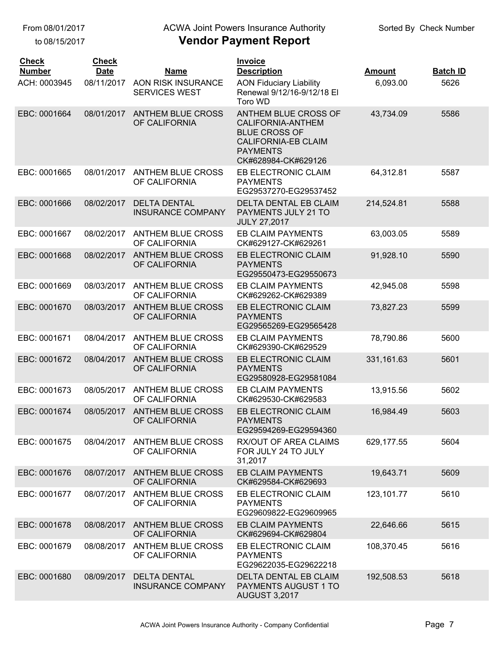to 08/15/2017

#### ACWA Joint Powers Insurance Authority

| <b>Check</b><br><b>Number</b> | <b>Check</b><br><b>Date</b> | <b>Name</b>                                       | <b>Invoice</b><br><b>Description</b>                                                                                                      | <b>Amount</b> | <b>Batch ID</b> |
|-------------------------------|-----------------------------|---------------------------------------------------|-------------------------------------------------------------------------------------------------------------------------------------------|---------------|-----------------|
| ACH: 0003945                  | 08/11/2017                  | <b>AON RISK INSURANCE</b><br><b>SERVICES WEST</b> | <b>AON Fiduciary Liability</b><br>Renewal 9/12/16-9/12/18 El<br>Toro WD                                                                   | 6,093.00      | 5626            |
| EBC: 0001664                  | 08/01/2017                  | <b>ANTHEM BLUE CROSS</b><br>OF CALIFORNIA         | ANTHEM BLUE CROSS OF<br>CALIFORNIA-ANTHEM<br><b>BLUE CROSS OF</b><br><b>CALIFORNIA-EB CLAIM</b><br><b>PAYMENTS</b><br>CK#628984-CK#629126 | 43,734.09     | 5586            |
| EBC: 0001665                  | 08/01/2017                  | <b>ANTHEM BLUE CROSS</b><br>OF CALIFORNIA         | EB ELECTRONIC CLAIM<br><b>PAYMENTS</b><br>EG29537270-EG29537452                                                                           | 64,312.81     | 5587            |
| EBC: 0001666                  | 08/02/2017                  | <b>DELTA DENTAL</b><br><b>INSURANCE COMPANY</b>   | DELTA DENTAL EB CLAIM<br>PAYMENTS JULY 21 TO<br><b>JULY 27,2017</b>                                                                       | 214,524.81    | 5588            |
| EBC: 0001667                  | 08/02/2017                  | <b>ANTHEM BLUE CROSS</b><br>OF CALIFORNIA         | <b>EB CLAIM PAYMENTS</b><br>CK#629127-CK#629261                                                                                           | 63,003.05     | 5589            |
| EBC: 0001668                  | 08/02/2017                  | <b>ANTHEM BLUE CROSS</b><br>OF CALIFORNIA         | EB ELECTRONIC CLAIM<br><b>PAYMENTS</b><br>EG29550473-EG29550673                                                                           | 91,928.10     | 5590            |
| EBC: 0001669                  | 08/03/2017                  | <b>ANTHEM BLUE CROSS</b><br>OF CALIFORNIA         | EB CLAIM PAYMENTS<br>CK#629262-CK#629389                                                                                                  | 42,945.08     | 5598            |
| EBC: 0001670                  | 08/03/2017                  | <b>ANTHEM BLUE CROSS</b><br>OF CALIFORNIA         | EB ELECTRONIC CLAIM<br><b>PAYMENTS</b><br>EG29565269-EG29565428                                                                           | 73,827.23     | 5599            |
| EBC: 0001671                  | 08/04/2017                  | ANTHEM BLUE CROSS<br>OF CALIFORNIA                | <b>EB CLAIM PAYMENTS</b><br>CK#629390-CK#629529                                                                                           | 78,790.86     | 5600            |
| EBC: 0001672                  | 08/04/2017                  | <b>ANTHEM BLUE CROSS</b><br>OF CALIFORNIA         | EB ELECTRONIC CLAIM<br><b>PAYMENTS</b><br>EG29580928-EG29581084                                                                           | 331,161.63    | 5601            |
| EBC: 0001673                  | 08/05/2017                  | <b>ANTHEM BLUE CROSS</b><br>OF CALIFORNIA         | EB CLAIM PAYMENTS<br>CK#629530-CK#629583                                                                                                  | 13,915.56     | 5602            |
| EBC: 0001674                  | 08/05/2017                  | <b>ANTHEM BLUE CROSS</b><br>OF CALIFORNIA         | EB ELECTRONIC CLAIM<br><b>PAYMENTS</b><br>EG29594269-EG29594360                                                                           | 16,984.49     | 5603            |
| EBC: 0001675                  | 08/04/2017                  | <b>ANTHEM BLUE CROSS</b><br>OF CALIFORNIA         | RX/OUT OF AREA CLAIMS<br>FOR JULY 24 TO JULY<br>31,2017                                                                                   | 629,177.55    | 5604            |
| EBC: 0001676                  | 08/07/2017                  | <b>ANTHEM BLUE CROSS</b><br>OF CALIFORNIA         | <b>EB CLAIM PAYMENTS</b><br>CK#629584-CK#629693                                                                                           | 19,643.71     | 5609            |
| EBC: 0001677                  | 08/07/2017                  | <b>ANTHEM BLUE CROSS</b><br>OF CALIFORNIA         | EB ELECTRONIC CLAIM<br><b>PAYMENTS</b><br>EG29609822-EG29609965                                                                           | 123,101.77    | 5610            |
| EBC: 0001678                  | 08/08/2017                  | <b>ANTHEM BLUE CROSS</b><br>OF CALIFORNIA         | <b>EB CLAIM PAYMENTS</b><br>CK#629694-CK#629804                                                                                           | 22,646.66     | 5615            |
| EBC: 0001679                  | 08/08/2017                  | <b>ANTHEM BLUE CROSS</b><br>OF CALIFORNIA         | EB ELECTRONIC CLAIM<br><b>PAYMENTS</b><br>EG29622035-EG29622218                                                                           | 108,370.45    | 5616            |
| EBC: 0001680                  | 08/09/2017                  | <b>DELTA DENTAL</b><br><b>INSURANCE COMPANY</b>   | DELTA DENTAL EB CLAIM<br>PAYMENTS AUGUST 1 TO<br><b>AUGUST 3,2017</b>                                                                     | 192,508.53    | 5618            |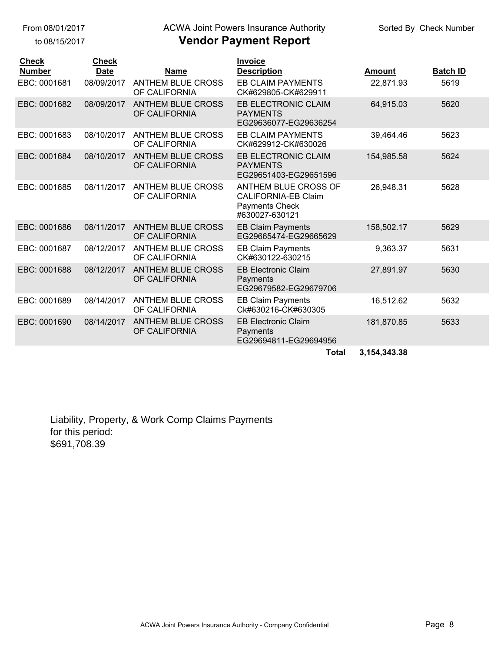to 08/15/2017

## ACWA Joint Powers Insurance Authority

|  | <b>Vendor Payment Report</b> |  |
|--|------------------------------|--|
|--|------------------------------|--|

| <b>Check</b><br><b>Number</b> | <b>Check</b><br><b>Date</b> | <b>Name</b>                               | <b>Invoice</b><br><b>Description</b>                                                                 | <b>Amount</b> | <b>Batch ID</b> |
|-------------------------------|-----------------------------|-------------------------------------------|------------------------------------------------------------------------------------------------------|---------------|-----------------|
| EBC: 0001681                  | 08/09/2017                  | <b>ANTHEM BLUE CROSS</b><br>OF CALIFORNIA | EB CLAIM PAYMENTS<br>CK#629805-CK#629911                                                             | 22,871.93     | 5619            |
| EBC: 0001682                  | 08/09/2017                  | <b>ANTHEM BLUE CROSS</b><br>OF CALIFORNIA | <b>EB ELECTRONIC CLAIM</b><br><b>PAYMENTS</b><br>EG29636077-EG29636254                               | 64,915.03     | 5620            |
| EBC: 0001683                  | 08/10/2017                  | <b>ANTHEM BLUE CROSS</b><br>OF CALIFORNIA | <b>EB CLAIM PAYMENTS</b><br>CK#629912-CK#630026                                                      | 39,464.46     | 5623            |
| EBC: 0001684                  | 08/10/2017                  | <b>ANTHEM BLUE CROSS</b><br>OF CALIFORNIA | <b>EB ELECTRONIC CLAIM</b><br><b>PAYMENTS</b><br>EG29651403-EG29651596                               | 154,985.58    | 5624            |
| EBC: 0001685                  | 08/11/2017                  | <b>ANTHEM BLUE CROSS</b><br>OF CALIFORNIA | <b>ANTHEM BLUE CROSS OF</b><br><b>CALIFORNIA-EB Claim</b><br><b>Payments Check</b><br>#630027-630121 | 26,948.31     | 5628            |
| EBC: 0001686                  | 08/11/2017                  | <b>ANTHEM BLUE CROSS</b><br>OF CALIFORNIA | <b>EB Claim Payments</b><br>EG29665474-EG29665629                                                    | 158,502.17    | 5629            |
| EBC: 0001687                  | 08/12/2017                  | <b>ANTHEM BLUE CROSS</b><br>OF CALIFORNIA | <b>EB Claim Payments</b><br>CK#630122-630215                                                         | 9,363.37      | 5631            |
| EBC: 0001688                  | 08/12/2017                  | <b>ANTHEM BLUE CROSS</b><br>OF CALIFORNIA | <b>EB Electronic Claim</b><br>Payments<br>EG29679582-EG29679706                                      | 27,891.97     | 5630            |
| EBC: 0001689                  | 08/14/2017                  | <b>ANTHEM BLUE CROSS</b><br>OF CALIFORNIA | <b>EB Claim Payments</b><br>Ck#630216-CK#630305                                                      | 16,512.62     | 5632            |
| EBC: 0001690                  | 08/14/2017                  | <b>ANTHEM BLUE CROSS</b><br>OF CALIFORNIA | <b>EB Electronic Claim</b><br>Payments<br>EG29694811-EG29694956                                      | 181,870.85    | 5633            |
|                               |                             |                                           | <b>Total</b>                                                                                         | 3,154,343.38  |                 |

Liability, Property, & Work Comp Claims Payments for this period: \$691,708.39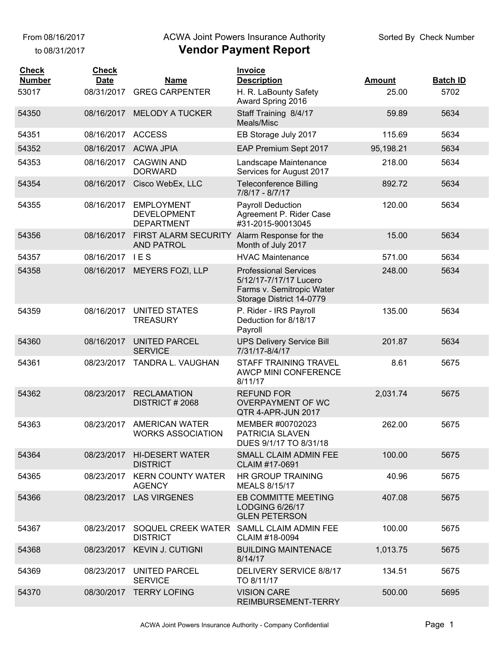From 08/16/2017

to 08/31/2017

#### ACWA Joint Powers Insurance Authority

| <b>Check</b><br><b>Number</b> | <b>Check</b><br><b>Date</b> | <b>Name</b>                                                  | Invoice<br><b>Description</b>                                                                                   | <b>Amount</b> | <b>Batch ID</b> |
|-------------------------------|-----------------------------|--------------------------------------------------------------|-----------------------------------------------------------------------------------------------------------------|---------------|-----------------|
| 53017                         | 08/31/2017                  | <b>GREG CARPENTER</b>                                        | H. R. LaBounty Safety<br>Award Spring 2016                                                                      | 25.00         | 5702            |
| 54350                         | 08/16/2017                  | <b>MELODY A TUCKER</b>                                       | Staff Training 8/4/17<br>Meals/Misc                                                                             | 59.89         | 5634            |
| 54351                         | 08/16/2017                  | <b>ACCESS</b>                                                | EB Storage July 2017                                                                                            | 115.69        | 5634            |
| 54352                         |                             | 08/16/2017 ACWA JPIA                                         | EAP Premium Sept 2017                                                                                           | 95,198.21     | 5634            |
| 54353                         | 08/16/2017                  | <b>CAGWIN AND</b><br><b>DORWARD</b>                          | Landscape Maintenance<br>Services for August 2017                                                               | 218.00        | 5634            |
| 54354                         | 08/16/2017                  | Cisco WebEx, LLC                                             | <b>Teleconference Billing</b><br>7/8/17 - 8/7/17                                                                | 892.72        | 5634            |
| 54355                         | 08/16/2017                  | <b>EMPLOYMENT</b><br><b>DEVELOPMENT</b><br><b>DEPARTMENT</b> | <b>Payroll Deduction</b><br>Agreement P. Rider Case<br>#31-2015-90013045                                        | 120.00        | 5634            |
| 54356                         | 08/16/2017                  | FIRST ALARM SECURITY<br><b>AND PATROL</b>                    | Alarm Response for the<br>Month of July 2017                                                                    | 15.00         | 5634            |
| 54357                         | 08/16/2017                  | <b>IES</b>                                                   | <b>HVAC Maintenance</b>                                                                                         | 571.00        | 5634            |
| 54358                         |                             | 08/16/2017 MEYERS FOZI, LLP                                  | <b>Professional Services</b><br>5/12/17-7/17/17 Lucero<br>Farms v. Semitropic Water<br>Storage District 14-0779 | 248.00        | 5634            |
| 54359                         | 08/16/2017                  | <b>UNITED STATES</b><br><b>TREASURY</b>                      | P. Rider - IRS Payroll<br>Deduction for 8/18/17<br>Payroll                                                      | 135.00        | 5634            |
| 54360                         | 08/16/2017                  | <b>UNITED PARCEL</b><br><b>SERVICE</b>                       | <b>UPS Delivery Service Bill</b><br>7/31/17-8/4/17                                                              | 201.87        | 5634            |
| 54361                         | 08/23/2017                  | TANDRA L. VAUGHAN                                            | STAFF TRAINING TRAVEL<br>AWCP MINI CONFERENCE<br>8/11/17                                                        | 8.61          | 5675            |
| 54362                         | 08/23/2017                  | <b>RECLAMATION</b><br>DISTRICT #2068                         | <b>REFUND FOR</b><br><b>OVERPAYMENT OF WC</b><br>QTR 4-APR-JUN 2017                                             | 2,031.74      | 5675            |
| 54363                         | 08/23/2017                  | <b>AMERICAN WATER</b><br><b>WORKS ASSOCIATION</b>            | MEMBER #00702023<br>PATRICIA SLAVEN<br>DUES 9/1/17 TO 8/31/18                                                   | 262.00        | 5675            |
| 54364                         | 08/23/2017                  | <b>HI-DESERT WATER</b><br><b>DISTRICT</b>                    | SMALL CLAIM ADMIN FEE<br>CLAIM #17-0691                                                                         | 100.00        | 5675            |
| 54365                         | 08/23/2017                  | <b>KERN COUNTY WATER</b><br><b>AGENCY</b>                    | <b>HR GROUP TRAINING</b><br><b>MEALS 8/15/17</b>                                                                | 40.96         | 5675            |
| 54366                         | 08/23/2017                  | <b>LAS VIRGENES</b>                                          | <b>EB COMMITTE MEETING</b><br><b>LODGING 6/26/17</b><br><b>GLEN PETERSON</b>                                    | 407.08        | 5675            |
| 54367                         | 08/23/2017                  | SOQUEL CREEK WATER<br><b>DISTRICT</b>                        | SAMLL CLAIM ADMIN FEE<br>CLAIM #18-0094                                                                         | 100.00        | 5675            |
| 54368                         | 08/23/2017                  | <b>KEVIN J. CUTIGNI</b>                                      | <b>BUILDING MAINTENACE</b><br>8/14/17                                                                           | 1,013.75      | 5675            |
| 54369                         | 08/23/2017                  | UNITED PARCEL<br><b>SERVICE</b>                              | DELIVERY SERVICE 8/8/17<br>TO 8/11/17                                                                           | 134.51        | 5675            |
| 54370                         |                             | 08/30/2017 TERRY LOFING                                      | <b>VISION CARE</b><br>REIMBURSEMENT-TERRY                                                                       | 500.00        | 5695            |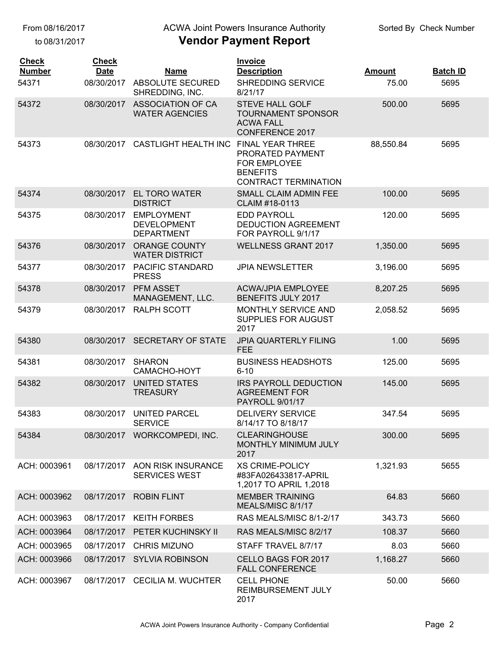to 08/31/2017

## ACWA Joint Powers Insurance Authority

| <b>Check</b><br><b>Number</b> | <b>Check</b><br><b>Date</b> | <b>Name</b>                                                  | Invoice<br><b>Description</b>                                                                                 | <b>Amount</b> | <b>Batch ID</b> |
|-------------------------------|-----------------------------|--------------------------------------------------------------|---------------------------------------------------------------------------------------------------------------|---------------|-----------------|
| 54371                         |                             | 08/30/2017 ABSOLUTE SECURED<br>SHREDDING, INC.               | SHREDDING SERVICE<br>8/21/17                                                                                  | 75.00         | 5695            |
| 54372                         | 08/30/2017                  | <b>ASSOCIATION OF CA</b><br><b>WATER AGENCIES</b>            | <b>STEVE HALL GOLF</b><br><b>TOURNAMENT SPONSOR</b><br><b>ACWA FALL</b><br><b>CONFERENCE 2017</b>             | 500.00        | 5695            |
| 54373                         | 08/30/2017                  | <b>CASTLIGHT HEALTH INC</b>                                  | <b>FINAL YEAR THREE</b><br>PRORATED PAYMENT<br>FOR EMPLOYEE<br><b>BENEFITS</b><br><b>CONTRACT TERMINATION</b> | 88,550.84     | 5695            |
| 54374                         | 08/30/2017                  | <b>EL TORO WATER</b><br><b>DISTRICT</b>                      | SMALL CLAIM ADMIN FEE<br>CLAIM #18-0113                                                                       | 100.00        | 5695            |
| 54375                         | 08/30/2017                  | <b>EMPLOYMENT</b><br><b>DEVELOPMENT</b><br><b>DEPARTMENT</b> | <b>EDD PAYROLL</b><br><b>DEDUCTION AGREEMENT</b><br>FOR PAYROLL 9/1/17                                        | 120.00        | 5695            |
| 54376                         | 08/30/2017                  | <b>ORANGE COUNTY</b><br><b>WATER DISTRICT</b>                | <b>WELLNESS GRANT 2017</b>                                                                                    | 1,350.00      | 5695            |
| 54377                         | 08/30/2017                  | PACIFIC STANDARD<br><b>PRESS</b>                             | <b>JPIA NEWSLETTER</b>                                                                                        | 3,196.00      | 5695            |
| 54378                         | 08/30/2017                  | <b>PFM ASSET</b><br>MANAGEMENT, LLC.                         | <b>ACWA/JPIA EMPLOYEE</b><br>BENEFITS JULY 2017                                                               | 8,207.25      | 5695            |
| 54379                         | 08/30/2017                  | <b>RALPH SCOTT</b>                                           | MONTHLY SERVICE AND<br><b>SUPPLIES FOR AUGUST</b><br>2017                                                     | 2,058.52      | 5695            |
| 54380                         | 08/30/2017                  | <b>SECRETARY OF STATE</b>                                    | <b>JPIA QUARTERLY FILING</b><br><b>FEE</b>                                                                    | 1.00          | 5695            |
| 54381                         | 08/30/2017                  | <b>SHARON</b><br>CAMACHO-HOYT                                | <b>BUSINESS HEADSHOTS</b><br>$6 - 10$                                                                         | 125.00        | 5695            |
| 54382                         | 08/30/2017                  | <b>UNITED STATES</b><br><b>TREASURY</b>                      | <b>IRS PAYROLL DEDUCTION</b><br><b>AGREEMENT FOR</b><br><b>PAYROLL 9/01/17</b>                                | 145.00        | 5695            |
| 54383                         | 08/30/2017                  | UNITED PARCEL<br><b>SERVICE</b>                              | <b>DELIVERY SERVICE</b><br>8/14/17 TO 8/18/17                                                                 | 347.54        | 5695            |
| 54384                         | 08/30/2017                  | WORKCOMPEDI, INC.                                            | <b>CLEARINGHOUSE</b><br><b>MONTHLY MINIMUM JULY</b><br>2017                                                   | 300.00        | 5695            |
| ACH: 0003961                  | 08/17/2017                  | AON RISK INSURANCE<br><b>SERVICES WEST</b>                   | <b>XS CRIME-POLICY</b><br>#83FA026433817-APRIL<br>1,2017 TO APRIL 1,2018                                      | 1,321.93      | 5655            |
| ACH: 0003962                  | 08/17/2017                  | <b>ROBIN FLINT</b>                                           | <b>MEMBER TRAINING</b><br>MEALS/MISC 8/1/17                                                                   | 64.83         | 5660            |
| ACH: 0003963                  | 08/17/2017                  | <b>KEITH FORBES</b>                                          | RAS MEALS/MISC 8/1-2/17                                                                                       | 343.73        | 5660            |
| ACH: 0003964                  | 08/17/2017                  | PETER KUCHINSKY II                                           | RAS MEALS/MISC 8/2/17                                                                                         | 108.37        | 5660            |
| ACH: 0003965                  | 08/17/2017                  | <b>CHRIS MIZUNO</b>                                          | STAFF TRAVEL 8/7/17                                                                                           | 8.03          | 5660            |
| ACH: 0003966                  | 08/17/2017                  | <b>SYLVIA ROBINSON</b>                                       | <b>CELLO BAGS FOR 2017</b><br><b>FALL CONFERENCE</b>                                                          | 1,168.27      | 5660            |
| ACH: 0003967                  |                             | 08/17/2017 CECILIA M. WUCHTER                                | <b>CELL PHONE</b><br>REIMBURSEMENT JULY<br>2017                                                               | 50.00         | 5660            |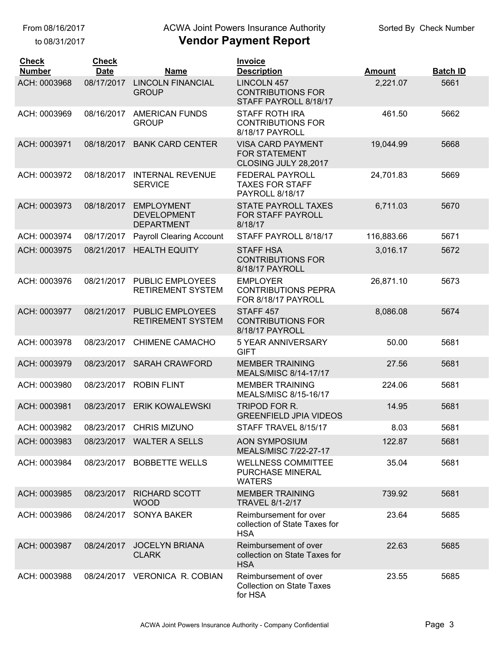From 08/16/2017

to 08/31/2017

## ACWA Joint Powers Insurance Authority

| <b>Check</b><br><b>Number</b> | <b>Check</b><br><b>Date</b> | <b>Name</b>                                                  | <b>Invoice</b><br><b>Description</b>                                     | <b>Amount</b> | <b>Batch ID</b> |
|-------------------------------|-----------------------------|--------------------------------------------------------------|--------------------------------------------------------------------------|---------------|-----------------|
| ACH: 0003968                  | 08/17/2017                  | <b>LINCOLN FINANCIAL</b><br><b>GROUP</b>                     | LINCOLN 457<br><b>CONTRIBUTIONS FOR</b><br>STAFF PAYROLL 8/18/17         | 2,221.07      | 5661            |
| ACH: 0003969                  | 08/16/2017                  | <b>AMERICAN FUNDS</b><br><b>GROUP</b>                        | <b>STAFF ROTH IRA</b><br><b>CONTRIBUTIONS FOR</b><br>8/18/17 PAYROLL     | 461.50        | 5662            |
| ACH: 0003971                  | 08/18/2017                  | <b>BANK CARD CENTER</b>                                      | <b>VISA CARD PAYMENT</b><br><b>FOR STATEMENT</b><br>CLOSING JULY 28,2017 | 19,044.99     | 5668            |
| ACH: 0003972                  | 08/18/2017                  | <b>INTERNAL REVENUE</b><br><b>SERVICE</b>                    | <b>FEDERAL PAYROLL</b><br><b>TAXES FOR STAFF</b><br>PAYROLL 8/18/17      | 24,701.83     | 5669            |
| ACH: 0003973                  | 08/18/2017                  | <b>EMPLOYMENT</b><br><b>DEVELOPMENT</b><br><b>DEPARTMENT</b> | <b>STATE PAYROLL TAXES</b><br><b>FOR STAFF PAYROLL</b><br>8/18/17        | 6,711.03      | 5670            |
| ACH: 0003974                  | 08/17/2017                  | <b>Payroll Clearing Account</b>                              | STAFF PAYROLL 8/18/17                                                    | 116,883.66    | 5671            |
| ACH: 0003975                  | 08/21/2017                  | <b>HEALTH EQUITY</b>                                         | <b>STAFF HSA</b><br><b>CONTRIBUTIONS FOR</b><br>8/18/17 PAYROLL          | 3,016.17      | 5672            |
| ACH: 0003976                  | 08/21/2017                  | <b>PUBLIC EMPLOYEES</b><br><b>RETIREMENT SYSTEM</b>          | <b>EMPLOYER</b><br><b>CONTRIBUTIONS PEPRA</b><br>FOR 8/18/17 PAYROLL     | 26,871.10     | 5673            |
| ACH: 0003977                  | 08/21/2017                  | <b>PUBLIC EMPLOYEES</b><br><b>RETIREMENT SYSTEM</b>          | STAFF <sub>457</sub><br><b>CONTRIBUTIONS FOR</b><br>8/18/17 PAYROLL      | 8,086.08      | 5674            |
| ACH: 0003978                  | 08/23/2017                  | <b>CHIMENE CAMACHO</b>                                       | <b>5 YEAR ANNIVERSARY</b><br><b>GIFT</b>                                 | 50.00         | 5681            |
| ACH: 0003979                  | 08/23/2017                  | <b>SARAH CRAWFORD</b>                                        | <b>MEMBER TRAINING</b><br>MEALS/MISC 8/14-17/17                          | 27.56         | 5681            |
| ACH: 0003980                  | 08/23/2017                  | <b>ROBIN FLINT</b>                                           | <b>MEMBER TRAINING</b><br>MEALS/MISC 8/15-16/17                          | 224.06        | 5681            |
| ACH: 0003981                  | 08/23/2017                  | <b>ERIK KOWALEWSKI</b>                                       | TRIPOD FOR R.<br><b>GREENFIELD JPIA VIDEOS</b>                           | 14.95         | 5681            |
| ACH: 0003982                  | 08/23/2017                  | <b>CHRIS MIZUNO</b>                                          | STAFF TRAVEL 8/15/17                                                     | 8.03          | 5681            |
| ACH: 0003983                  | 08/23/2017                  | <b>WALTER A SELLS</b>                                        | <b>AON SYMPOSIUM</b><br>MEALS/MISC 7/22-27-17                            | 122.87        | 5681            |
| ACH: 0003984                  | 08/23/2017                  | <b>BOBBETTE WELLS</b>                                        | <b>WELLNESS COMMITTEE</b><br>PURCHASE MINERAL<br><b>WATERS</b>           | 35.04         | 5681            |
| ACH: 0003985                  | 08/23/2017                  | <b>RICHARD SCOTT</b><br><b>WOOD</b>                          | <b>MEMBER TRAINING</b><br><b>TRAVEL 8/1-2/17</b>                         | 739.92        | 5681            |
| ACH: 0003986                  | 08/24/2017                  | <b>SONYA BAKER</b>                                           | Reimbursement for over<br>collection of State Taxes for<br><b>HSA</b>    | 23.64         | 5685            |
| ACH: 0003987                  | 08/24/2017                  | <b>JOCELYN BRIANA</b><br><b>CLARK</b>                        | Reimbursement of over<br>collection on State Taxes for<br><b>HSA</b>     | 22.63         | 5685            |
| ACH: 0003988                  | 08/24/2017                  | <b>VERONICA R. COBIAN</b>                                    | Reimbursement of over<br><b>Collection on State Taxes</b><br>for HSA     | 23.55         | 5685            |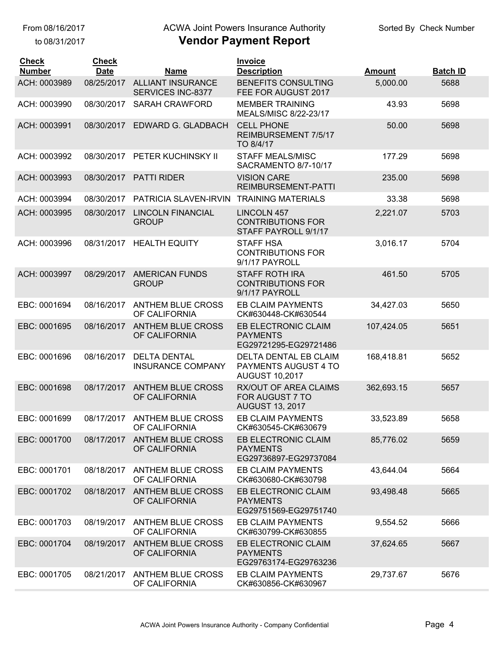to 08/31/2017

#### **Vendor Payment Report** ACWA Joint Powers Insurance Authority

| <b>Check</b><br><b>Number</b> | <b>Check</b><br><b>Date</b> | <b>Name</b>                                     | <b>Invoice</b><br><b>Description</b>                                   | <b>Amount</b> | <b>Batch ID</b> |
|-------------------------------|-----------------------------|-------------------------------------------------|------------------------------------------------------------------------|---------------|-----------------|
| ACH: 0003989                  | 08/25/2017                  | <b>ALLIANT INSURANCE</b><br>SERVICES INC-8377   | <b>BENEFITS CONSULTING</b><br>FEE FOR AUGUST 2017                      | 5,000.00      | 5688            |
| ACH: 0003990                  | 08/30/2017                  | <b>SARAH CRAWFORD</b>                           | <b>MEMBER TRAINING</b><br>MEALS/MISC 8/22-23/17                        | 43.93         | 5698            |
| ACH: 0003991                  | 08/30/2017                  | EDWARD G. GLADBACH                              | <b>CELL PHONE</b><br>REIMBURSEMENT 7/5/17<br>TO 8/4/17                 | 50.00         | 5698            |
| ACH: 0003992                  | 08/30/2017                  | PETER KUCHINSKY II                              | <b>STAFF MEALS/MISC</b><br>SACRAMENTO 8/7-10/17                        | 177.29        | 5698            |
| ACH: 0003993                  | 08/30/2017                  | <b>PATTI RIDER</b>                              | <b>VISION CARE</b><br>REIMBURSEMENT-PATTI                              | 235.00        | 5698            |
| ACH: 0003994                  | 08/30/2017                  | PATRICIA SLAVEN-IRVIN                           | <b>TRAINING MATERIALS</b>                                              | 33.38         | 5698            |
| ACH: 0003995                  | 08/30/2017                  | <b>LINCOLN FINANCIAL</b><br><b>GROUP</b>        | <b>LINCOLN 457</b><br><b>CONTRIBUTIONS FOR</b><br>STAFF PAYROLL 9/1/17 | 2,221.07      | 5703            |
| ACH: 0003996                  | 08/31/2017                  | <b>HEALTH EQUITY</b>                            | <b>STAFF HSA</b><br><b>CONTRIBUTIONS FOR</b><br>9/1/17 PAYROLL         | 3,016.17      | 5704            |
| ACH: 0003997                  | 08/29/2017                  | <b>AMERICAN FUNDS</b><br><b>GROUP</b>           | <b>STAFF ROTH IRA</b><br><b>CONTRIBUTIONS FOR</b><br>9/1/17 PAYROLL    | 461.50        | 5705            |
| EBC: 0001694                  | 08/16/2017                  | <b>ANTHEM BLUE CROSS</b><br>OF CALIFORNIA       | <b>EB CLAIM PAYMENTS</b><br>CK#630448-CK#630544                        | 34,427.03     | 5650            |
| EBC: 0001695                  | 08/16/2017                  | <b>ANTHEM BLUE CROSS</b><br>OF CALIFORNIA       | EB ELECTRONIC CLAIM<br><b>PAYMENTS</b><br>EG29721295-EG29721486        | 107,424.05    | 5651            |
| EBC: 0001696                  | 08/16/2017                  | <b>DELTA DENTAL</b><br><b>INSURANCE COMPANY</b> | DELTA DENTAL EB CLAIM<br>PAYMENTS AUGUST 4 TO<br><b>AUGUST 10,2017</b> | 168,418.81    | 5652            |
| EBC: 0001698                  | 08/17/2017                  | <b>ANTHEM BLUE CROSS</b><br>OF CALIFORNIA       | RX/OUT OF AREA CLAIMS<br>FOR AUGUST 7 TO<br><b>AUGUST 13, 2017</b>     | 362,693.15    | 5657            |
| EBC: 0001699                  | 08/17/2017                  | <b>ANTHEM BLUE CROSS</b><br>OF CALIFORNIA       | <b>EB CLAIM PAYMENTS</b><br>CK#630545-CK#630679                        | 33,523.89     | 5658            |
| EBC: 0001700                  | 08/17/2017                  | <b>ANTHEM BLUE CROSS</b><br>OF CALIFORNIA       | EB ELECTRONIC CLAIM<br><b>PAYMENTS</b><br>EG29736897-EG29737084        | 85,776.02     | 5659            |
| EBC: 0001701                  | 08/18/2017                  | <b>ANTHEM BLUE CROSS</b><br>OF CALIFORNIA       | <b>EB CLAIM PAYMENTS</b><br>CK#630680-CK#630798                        | 43,644.04     | 5664            |
| EBC: 0001702                  | 08/18/2017                  | <b>ANTHEM BLUE CROSS</b><br>OF CALIFORNIA       | EB ELECTRONIC CLAIM<br><b>PAYMENTS</b><br>EG29751569-EG29751740        | 93,498.48     | 5665            |
| EBC: 0001703                  | 08/19/2017                  | <b>ANTHEM BLUE CROSS</b><br>OF CALIFORNIA       | <b>EB CLAIM PAYMENTS</b><br>CK#630799-CK#630855                        | 9,554.52      | 5666            |
| EBC: 0001704                  | 08/19/2017                  | <b>ANTHEM BLUE CROSS</b><br>OF CALIFORNIA       | EB ELECTRONIC CLAIM<br><b>PAYMENTS</b><br>EG29763174-EG29763236        | 37,624.65     | 5667            |
| EBC: 0001705                  | 08/21/2017                  | ANTHEM BLUE CROSS<br>OF CALIFORNIA              | EB CLAIM PAYMENTS<br>CK#630856-CK#630967                               | 29,737.67     | 5676            |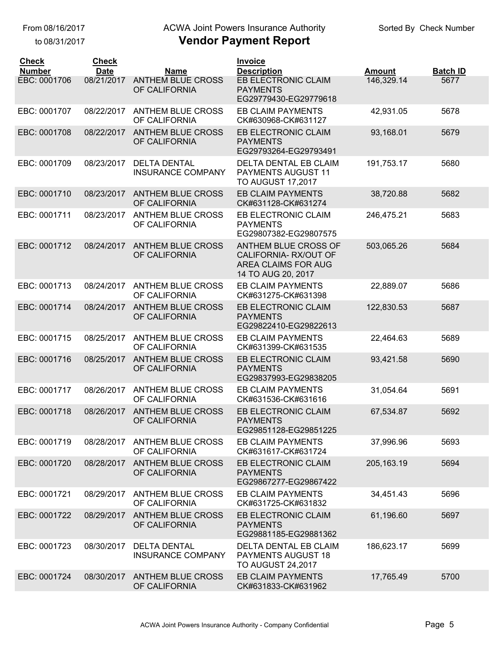to 08/31/2017

## ACWA Joint Powers Insurance Authority

| <b>Check</b><br><b>Number</b> | <b>Check</b><br><b>Date</b> | <b>Name</b>                                     | <b>Invoice</b><br><b>Description</b>                                                             | <b>Amount</b> | <b>Batch ID</b> |
|-------------------------------|-----------------------------|-------------------------------------------------|--------------------------------------------------------------------------------------------------|---------------|-----------------|
| EBC: 0001706                  | 08/21/2017                  | <b>ANTHEM BLUE CROSS</b><br>OF CALIFORNIA       | EB ELECTRONIC CLAIM<br><b>PAYMENTS</b><br>EG29779430-EG29779618                                  | 146,329.14    | 5677            |
| EBC: 0001707                  | 08/22/2017                  | ANTHEM BLUE CROSS<br>OF CALIFORNIA              | <b>EB CLAIM PAYMENTS</b><br>CK#630968-CK#631127                                                  | 42,931.05     | 5678            |
| EBC: 0001708                  | 08/22/2017                  | <b>ANTHEM BLUE CROSS</b><br>OF CALIFORNIA       | EB ELECTRONIC CLAIM<br><b>PAYMENTS</b><br>EG29793264-EG29793491                                  | 93,168.01     | 5679            |
| EBC: 0001709                  | 08/23/2017                  | <b>DELTA DENTAL</b><br><b>INSURANCE COMPANY</b> | DELTA DENTAL EB CLAIM<br>PAYMENTS AUGUST 11<br><b>TO AUGUST 17,2017</b>                          | 191,753.17    | 5680            |
| EBC: 0001710                  | 08/23/2017                  | <b>ANTHEM BLUE CROSS</b><br>OF CALIFORNIA       | <b>EB CLAIM PAYMENTS</b><br>CK#631128-CK#631274                                                  | 38,720.88     | 5682            |
| EBC: 0001711                  | 08/23/2017                  | <b>ANTHEM BLUE CROSS</b><br>OF CALIFORNIA       | EB ELECTRONIC CLAIM<br><b>PAYMENTS</b><br>EG29807382-EG29807575                                  | 246,475.21    | 5683            |
| EBC: 0001712                  | 08/24/2017                  | <b>ANTHEM BLUE CROSS</b><br>OF CALIFORNIA       | ANTHEM BLUE CROSS OF<br>CALIFORNIA-RX/OUT OF<br><b>AREA CLAIMS FOR AUG</b><br>14 TO AUG 20, 2017 | 503,065.26    | 5684            |
| EBC: 0001713                  | 08/24/2017                  | <b>ANTHEM BLUE CROSS</b><br>OF CALIFORNIA       | <b>EB CLAIM PAYMENTS</b><br>CK#631275-CK#631398                                                  | 22,889.07     | 5686            |
| EBC: 0001714                  | 08/24/2017                  | <b>ANTHEM BLUE CROSS</b><br>OF CALIFORNIA       | EB ELECTRONIC CLAIM<br><b>PAYMENTS</b><br>EG29822410-EG29822613                                  | 122,830.53    | 5687            |
| EBC: 0001715                  | 08/25/2017                  | ANTHEM BLUE CROSS<br>OF CALIFORNIA              | <b>EB CLAIM PAYMENTS</b><br>CK#631399-CK#631535                                                  | 22,464.63     | 5689            |
| EBC: 0001716                  | 08/25/2017                  | <b>ANTHEM BLUE CROSS</b><br>OF CALIFORNIA       | EB ELECTRONIC CLAIM<br><b>PAYMENTS</b><br>EG29837993-EG29838205                                  | 93,421.58     | 5690            |
| EBC: 0001717                  | 08/26/2017                  | <b>ANTHEM BLUE CROSS</b><br>OF CALIFORNIA       | <b>EB CLAIM PAYMENTS</b><br>CK#631536-CK#631616                                                  | 31,054.64     | 5691            |
| EBC: 0001718                  | 08/26/2017                  | <b>ANTHEM BLUE CROSS</b><br>OF CALIFORNIA       | EB ELECTRONIC CLAIM<br><b>PAYMENTS</b><br>EG29851128-EG29851225                                  | 67,534.87     | 5692            |
| EBC: 0001719                  | 08/28/2017                  | <b>ANTHEM BLUE CROSS</b><br>OF CALIFORNIA       | <b>EB CLAIM PAYMENTS</b><br>CK#631617-CK#631724                                                  | 37,996.96     | 5693            |
| EBC: 0001720                  | 08/28/2017                  | <b>ANTHEM BLUE CROSS</b><br>OF CALIFORNIA       | EB ELECTRONIC CLAIM<br><b>PAYMENTS</b><br>EG29867277-EG29867422                                  | 205, 163. 19  | 5694            |
| EBC: 0001721                  | 08/29/2017                  | <b>ANTHEM BLUE CROSS</b><br>OF CALIFORNIA       | <b>EB CLAIM PAYMENTS</b><br>CK#631725-CK#631832                                                  | 34,451.43     | 5696            |
| EBC: 0001722                  | 08/29/2017                  | <b>ANTHEM BLUE CROSS</b><br>OF CALIFORNIA       | EB ELECTRONIC CLAIM<br><b>PAYMENTS</b><br>EG29881185-EG29881362                                  | 61,196.60     | 5697            |
| EBC: 0001723                  | 08/30/2017                  | <b>DELTA DENTAL</b><br><b>INSURANCE COMPANY</b> | DELTA DENTAL EB CLAIM<br>PAYMENTS AUGUST 18<br><b>TO AUGUST 24,2017</b>                          | 186,623.17    | 5699            |
| EBC: 0001724                  | 08/30/2017                  | ANTHEM BLUE CROSS<br>OF CALIFORNIA              | EB CLAIM PAYMENTS<br>CK#631833-CK#631962                                                         | 17,765.49     | 5700            |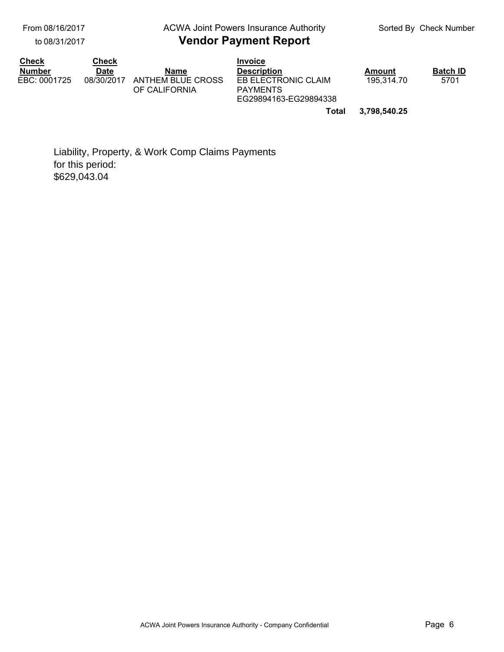From 08/16/2017

to 08/31/2017

#### **Vendor Payment Report** ACWA Joint Powers Insurance Authority

| <b>Check</b>  | Check       |                                    | <b>Invoice</b>                                                  |              |                 |
|---------------|-------------|------------------------------------|-----------------------------------------------------------------|--------------|-----------------|
| <b>Number</b> | <b>Date</b> | Name                               | <b>Description</b>                                              | Amount       | <b>Batch ID</b> |
| EBC: 0001725  | 08/30/2017  | ANTHEM BLUE CROSS<br>OF CALIFORNIA | EB ELECTRONIC CLAIM<br><b>PAYMENTS</b><br>EG29894163-EG29894338 | 195.314.70   | 5701            |
|               |             |                                    | Total                                                           | 3,798,540.25 |                 |

Liability, Property, & Work Comp Claims Payments for this period: \$629,043.04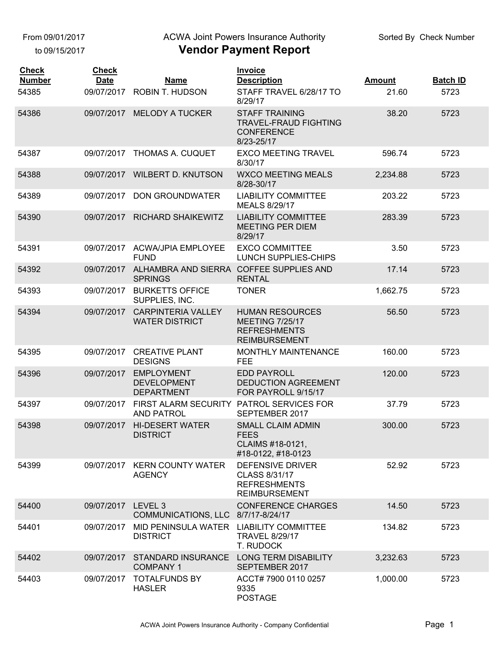From 09/01/2017

to 09/15/2017

#### ACWA Joint Powers Insurance Authority

| <b>Check</b><br><b>Number</b> | <b>Check</b><br><b>Date</b> | Name                                                         | <b>Invoice</b><br><b>Description</b>                                                            | <b>Amount</b> | <b>Batch ID</b> |
|-------------------------------|-----------------------------|--------------------------------------------------------------|-------------------------------------------------------------------------------------------------|---------------|-----------------|
| 54385                         | 09/07/2017                  | <b>ROBIN T. HUDSON</b>                                       | STAFF TRAVEL 6/28/17 TO<br>8/29/17                                                              | 21.60         | 5723            |
| 54386                         |                             | 09/07/2017 MELODY A TUCKER                                   | <b>STAFF TRAINING</b><br><b>TRAVEL-FRAUD FIGHTING</b><br><b>CONFERENCE</b><br>8/23-25/17        | 38.20         | 5723            |
| 54387                         | 09/07/2017                  | THOMAS A. CUQUET                                             | <b>EXCO MEETING TRAVEL</b><br>8/30/17                                                           | 596.74        | 5723            |
| 54388                         | 09/07/2017                  | <b>WILBERT D. KNUTSON</b>                                    | <b>WXCO MEETING MEALS</b><br>8/28-30/17                                                         | 2,234.88      | 5723            |
| 54389                         | 09/07/2017                  | <b>DON GROUNDWATER</b>                                       | <b>LIABILITY COMMITTEE</b><br>MEALS 8/29/17                                                     | 203.22        | 5723            |
| 54390                         | 09/07/2017                  | <b>RICHARD SHAIKEWITZ</b>                                    | <b>LIABILITY COMMITTEE</b><br><b>MEETING PER DIEM</b><br>8/29/17                                | 283.39        | 5723            |
| 54391                         | 09/07/2017                  | <b>ACWA/JPIA EMPLOYEE</b><br><b>FUND</b>                     | <b>EXCO COMMITTEE</b><br>LUNCH SUPPLIES-CHIPS                                                   | 3.50          | 5723            |
| 54392                         | 09/07/2017                  | ALHAMBRA AND SIERRA COFFEE SUPPLIES AND<br><b>SPRINGS</b>    | <b>RENTAL</b>                                                                                   | 17.14         | 5723            |
| 54393                         | 09/07/2017                  | <b>BURKETTS OFFICE</b><br>SUPPLIES, INC.                     | <b>TONER</b>                                                                                    | 1,662.75      | 5723            |
| 54394                         | 09/07/2017                  | <b>CARPINTERIA VALLEY</b><br><b>WATER DISTRICT</b>           | <b>HUMAN RESOURCES</b><br><b>MEETING 7/25/17</b><br><b>REFRESHMENTS</b><br><b>REIMBURSEMENT</b> | 56.50         | 5723            |
| 54395                         | 09/07/2017                  | <b>CREATIVE PLANT</b><br><b>DESIGNS</b>                      | MONTHLY MAINTENANCE<br><b>FEE</b>                                                               | 160.00        | 5723            |
| 54396                         | 09/07/2017                  | <b>EMPLOYMENT</b><br><b>DEVELOPMENT</b><br><b>DEPARTMENT</b> | <b>EDD PAYROLL</b><br><b>DEDUCTION AGREEMENT</b><br>FOR PAYROLL 9/15/17                         | 120.00        | 5723            |
| 54397                         | 09/07/2017                  | <b>FIRST ALARM SECURITY</b><br><b>AND PATROL</b>             | PATROL SERVICES FOR<br>SEPTEMBER 2017                                                           | 37.79         | 5723            |
| 54398                         | 09/07/2017                  | <b>HI-DESERT WATER</b><br><b>DISTRICT</b>                    | <b>SMALL CLAIM ADMIN</b><br><b>FEES</b><br>CLAIMS #18-0121,<br>#18-0122, #18-0123               | 300.00        | 5723            |
| 54399                         |                             | 09/07/2017 KERN COUNTY WATER<br><b>AGENCY</b>                | <b>DEFENSIVE DRIVER</b><br>CLASS 8/31/17<br><b>REFRESHMENTS</b><br><b>REIMBURSEMENT</b>         | 52.92         | 5723            |
| 54400                         | 09/07/2017 LEVEL 3          | COMMUNICATIONS, LLC 8/7/17-8/24/17                           | <b>CONFERENCE CHARGES</b>                                                                       | 14.50         | 5723            |
| 54401                         | 09/07/2017                  | MID PENINSULA WATER LIABILITY COMMITTEE<br><b>DISTRICT</b>   | <b>TRAVEL 8/29/17</b><br>T. RUDOCK                                                              | 134.82        | 5723            |
| 54402                         | 09/07/2017                  | STANDARD INSURANCE<br><b>COMPANY 1</b>                       | <b>LONG TERM DISABILITY</b><br>SEPTEMBER 2017                                                   | 3,232.63      | 5723            |
| 54403                         | 09/07/2017                  | <b>TOTALFUNDS BY</b><br><b>HASLER</b>                        | ACCT# 7900 0110 0257<br>9335<br><b>POSTAGE</b>                                                  | 1,000.00      | 5723            |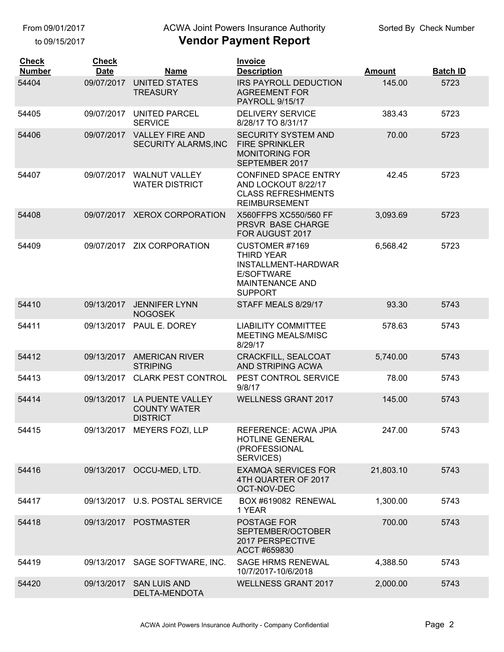From 09/01/2017

to 09/15/2017

## ACWA Joint Powers Insurance Authority

| <b>Check</b><br><b>Number</b> | <b>Check</b><br><b>Date</b> | <b>Name</b>                                                | <b>Invoice</b><br><b>Description</b>                                                                                 | <b>Amount</b> | <b>Batch ID</b> |
|-------------------------------|-----------------------------|------------------------------------------------------------|----------------------------------------------------------------------------------------------------------------------|---------------|-----------------|
| 54404                         | 09/07/2017                  | <b>UNITED STATES</b><br><b>TREASURY</b>                    | <b>IRS PAYROLL DEDUCTION</b><br><b>AGREEMENT FOR</b><br><b>PAYROLL 9/15/17</b>                                       | 145.00        | 5723            |
| 54405                         | 09/07/2017                  | UNITED PARCEL<br><b>SERVICE</b>                            | <b>DELIVERY SERVICE</b><br>8/28/17 TO 8/31/17                                                                        | 383.43        | 5723            |
| 54406                         | 09/07/2017                  | <b>VALLEY FIRE AND</b><br>SECURITY ALARMS, INC             | <b>SECURITY SYSTEM AND</b><br><b>FIRE SPRINKLER</b><br><b>MONITORING FOR</b><br>SEPTEMBER 2017                       | 70.00         | 5723            |
| 54407                         | 09/07/2017                  | <b>WALNUT VALLEY</b><br><b>WATER DISTRICT</b>              | <b>CONFINED SPACE ENTRY</b><br>AND LOCKOUT 8/22/17<br><b>CLASS REFRESHMENTS</b><br><b>REIMBURSEMENT</b>              | 42.45         | 5723            |
| 54408                         | 09/07/2017                  | <b>XEROX CORPORATION</b>                                   | X560FFPS XC550/560 FF<br>PRSVR BASE CHARGE<br>FOR AUGUST 2017                                                        | 3,093.69      | 5723            |
| 54409                         | 09/07/2017                  | <b>ZIX CORPORATION</b>                                     | CUSTOMER #7169<br><b>THIRD YEAR</b><br>INSTALLMENT-HARDWAR<br>E/SOFTWARE<br><b>MAINTENANCE AND</b><br><b>SUPPORT</b> | 6,568.42      | 5723            |
| 54410                         | 09/13/2017                  | <b>JENNIFER LYNN</b><br><b>NOGOSEK</b>                     | STAFF MEALS 8/29/17                                                                                                  | 93.30         | 5743            |
| 54411                         | 09/13/2017                  | PAUL E. DOREY                                              | <b>LIABILITY COMMITTEE</b><br>MEETING MEALS/MISC<br>8/29/17                                                          | 578.63        | 5743            |
| 54412                         | 09/13/2017                  | <b>AMERICAN RIVER</b><br><b>STRIPING</b>                   | <b>CRACKFILL, SEALCOAT</b><br>AND STRIPING ACWA                                                                      | 5,740.00      | 5743            |
| 54413                         | 09/13/2017                  | <b>CLARK PEST CONTROL</b>                                  | PEST CONTROL SERVICE<br>9/8/17                                                                                       | 78.00         | 5743            |
| 54414                         | 09/13/2017                  | LA PUENTE VALLEY<br><b>COUNTY WATER</b><br><b>DISTRICT</b> | <b>WELLNESS GRANT 2017</b>                                                                                           | 145.00        | 5743            |
| 54415                         |                             | 09/13/2017 MEYERS FOZI, LLP                                | <b>REFERENCE: ACWA JPIA</b><br><b>HOTLINE GENERAL</b><br>(PROFESSIONAL<br>SERVICES)                                  | 247.00        | 5743            |
| 54416                         | 09/13/2017                  | OCCU-MED, LTD.                                             | <b>EXAMQA SERVICES FOR</b><br>4TH QUARTER OF 2017<br>OCT-NOV-DEC                                                     | 21,803.10     | 5743            |
| 54417                         | 09/13/2017                  | <b>U.S. POSTAL SERVICE</b>                                 | BOX #619082 RENEWAL<br>1 YEAR                                                                                        | 1,300.00      | 5743            |
| 54418                         |                             | 09/13/2017 POSTMASTER                                      | POSTAGE FOR<br>SEPTEMBER/OCTOBER<br>2017 PERSPECTIVE<br>ACCT #659830                                                 | 700.00        | 5743            |
| 54419                         | 09/13/2017                  | SAGE SOFTWARE, INC.                                        | <b>SAGE HRMS RENEWAL</b><br>10/7/2017-10/6/2018                                                                      | 4,388.50      | 5743            |
| 54420                         | 09/13/2017                  | <b>SAN LUIS AND</b><br>DELTA-MENDOTA                       | <b>WELLNESS GRANT 2017</b>                                                                                           | 2,000.00      | 5743            |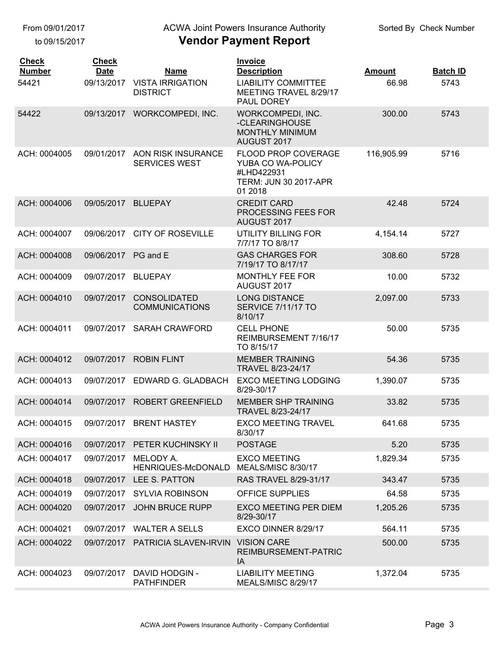to 09/15/2017

## ACWA Joint Powers Insurance Authority

| <b>Check</b><br><b>Number</b><br>54421 | <b>Check</b><br><b>Date</b><br>09/13/2017 | <b>Name</b><br><b>VISTA IRRIGATION</b>       | <b>Invoice</b><br><b>Description</b><br><b>LIABILITY COMMITTEE</b>                                       | <b>Amount</b><br>66.98 | <b>Batch ID</b><br>5743 |
|----------------------------------------|-------------------------------------------|----------------------------------------------|----------------------------------------------------------------------------------------------------------|------------------------|-------------------------|
|                                        |                                           | <b>DISTRICT</b>                              | MEETING TRAVEL 8/29/17<br>PAUL DOREY                                                                     |                        |                         |
| 54422                                  | 09/13/2017                                | <b>WORKCOMPEDI, INC.</b>                     | WORKCOMPEDI, INC.<br>-CLEARINGHOUSE<br>MONTHLY MINIMUM<br>AUGUST 2017                                    | 300.00                 | 5743                    |
| ACH: 0004005                           | 09/01/2017                                | AON RISK INSURANCE<br><b>SERVICES WEST</b>   | <b>FLOOD PROP COVERAGE</b><br>YUBA CO WA-POLICY<br>#LHD422931<br><b>TERM: JUN 30 2017-APR</b><br>01 2018 | 116,905.99             | 5716                    |
| ACH: 0004006                           | 09/05/2017                                | <b>BLUEPAY</b>                               | <b>CREDIT CARD</b><br>PROCESSING FEES FOR<br>AUGUST 2017                                                 | 42.48                  | 5724                    |
| ACH: 0004007                           | 09/06/2017                                | <b>CITY OF ROSEVILLE</b>                     | <b>UTILITY BILLING FOR</b><br>7/7/17 TO 8/8/17                                                           | 4,154.14               | 5727                    |
| ACH: 0004008                           | 09/06/2017                                | PG and E                                     | <b>GAS CHARGES FOR</b><br>7/19/17 TO 8/17/17                                                             | 308.60                 | 5728                    |
| ACH: 0004009                           | 09/07/2017                                | <b>BLUEPAY</b>                               | MONTHLY FEE FOR<br>AUGUST 2017                                                                           | 10.00                  | 5732                    |
| ACH: 0004010                           | 09/07/2017                                | <b>CONSOLIDATED</b><br><b>COMMUNICATIONS</b> | <b>LONG DISTANCE</b><br>SERVICE 7/11/17 TO<br>8/10/17                                                    | 2,097.00               | 5733                    |
| ACH: 0004011                           | 09/07/2017                                | <b>SARAH CRAWFORD</b>                        | <b>CELL PHONE</b><br>REIMBURSEMENT 7/16/17<br>TO 8/15/17                                                 | 50.00                  | 5735                    |
| ACH: 0004012                           | 09/07/2017                                | <b>ROBIN FLINT</b>                           | <b>MEMBER TRAINING</b><br>TRAVEL 8/23-24/17                                                              | 54.36                  | 5735                    |
| ACH: 0004013                           | 09/07/2017                                | EDWARD G. GLADBACH                           | <b>EXCO MEETING LODGING</b><br>8/29-30/17                                                                | 1,390.07               | 5735                    |
| ACH: 0004014                           | 09/07/2017                                | <b>ROBERT GREENFIELD</b>                     | <b>MEMBER SHP TRAINING</b><br>TRAVEL 8/23-24/17                                                          | 33.82                  | 5735                    |
| ACH: 0004015                           | 09/07/2017                                | <b>BRENT HASTEY</b>                          | <b>EXCO MEETING TRAVEL</b><br>8/30/17                                                                    | 641.68                 | 5735                    |
| ACH: 0004016                           | 09/07/2017                                | PETER KUCHINSKY II                           | <b>POSTAGE</b>                                                                                           | 5.20                   | 5735                    |
| ACH: 0004017                           | 09/07/2017                                | MELODY A.<br>HENRIQUES-McDONALD              | <b>EXCO MEETING</b><br>MEALS/MISC 8/30/17                                                                | 1,829.34               | 5735                    |
| ACH: 0004018                           | 09/07/2017                                | LEE S. PATTON                                | RAS TRAVEL 8/29-31/17                                                                                    | 343.47                 | 5735                    |
| ACH: 0004019                           | 09/07/2017                                | <b>SYLVIA ROBINSON</b>                       | <b>OFFICE SUPPLIES</b>                                                                                   | 64.58                  | 5735                    |
| ACH: 0004020                           | 09/07/2017                                | <b>JOHN BRUCE RUPP</b>                       | <b>EXCO MEETING PER DIEM</b><br>8/29-30/17                                                               | 1,205.26               | 5735                    |
| ACH: 0004021                           | 09/07/2017                                | <b>WALTER A SELLS</b>                        | EXCO DINNER 8/29/17                                                                                      | 564.11                 | 5735                    |
| ACH: 0004022                           | 09/07/2017                                | PATRICIA SLAVEN-IRVIN                        | <b>VISION CARE</b><br>REIMBURSEMENT-PATRIC<br>IA                                                         | 500.00                 | 5735                    |
| ACH: 0004023                           | 09/07/2017                                | <b>DAVID HODGIN -</b><br><b>PATHFINDER</b>   | <b>LIABILITY MEETING</b><br>MEALS/MISC 8/29/17                                                           | 1,372.04               | 5735                    |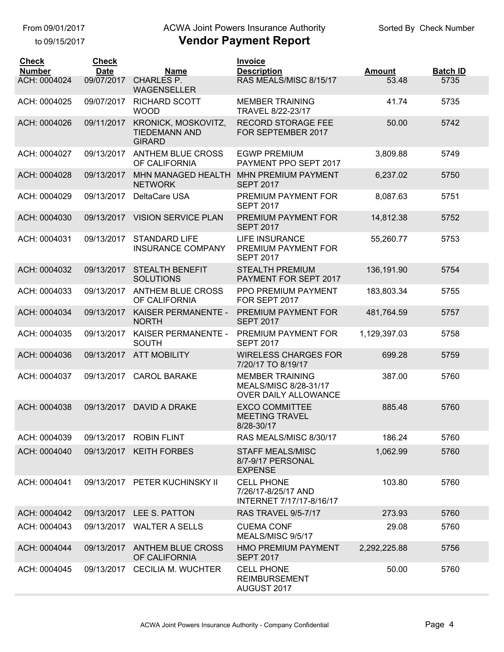to 09/15/2017

## ACWA Joint Powers Insurance Authority

| <b>Check</b><br><b>Number</b> | <b>Check</b><br><b>Date</b> | <b>Name</b>                                                  | <b>Invoice</b><br><b>Description</b>                                    | <b>Amount</b> | <b>Batch ID</b> |
|-------------------------------|-----------------------------|--------------------------------------------------------------|-------------------------------------------------------------------------|---------------|-----------------|
| ACH: 0004024                  | 09/07/2017                  | <b>CHARLES P.</b><br><b>WAGENSELLER</b>                      | RAS MEALS/MISC 8/15/17                                                  | 53.48         | 5735            |
| ACH: 0004025                  | 09/07/2017                  | <b>RICHARD SCOTT</b><br><b>WOOD</b>                          | <b>MEMBER TRAINING</b><br>TRAVEL 8/22-23/17                             | 41.74         | 5735            |
| ACH: 0004026                  | 09/11/2017                  | KRONICK, MOSKOVITZ,<br><b>TIEDEMANN AND</b><br><b>GIRARD</b> | <b>RECORD STORAGE FEE</b><br>FOR SEPTEMBER 2017                         | 50.00         | 5742            |
| ACH: 0004027                  | 09/13/2017                  | <b>ANTHEM BLUE CROSS</b><br>OF CALIFORNIA                    | <b>EGWP PREMIUM</b><br>PAYMENT PPO SEPT 2017                            | 3,809.88      | 5749            |
| ACH: 0004028                  | 09/13/2017                  | MHN MANAGED HEALTH<br><b>NETWORK</b>                         | <b>MHN PREMIUM PAYMENT</b><br><b>SEPT 2017</b>                          | 6,237.02      | 5750            |
| ACH: 0004029                  | 09/13/2017                  | DeltaCare USA                                                | PREMIUM PAYMENT FOR<br><b>SEPT 2017</b>                                 | 8,087.63      | 5751            |
| ACH: 0004030                  | 09/13/2017                  | <b>VISION SERVICE PLAN</b>                                   | PREMIUM PAYMENT FOR<br><b>SEPT 2017</b>                                 | 14,812.38     | 5752            |
| ACH: 0004031                  | 09/13/2017                  | <b>STANDARD LIFE</b><br><b>INSURANCE COMPANY</b>             | <b>LIFE INSURANCE</b><br>PREMIUM PAYMENT FOR<br><b>SEPT 2017</b>        | 55,260.77     | 5753            |
| ACH: 0004032                  | 09/13/2017                  | <b>STEALTH BENEFIT</b><br><b>SOLUTIONS</b>                   | <b>STEALTH PREMIUM</b><br>PAYMENT FOR SEPT 2017                         | 136,191.90    | 5754            |
| ACH: 0004033                  | 09/13/2017                  | <b>ANTHEM BLUE CROSS</b><br>OF CALIFORNIA                    | PPO PREMIUM PAYMENT<br>FOR SEPT 2017                                    | 183,803.34    | 5755            |
| ACH: 0004034                  | 09/13/2017                  | KAISER PERMANENTE -<br><b>NORTH</b>                          | PREMIUM PAYMENT FOR<br><b>SEPT 2017</b>                                 | 481,764.59    | 5757            |
| ACH: 0004035                  | 09/13/2017                  | KAISER PERMANENTE -<br><b>SOUTH</b>                          | PREMIUM PAYMENT FOR<br><b>SEPT 2017</b>                                 | 1,129,397.03  | 5758            |
| ACH: 0004036                  | 09/13/2017                  | <b>ATT MOBILITY</b>                                          | <b>WIRELESS CHARGES FOR</b><br>7/20/17 TO 8/19/17                       | 699.28        | 5759            |
| ACH: 0004037                  | 09/13/2017                  | <b>CAROL BARAKE</b>                                          | <b>MEMBER TRAINING</b><br>MEALS/MISC 8/28-31/17<br>OVER DAILY ALLOWANCE | 387.00        | 5760            |
| ACH: 0004038                  | 09/13/2017                  | <b>DAVID A DRAKE</b>                                         | <b>EXCO COMMITTEE</b><br><b>MEETING TRAVEL</b><br>8/28-30/17            | 885.48        | 5760            |
| ACH: 0004039                  | 09/13/2017                  | <b>ROBIN FLINT</b>                                           | RAS MEALS/MISC 8/30/17                                                  | 186.24        | 5760            |
| ACH: 0004040                  | 09/13/2017                  | <b>KEITH FORBES</b>                                          | <b>STAFF MEALS/MISC</b><br>8/7-9/17 PERSONAL<br><b>EXPENSE</b>          | 1,062.99      | 5760            |
| ACH: 0004041                  | 09/13/2017                  | PETER KUCHINSKY II                                           | <b>CELL PHONE</b><br>7/26/17-8/25/17 AND<br>INTERNET 7/17/17-8/16/17    | 103.80        | 5760            |
| ACH: 0004042                  | 09/13/2017                  | LEE S. PATTON                                                | <b>RAS TRAVEL 9/5-7/17</b>                                              | 273.93        | 5760            |
| ACH: 0004043                  | 09/13/2017                  | <b>WALTER A SELLS</b>                                        | <b>CUEMA CONF</b><br>MEALS/MISC 9/5/17                                  | 29.08         | 5760            |
| ACH: 0004044                  | 09/13/2017                  | <b>ANTHEM BLUE CROSS</b><br>OF CALIFORNIA                    | <b>HMO PREMIUM PAYMENT</b><br><b>SEPT 2017</b>                          | 2,292,225.88  | 5756            |
| ACH: 0004045                  | 09/13/2017                  | <b>CECILIA M. WUCHTER</b>                                    | <b>CELL PHONE</b><br><b>REIMBURSEMENT</b><br>AUGUST 2017                | 50.00         | 5760            |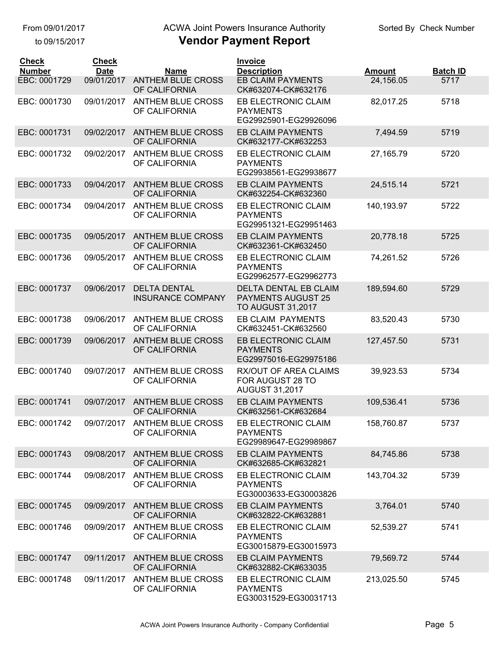#### From 09/01/2017

to 09/15/2017

### ACWA Joint Powers Insurance Authority

| <b>Check</b><br><b>Number</b> | <b>Check</b><br><b>Date</b> | <b>Name</b>                                     | Invoice<br><b>Description</b>                                                         | <b>Amount</b> | <b>Batch ID</b> |
|-------------------------------|-----------------------------|-------------------------------------------------|---------------------------------------------------------------------------------------|---------------|-----------------|
| EBC: 0001729                  | 09/01/2017                  | <b>ANTHEM BLUE CROSS</b><br>OF CALIFORNIA       | <b>EB CLAIM PAYMENTS</b><br>CK#632074-CK#632176                                       | 24,156.05     | 5717            |
| EBC: 0001730                  | 09/01/2017                  | <b>ANTHEM BLUE CROSS</b><br>OF CALIFORNIA       | EB ELECTRONIC CLAIM<br><b>PAYMENTS</b><br>EG29925901-EG29926096                       | 82,017.25     | 5718            |
| EBC: 0001731                  | 09/02/2017                  | <b>ANTHEM BLUE CROSS</b><br>OF CALIFORNIA       | <b>EB CLAIM PAYMENTS</b><br>CK#632177-CK#632253                                       | 7,494.59      | 5719            |
| EBC: 0001732                  | 09/02/2017                  | <b>ANTHEM BLUE CROSS</b><br>OF CALIFORNIA       | EB ELECTRONIC CLAIM<br><b>PAYMENTS</b><br>EG29938561-EG29938677                       | 27,165.79     | 5720            |
| EBC: 0001733                  | 09/04/2017                  | <b>ANTHEM BLUE CROSS</b><br>OF CALIFORNIA       | <b>EB CLAIM PAYMENTS</b><br>CK#632254-CK#632360                                       | 24,515.14     | 5721            |
| EBC: 0001734                  | 09/04/2017                  | <b>ANTHEM BLUE CROSS</b><br>OF CALIFORNIA       | EB ELECTRONIC CLAIM<br><b>PAYMENTS</b><br>EG29951321-EG29951463                       | 140,193.97    | 5722            |
| EBC: 0001735                  | 09/05/2017                  | <b>ANTHEM BLUE CROSS</b><br>OF CALIFORNIA       | <b>EB CLAIM PAYMENTS</b><br>CK#632361-CK#632450                                       | 20,778.18     | 5725            |
| EBC: 0001736                  | 09/05/2017                  | ANTHEM BLUE CROSS<br>OF CALIFORNIA              | EB ELECTRONIC CLAIM<br><b>PAYMENTS</b><br>EG29962577-EG29962773                       | 74,261.52     | 5726            |
| EBC: 0001737                  | 09/06/2017                  | <b>DELTA DENTAL</b><br><b>INSURANCE COMPANY</b> | <b>DELTA DENTAL EB CLAIM</b><br><b>PAYMENTS AUGUST 25</b><br><b>TO AUGUST 31,2017</b> | 189,594.60    | 5729            |
| EBC: 0001738                  | 09/06/2017                  | <b>ANTHEM BLUE CROSS</b><br>OF CALIFORNIA       | <b>EB CLAIM PAYMENTS</b><br>CK#632451-CK#632560                                       | 83,520.43     | 5730            |
| EBC: 0001739                  | 09/06/2017                  | <b>ANTHEM BLUE CROSS</b><br>OF CALIFORNIA       | EB ELECTRONIC CLAIM<br><b>PAYMENTS</b><br>EG29975016-EG29975186                       | 127,457.50    | 5731            |
| EBC: 0001740                  | 09/07/2017                  | <b>ANTHEM BLUE CROSS</b><br>OF CALIFORNIA       | RX/OUT OF AREA CLAIMS<br>FOR AUGUST 28 TO<br><b>AUGUST 31,2017</b>                    | 39,923.53     | 5734            |
| EBC: 0001741                  | 09/07/2017                  | <b>ANTHEM BLUE CROSS</b><br>OF CALIFORNIA       | <b>EB CLAIM PAYMENTS</b><br>CK#632561-CK#632684                                       | 109,536.41    | 5736            |
| EBC: 0001742                  | 09/07/2017                  | ANTHEM BLUE CROSS<br>OF CALIFORNIA              | EB ELECTRONIC CLAIM<br><b>PAYMENTS</b><br>EG29989647-EG29989867                       | 158,760.87    | 5737            |
| EBC: 0001743                  | 09/08/2017                  | <b>ANTHEM BLUE CROSS</b><br>OF CALIFORNIA       | <b>EB CLAIM PAYMENTS</b><br>CK#632685-CK#632821                                       | 84,745.86     | 5738            |
| EBC: 0001744                  | 09/08/2017                  | <b>ANTHEM BLUE CROSS</b><br>OF CALIFORNIA       | EB ELECTRONIC CLAIM<br><b>PAYMENTS</b><br>EG30003633-EG30003826                       | 143,704.32    | 5739            |
| EBC: 0001745                  | 09/09/2017                  | <b>ANTHEM BLUE CROSS</b><br>OF CALIFORNIA       | <b>EB CLAIM PAYMENTS</b><br>CK#632822-CK#632881                                       | 3,764.01      | 5740            |
| EBC: 0001746                  | 09/09/2017                  | <b>ANTHEM BLUE CROSS</b><br>OF CALIFORNIA       | EB ELECTRONIC CLAIM<br><b>PAYMENTS</b><br>EG30015879-EG30015973                       | 52,539.27     | 5741            |
| EBC: 0001747                  | 09/11/2017                  | <b>ANTHEM BLUE CROSS</b><br>OF CALIFORNIA       | <b>EB CLAIM PAYMENTS</b><br>CK#632882-CK#633035                                       | 79,569.72     | 5744            |
| EBC: 0001748                  | 09/11/2017                  | <b>ANTHEM BLUE CROSS</b><br>OF CALIFORNIA       | EB ELECTRONIC CLAIM<br><b>PAYMENTS</b><br>EG30031529-EG30031713                       | 213,025.50    | 5745            |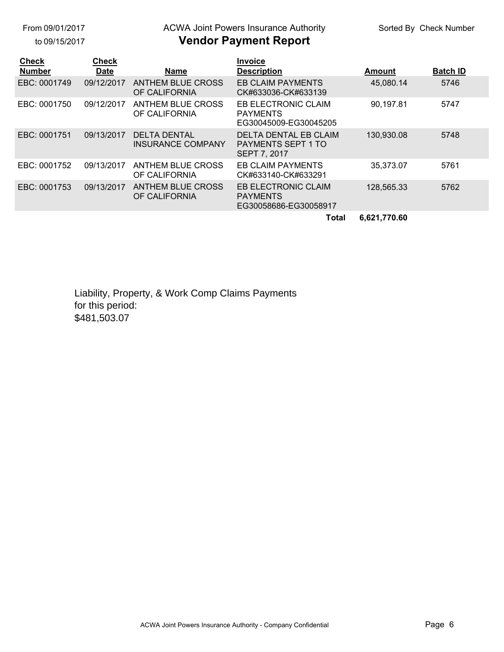From 09/01/2017

to 09/15/2017

# ACWA Joint Powers Insurance Authority

### **Vendor Payment Report**

| <b>Check</b><br><b>Number</b> | <b>Check</b><br><b>Date</b> | <b>Name</b>                                     | <b>Invoice</b><br><b>Description</b>                                      | Amount       | <b>Batch ID</b> |
|-------------------------------|-----------------------------|-------------------------------------------------|---------------------------------------------------------------------------|--------------|-----------------|
| EBC: 0001749                  | 09/12/2017                  | <b>ANTHEM BLUE CROSS</b><br>OF CALIFORNIA       | <b>EB CLAIM PAYMENTS</b><br>CK#633036-CK#633139                           | 45,080.14    | 5746            |
| EBC: 0001750                  | 09/12/2017                  | ANTHEM BLUE CROSS<br>OF CALIFORNIA              | EB ELECTRONIC CLAIM<br><b>PAYMENTS</b><br>EG30045009-EG30045205           | 90,197.81    | 5747            |
| EBC: 0001751                  | 09/13/2017                  | <b>DELTA DENTAL</b><br><b>INSURANCE COMPANY</b> | <b>DELTA DENTAL EB CLAIM</b><br><b>PAYMENTS SEPT 1 TO</b><br>SEPT 7, 2017 | 130,930.08   | 5748            |
| EBC: 0001752                  | 09/13/2017                  | ANTHEM BLUE CROSS<br>OF CALIFORNIA              | <b>EB CLAIM PAYMENTS</b><br>CK#633140-CK#633291                           | 35,373.07    | 5761            |
| EBC: 0001753                  | 09/13/2017                  | <b>ANTHEM BLUE CROSS</b><br>OF CALIFORNIA       | EB ELECTRONIC CLAIM<br><b>PAYMENTS</b><br>EG30058686-EG30058917           | 128,565.33   | 5762            |
|                               |                             |                                                 | <b>Total</b>                                                              | 6,621,770.60 |                 |

Liability, Property, & Work Comp Claims Payments for this period: \$481,503.07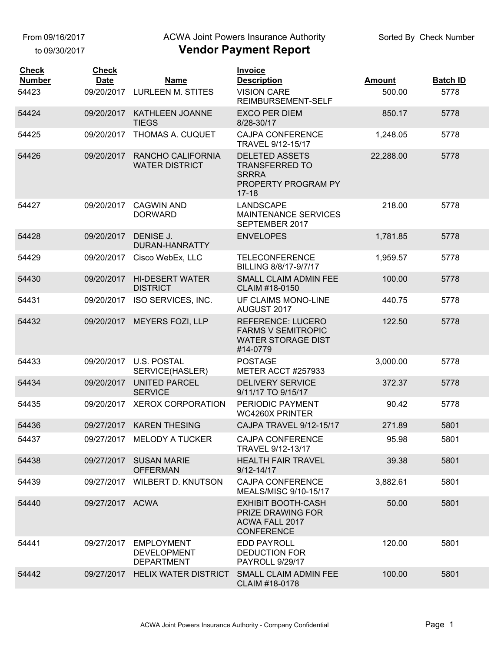From 09/16/2017

to 09/30/2017

#### ACWA Joint Powers Insurance Authority

| <b>Check</b><br><b>Number</b><br>54423 | <b>Check</b><br><b>Date</b> | <b>Name</b><br>09/20/2017 LURLEEN M. STITES                  | <b>Invoice</b><br><b>Description</b><br><b>VISION CARE</b>                                          | <b>Amount</b><br>500.00 | <b>Batch ID</b><br>5778 |
|----------------------------------------|-----------------------------|--------------------------------------------------------------|-----------------------------------------------------------------------------------------------------|-------------------------|-------------------------|
| 54424                                  | 09/20/2017                  | KATHLEEN JOANNE                                              | REIMBURSEMENT-SELF<br><b>EXCO PER DIEM</b>                                                          | 850.17                  | 5778                    |
| 54425                                  | 09/20/2017                  | <b>TIEGS</b><br>THOMAS A. CUQUET                             | 8/28-30/17<br><b>CAJPA CONFERENCE</b>                                                               | 1,248.05                | 5778                    |
|                                        |                             |                                                              | TRAVEL 9/12-15/17                                                                                   |                         |                         |
| 54426                                  | 09/20/2017                  | RANCHO CALIFORNIA<br><b>WATER DISTRICT</b>                   | <b>DELETED ASSETS</b><br><b>TRANSFERRED TO</b><br><b>SRRRA</b><br>PROPERTY PROGRAM PY<br>$17 - 18$  | 22,288.00               | 5778                    |
| 54427                                  | 09/20/2017                  | <b>CAGWIN AND</b><br><b>DORWARD</b>                          | <b>LANDSCAPE</b><br><b>MAINTENANCE SERVICES</b><br>SEPTEMBER 2017                                   | 218.00                  | 5778                    |
| 54428                                  | 09/20/2017                  | DENISE J.<br>DURAN-HANRATTY                                  | <b>ENVELOPES</b>                                                                                    | 1,781.85                | 5778                    |
| 54429                                  | 09/20/2017                  | Cisco WebEx, LLC                                             | <b>TELECONFERENCE</b><br>BILLING 8/8/17-9/7/17                                                      | 1,959.57                | 5778                    |
| 54430                                  | 09/20/2017                  | <b>HI-DESERT WATER</b><br><b>DISTRICT</b>                    | SMALL CLAIM ADMIN FEE<br>CLAIM #18-0150                                                             | 100.00                  | 5778                    |
| 54431                                  | 09/20/2017                  | ISO SERVICES, INC.                                           | UF CLAIMS MONO-LINE<br>AUGUST 2017                                                                  | 440.75                  | 5778                    |
| 54432                                  | 09/20/2017                  | <b>MEYERS FOZI, LLP</b>                                      | <b>REFERENCE: LUCERO</b><br><b>FARMS V SEMITROPIC</b><br><b>WATER STORAGE DIST</b><br>#14-0779      | 122.50                  | 5778                    |
| 54433                                  | 09/20/2017                  | U.S. POSTAL<br>SERVICE(HASLER)                               | <b>POSTAGE</b><br>METER ACCT #257933                                                                | 3,000.00                | 5778                    |
| 54434                                  | 09/20/2017                  | <b>UNITED PARCEL</b><br><b>SERVICE</b>                       | <b>DELIVERY SERVICE</b><br>9/11/17 TO 9/15/17                                                       | 372.37                  | 5778                    |
| 54435                                  | 09/20/2017                  | <b>XEROX CORPORATION</b>                                     | PERIODIC PAYMENT<br><b>WC4260X PRINTER</b>                                                          | 90.42                   | 5778                    |
| 54436                                  |                             | 09/27/2017 KAREN THESING                                     | CAJPA TRAVEL 9/12-15/17                                                                             | 271.89                  | 5801                    |
| 54437                                  |                             | 09/27/2017 MELODY A TUCKER                                   | <b>CAJPA CONFERENCE</b><br>TRAVEL 9/12-13/17                                                        | 95.98                   | 5801                    |
| 54438                                  |                             | 09/27/2017 SUSAN MARIE<br><b>OFFERMAN</b>                    | <b>HEALTH FAIR TRAVEL</b><br>$9/12 - 14/17$                                                         | 39.38                   | 5801                    |
| 54439                                  |                             | 09/27/2017 WILBERT D. KNUTSON                                | <b>CAJPA CONFERENCE</b><br>MEALS/MISC 9/10-15/17                                                    | 3,882.61                | 5801                    |
| 54440                                  | 09/27/2017 ACWA             |                                                              | <b>EXHIBIT BOOTH-CASH</b><br><b>PRIZE DRAWING FOR</b><br><b>ACWA FALL 2017</b><br><b>CONFERENCE</b> | 50.00                   | 5801                    |
| 54441                                  | 09/27/2017                  | <b>EMPLOYMENT</b><br><b>DEVELOPMENT</b><br><b>DEPARTMENT</b> | <b>EDD PAYROLL</b><br><b>DEDUCTION FOR</b><br>PAYROLL 9/29/17                                       | 120.00                  | 5801                    |
| 54442                                  |                             | 09/27/2017 HELIX WATER DISTRICT                              | SMALL CLAIM ADMIN FEE<br>CLAIM #18-0178                                                             | 100.00                  | 5801                    |
|                                        |                             |                                                              |                                                                                                     |                         |                         |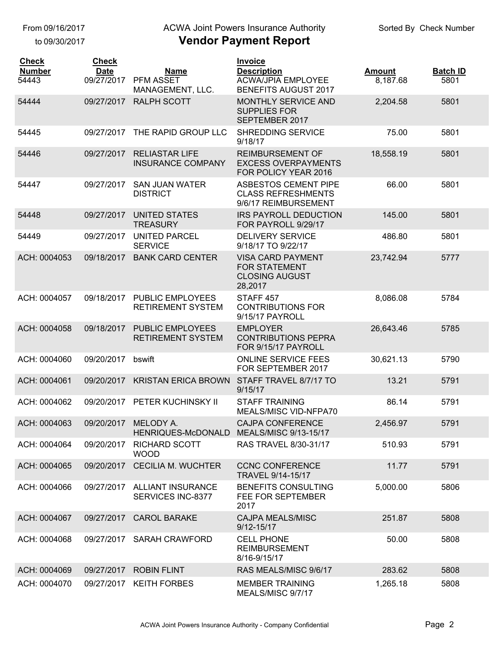to 09/30/2017

### ACWA Joint Powers Insurance Authority

| <b>Check</b><br><b>Number</b><br>54443 | <b>Check</b><br><b>Date</b><br>09/27/2017 | <b>Name</b><br>PFM ASSET                                         | <b>Invoice</b><br><b>Description</b><br><b>ACWA/JPIA EMPLOYEE</b>                    | <b>Amount</b><br>8,187.68 | <b>Batch ID</b><br>5801 |
|----------------------------------------|-------------------------------------------|------------------------------------------------------------------|--------------------------------------------------------------------------------------|---------------------------|-------------------------|
| 54444                                  | 09/27/2017                                | MANAGEMENT, LLC.<br><b>RALPH SCOTT</b>                           | <b>BENEFITS AUGUST 2017</b><br><b>MONTHLY SERVICE AND</b><br><b>SUPPLIES FOR</b>     | 2,204.58                  | 5801                    |
|                                        |                                           |                                                                  | SEPTEMBER 2017                                                                       |                           |                         |
| 54445                                  | 09/27/2017                                | THE RAPID GROUP LLC                                              | <b>SHREDDING SERVICE</b><br>9/18/17                                                  | 75.00                     | 5801                    |
| 54446                                  | 09/27/2017                                | <b>RELIASTAR LIFE</b><br><b>INSURANCE COMPANY</b>                | <b>REIMBURSEMENT OF</b><br><b>EXCESS OVERPAYMENTS</b><br>FOR POLICY YEAR 2016        | 18,558.19                 | 5801                    |
| 54447                                  | 09/27/2017                                | <b>SAN JUAN WATER</b><br><b>DISTRICT</b>                         | <b>ASBESTOS CEMENT PIPE</b><br><b>CLASS REFRESHMENTS</b><br>9/6/17 REIMBURSEMENT     | 66.00                     | 5801                    |
| 54448                                  | 09/27/2017                                | <b>UNITED STATES</b><br><b>TREASURY</b>                          | <b>IRS PAYROLL DEDUCTION</b><br>FOR PAYROLL 9/29/17                                  | 145.00                    | 5801                    |
| 54449                                  | 09/27/2017                                | <b>UNITED PARCEL</b><br><b>SERVICE</b>                           | <b>DELIVERY SERVICE</b><br>9/18/17 TO 9/22/17                                        | 486.80                    | 5801                    |
| ACH: 0004053                           | 09/18/2017                                | <b>BANK CARD CENTER</b>                                          | <b>VISA CARD PAYMENT</b><br><b>FOR STATEMENT</b><br><b>CLOSING AUGUST</b><br>28,2017 | 23,742.94                 | 5777                    |
| ACH: 0004057                           | 09/18/2017                                | PUBLIC EMPLOYEES<br><b>RETIREMENT SYSTEM</b>                     | STAFF <sub>457</sub><br><b>CONTRIBUTIONS FOR</b><br>9/15/17 PAYROLL                  | 8,086.08                  | 5784                    |
| ACH: 0004058                           | 09/18/2017                                | <b>PUBLIC EMPLOYEES</b><br><b>RETIREMENT SYSTEM</b>              | <b>EMPLOYER</b><br><b>CONTRIBUTIONS PEPRA</b><br>FOR 9/15/17 PAYROLL                 | 26,643.46                 | 5785                    |
| ACH: 0004060                           | 09/20/2017                                | bswift                                                           | <b>ONLINE SERVICE FEES</b><br>FOR SEPTEMBER 2017                                     | 30,621.13                 | 5790                    |
| ACH: 0004061                           | 09/20/2017                                | <b>KRISTAN ERICA BROWN</b>                                       | STAFF TRAVEL 8/7/17 TO<br>9/15/17                                                    | 13.21                     | 5791                    |
| ACH: 0004062                           | 09/20/2017                                | PETER KUCHINSKY II                                               | <b>STAFF TRAINING</b><br>MEALS/MISC VID-NFPA70                                       | 86.14                     | 5791                    |
| ACH: 0004063                           |                                           | 09/20/2017 MELODY A.<br>HENRIQUES-McDONALD MEALS/MISC 9/13-15/17 | CAJPA CONFERENCE                                                                     | 2,456.97                  | 5791                    |
| ACH: 0004064                           | 09/20/2017                                | <b>RICHARD SCOTT</b><br><b>WOOD</b>                              | RAS TRAVEL 8/30-31/17                                                                | 510.93                    | 5791                    |
| ACH: 0004065                           | 09/20/2017                                | <b>CECILIA M. WUCHTER</b>                                        | <b>CCNC CONFERENCE</b><br>TRAVEL 9/14-15/17                                          | 11.77                     | 5791                    |
| ACH: 0004066                           |                                           | 09/27/2017 ALLIANT INSURANCE<br>SERVICES INC-8377                | <b>BENEFITS CONSULTING</b><br>FEE FOR SEPTEMBER<br>2017                              | 5,000.00                  | 5806                    |
| ACH: 0004067                           | 09/27/2017                                | <b>CAROL BARAKE</b>                                              | <b>CAJPA MEALS/MISC</b><br>$9/12 - 15/17$                                            | 251.87                    | 5808                    |
| ACH: 0004068                           |                                           | 09/27/2017 SARAH CRAWFORD                                        | <b>CELL PHONE</b><br><b>REIMBURSEMENT</b><br>8/16-9/15/17                            | 50.00                     | 5808                    |
| ACH: 0004069                           |                                           | 09/27/2017 ROBIN FLINT                                           | RAS MEALS/MISC 9/6/17                                                                | 283.62                    | 5808                    |
| ACH: 0004070                           |                                           | 09/27/2017 KEITH FORBES                                          | <b>MEMBER TRAINING</b><br>MEALS/MISC 9/7/17                                          | 1,265.18                  | 5808                    |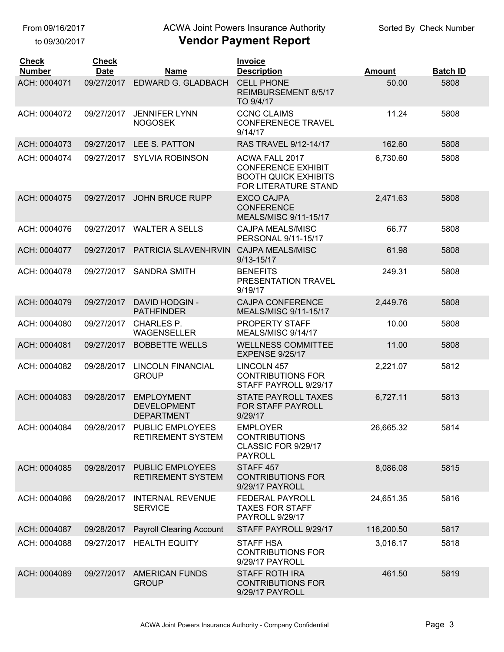to 09/30/2017

## ACWA Joint Powers Insurance Authority

| <b>Check</b><br><b>Number</b> | <b>Check</b><br><b>Date</b> | <b>Name</b>                                                  | <b>Invoice</b><br><b>Description</b>                                                               | <b>Amount</b> | <b>Batch ID</b> |
|-------------------------------|-----------------------------|--------------------------------------------------------------|----------------------------------------------------------------------------------------------------|---------------|-----------------|
| ACH: 0004071                  | 09/27/2017                  | EDWARD G. GLADBACH                                           | <b>CELL PHONE</b><br>REIMBURSEMENT 8/5/17<br>TO 9/4/17                                             | 50.00         | 5808            |
| ACH: 0004072                  | 09/27/2017                  | <b>JENNIFER LYNN</b><br><b>NOGOSEK</b>                       | <b>CCNC CLAIMS</b><br><b>CONFERENECE TRAVEL</b><br>9/14/17                                         | 11.24         | 5808            |
| ACH: 0004073                  | 09/27/2017                  | LEE S. PATTON                                                | <b>RAS TRAVEL 9/12-14/17</b>                                                                       | 162.60        | 5808            |
| ACH: 0004074                  | 09/27/2017                  | <b>SYLVIA ROBINSON</b>                                       | ACWA FALL 2017<br><b>CONFERENCE EXHIBIT</b><br><b>BOOTH QUICK EXHIBITS</b><br>FOR LITERATURE STAND | 6,730.60      | 5808            |
| ACH: 0004075                  | 09/27/2017                  | <b>JOHN BRUCE RUPP</b>                                       | <b>EXCO CAJPA</b><br><b>CONFERENCE</b><br>MEALS/MISC 9/11-15/17                                    | 2,471.63      | 5808            |
| ACH: 0004076                  | 09/27/2017                  | <b>WALTER A SELLS</b>                                        | <b>CAJPA MEALS/MISC</b><br>PERSONAL 9/11-15/17                                                     | 66.77         | 5808            |
| ACH: 0004077                  | 09/27/2017                  | PATRICIA SLAVEN-IRVIN                                        | <b>CAJPA MEALS/MISC</b><br>$9/13 - 15/17$                                                          | 61.98         | 5808            |
| ACH: 0004078                  | 09/27/2017                  | <b>SANDRA SMITH</b>                                          | <b>BENEFITS</b><br>PRESENTATION TRAVEL<br>9/19/17                                                  | 249.31        | 5808            |
| ACH: 0004079                  | 09/27/2017                  | <b>DAVID HODGIN -</b><br><b>PATHFINDER</b>                   | <b>CAJPA CONFERENCE</b><br>MEALS/MISC 9/11-15/17                                                   | 2,449.76      | 5808            |
| ACH: 0004080                  | 09/27/2017                  | <b>CHARLES P.</b><br><b>WAGENSELLER</b>                      | PROPERTY STAFF<br>MEALS/MISC 9/14/17                                                               | 10.00         | 5808            |
| ACH: 0004081                  | 09/27/2017                  | <b>BOBBETTE WELLS</b>                                        | <b>WELLNESS COMMITTEE</b><br><b>EXPENSE 9/25/17</b>                                                | 11.00         | 5808            |
| ACH: 0004082                  | 09/28/2017                  | LINCOLN FINANCIAL<br><b>GROUP</b>                            | <b>LINCOLN 457</b><br><b>CONTRIBUTIONS FOR</b><br>STAFF PAYROLL 9/29/17                            | 2,221.07      | 5812            |
| ACH: 0004083                  | 09/28/2017                  | <b>EMPLOYMENT</b><br><b>DEVELOPMENT</b><br><b>DEPARTMENT</b> | <b>STATE PAYROLL TAXES</b><br>FOR STAFF PAYROLL<br>9/29/17                                         | 6,727.11      | 5813            |
| ACH: 0004084                  | 09/28/2017                  | PUBLIC EMPLOYEES<br><b>RETIREMENT SYSTEM</b>                 | <b>EMPLOYER</b><br><b>CONTRIBUTIONS</b><br>CLASSIC FOR 9/29/17<br><b>PAYROLL</b>                   | 26,665.32     | 5814            |
| ACH: 0004085                  | 09/28/2017                  | <b>PUBLIC EMPLOYEES</b><br><b>RETIREMENT SYSTEM</b>          | STAFF 457<br><b>CONTRIBUTIONS FOR</b><br>9/29/17 PAYROLL                                           | 8,086.08      | 5815            |
| ACH: 0004086                  | 09/28/2017                  | <b>INTERNAL REVENUE</b><br><b>SERVICE</b>                    | FEDERAL PAYROLL<br><b>TAXES FOR STAFF</b><br><b>PAYROLL 9/29/17</b>                                | 24,651.35     | 5816            |
| ACH: 0004087                  | 09/28/2017                  | <b>Payroll Clearing Account</b>                              | STAFF PAYROLL 9/29/17                                                                              | 116,200.50    | 5817            |
| ACH: 0004088                  | 09/27/2017                  | <b>HEALTH EQUITY</b>                                         | <b>STAFF HSA</b><br><b>CONTRIBUTIONS FOR</b><br>9/29/17 PAYROLL                                    | 3,016.17      | 5818            |
| ACH: 0004089                  | 09/27/2017                  | <b>AMERICAN FUNDS</b><br><b>GROUP</b>                        | <b>STAFF ROTH IRA</b><br><b>CONTRIBUTIONS FOR</b><br>9/29/17 PAYROLL                               | 461.50        | 5819            |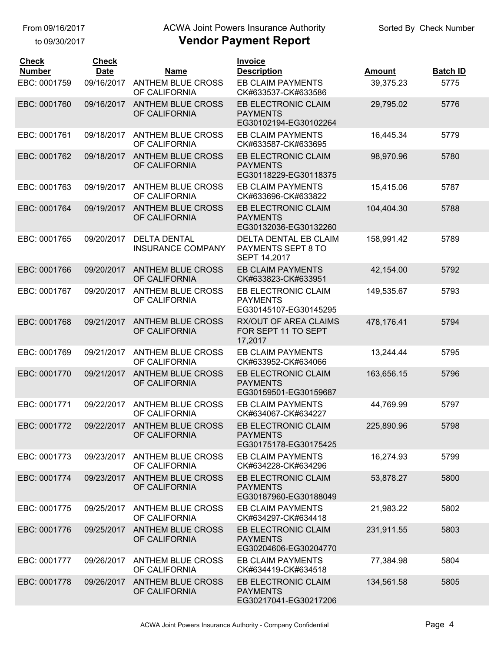#### to 09/30/2017

## ACWA Joint Powers Insurance Authority

| <b>Check</b><br><b>Number</b> | <b>Check</b><br><b>Date</b> | <b>Name</b>                                     | Invoice<br><b>Description</b>                                      | <b>Amount</b> | <b>Batch ID</b> |
|-------------------------------|-----------------------------|-------------------------------------------------|--------------------------------------------------------------------|---------------|-----------------|
| EBC: 0001759                  | 09/16/2017                  | <b>ANTHEM BLUE CROSS</b><br>OF CALIFORNIA       | EB CLAIM PAYMENTS<br>CK#633537-CK#633586                           | 39,375.23     | 5775            |
| EBC: 0001760                  | 09/16/2017                  | <b>ANTHEM BLUE CROSS</b><br>OF CALIFORNIA       | EB ELECTRONIC CLAIM<br><b>PAYMENTS</b><br>EG30102194-EG30102264    | 29,795.02     | 5776            |
| EBC: 0001761                  | 09/18/2017                  | <b>ANTHEM BLUE CROSS</b><br>OF CALIFORNIA       | EB CLAIM PAYMENTS<br>CK#633587-CK#633695                           | 16,445.34     | 5779            |
| EBC: 0001762                  | 09/18/2017                  | <b>ANTHEM BLUE CROSS</b><br>OF CALIFORNIA       | EB ELECTRONIC CLAIM<br><b>PAYMENTS</b><br>EG30118229-EG30118375    | 98,970.96     | 5780            |
| EBC: 0001763                  | 09/19/2017                  | <b>ANTHEM BLUE CROSS</b><br>OF CALIFORNIA       | EB CLAIM PAYMENTS<br>CK#633696-CK#633822                           | 15,415.06     | 5787            |
| EBC: 0001764                  | 09/19/2017                  | <b>ANTHEM BLUE CROSS</b><br>OF CALIFORNIA       | EB ELECTRONIC CLAIM<br><b>PAYMENTS</b><br>EG30132036-EG30132260    | 104,404.30    | 5788            |
| EBC: 0001765                  | 09/20/2017                  | <b>DELTA DENTAL</b><br><b>INSURANCE COMPANY</b> | <b>DELTA DENTAL EB CLAIM</b><br>PAYMENTS SEPT 8 TO<br>SEPT 14,2017 | 158,991.42    | 5789            |
| EBC: 0001766                  | 09/20/2017                  | <b>ANTHEM BLUE CROSS</b><br>OF CALIFORNIA       | <b>EB CLAIM PAYMENTS</b><br>CK#633823-CK#633951                    | 42,154.00     | 5792            |
| EBC: 0001767                  | 09/20/2017                  | <b>ANTHEM BLUE CROSS</b><br>OF CALIFORNIA       | EB ELECTRONIC CLAIM<br><b>PAYMENTS</b><br>EG30145107-EG30145295    | 149,535.67    | 5793            |
| EBC: 0001768                  | 09/21/2017                  | <b>ANTHEM BLUE CROSS</b><br>OF CALIFORNIA       | <b>RX/OUT OF AREA CLAIMS</b><br>FOR SEPT 11 TO SEPT<br>17,2017     | 478,176.41    | 5794            |
| EBC: 0001769                  | 09/21/2017                  | <b>ANTHEM BLUE CROSS</b><br>OF CALIFORNIA       | <b>EB CLAIM PAYMENTS</b><br>CK#633952-CK#634066                    | 13,244.44     | 5795            |
| EBC: 0001770                  | 09/21/2017                  | <b>ANTHEM BLUE CROSS</b><br>OF CALIFORNIA       | EB ELECTRONIC CLAIM<br><b>PAYMENTS</b><br>EG30159501-EG30159687    | 163,656.15    | 5796            |
| EBC: 0001771                  | 09/22/2017                  | <b>ANTHEM BLUE CROSS</b><br>OF CALIFORNIA       | <b>EB CLAIM PAYMENTS</b><br>CK#634067-CK#634227                    | 44,769.99     | 5797            |
| EBC: 0001772                  |                             | 09/22/2017 ANTHEM BLUE CROSS<br>OF CALIFORNIA   | EB ELECTRONIC CLAIM<br><b>PAYMENTS</b><br>EG30175178-EG30175425    | 225,890.96    | 5798            |
| EBC: 0001773                  | 09/23/2017                  | <b>ANTHEM BLUE CROSS</b><br>OF CALIFORNIA       | EB CLAIM PAYMENTS<br>CK#634228-CK#634296                           | 16,274.93     | 5799            |
| EBC: 0001774                  | 09/23/2017                  | <b>ANTHEM BLUE CROSS</b><br>OF CALIFORNIA       | EB ELECTRONIC CLAIM<br><b>PAYMENTS</b><br>EG30187960-EG30188049    | 53,878.27     | 5800            |
| EBC: 0001775                  | 09/25/2017                  | <b>ANTHEM BLUE CROSS</b><br>OF CALIFORNIA       | EB CLAIM PAYMENTS<br>CK#634297-CK#634418                           | 21,983.22     | 5802            |
| EBC: 0001776                  | 09/25/2017                  | <b>ANTHEM BLUE CROSS</b><br>OF CALIFORNIA       | EB ELECTRONIC CLAIM<br><b>PAYMENTS</b><br>EG30204606-EG30204770    | 231,911.55    | 5803            |
| EBC: 0001777                  | 09/26/2017                  | <b>ANTHEM BLUE CROSS</b><br>OF CALIFORNIA       | EB CLAIM PAYMENTS<br>CK#634419-CK#634518                           | 77,384.98     | 5804            |
| EBC: 0001778                  | 09/26/2017                  | <b>ANTHEM BLUE CROSS</b><br>OF CALIFORNIA       | EB ELECTRONIC CLAIM<br><b>PAYMENTS</b><br>EG30217041-EG30217206    | 134,561.58    | 5805            |